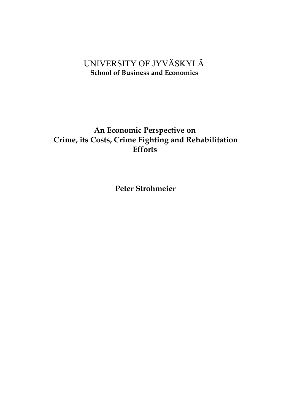# UNIVERSITY OF JYVÄSKYLÄ  **School of Business and Economics**

# **An Economic Perspective on Crime, its Costs, Crime Fighting and Rehabilitation Efforts**

**Peter Strohmeier**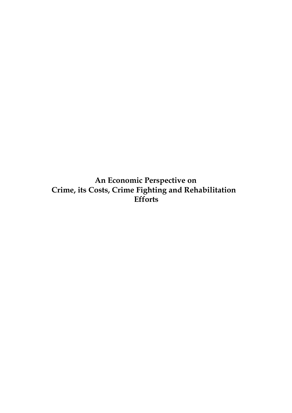**An Economic Perspective on Crime, its Costs, Crime Fighting and Rehabilitation Efforts**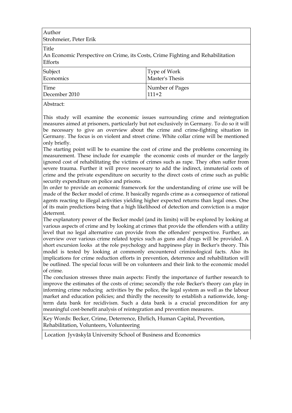Author Strohmeier, Peter Erik

Title

An Economic Perspective on Crime, its Costs, Crime Fighting and Rehabilitation Efforts

| Subject       | Type of Work    |
|---------------|-----------------|
| Economics     | Master's Thesis |
| Time          | Number of Pages |
| December 2010 | $111+2$         |

Abstract:

This study will examine the economic issues surrounding crime and reintegration measures aimed at prisoners, particularly but not exclusively in Germany. To do so it will be necessary to give an overview about the crime and crime-fighting situation in Germany. The focus is on violent and street crime. White collar crime will be mentioned only briefly.

The starting point will be to examine the cost of crime and the problems concerning its measurement. These include for example the economic costs of murder or the largely ignored cost of rehabilitating the victims of crimes such as rape. They often suffer from severe trauma. Further it will prove necessary to add the indirect, immaterial costs of crime and the private expenditure on security to the direct costs of crime such as public security expenditure on police and prisons.

In order to provide an economic framework for the understanding of crime use will be made of the Becker model of crime. It basically regards crime as a consequence of rational agents reacting to illegal activities yielding higher expected returns than legal ones. One of its main predictions being that a high likelihood of detection and conviction is a major deterrent.

The explanatory power of the Becker model (and its limits) will be explored by looking at various aspects of crime and by looking at crimes that provide the offenders with a utility level that no legal alternative can provide from the offenders' perspective. Further, an overview over various crime related topics such as guns and drugs will be provided. A short excursion looks at the role psychology and happiness play in Becker's theory. This model is tested by looking at commonly encountered criminological facts. Also its implications for crime reduction efforts in prevention, deterrence and rehabilitation will be outlined. The special focus will be on volunteers and their link to the economic model of crime.

The conclusion stresses three main aspects: Firstly the importance of further research to improve the estimates of the costs of crime; secondly the role Becker's theory can play in informing crime reducing activities by the police, the legal system as well as the labour market and education policies; and thirdly the necessity to establish a nationwide, longterm data bank for recidivism. Such a data bank is a crucial precondition for any meaningful cost-benefit analysis of reintegration and prevention measures.

Key Words: Becker, Crime, Deterrence, Ehrlich, Human Capital, Prevention, Rehabilitation, Volunteers, Volunteering

Location Jyväskylä University School of Business and Economics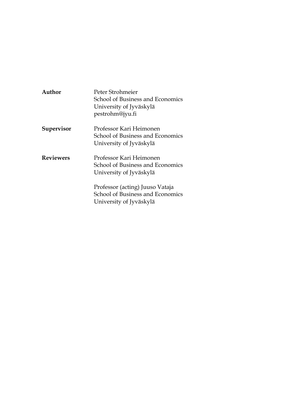| Author           | Peter Strohmeier<br>School of Business and Economics<br>University of Jyväskylä<br>pestrohm@jyu.fi |
|------------------|----------------------------------------------------------------------------------------------------|
| Supervisor       | Professor Kari Heimonen<br>School of Business and Economics<br>University of Jyväskylä             |
| <b>Reviewers</b> | Professor Kari Heimonen<br>School of Business and Economics<br>University of Jyväskylä             |
|                  | Professor (acting) Juuso Vataja<br>School of Business and Economics<br>University of Jyväskylä     |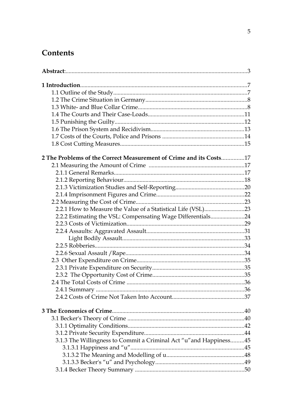# Contents

| 2 The Problems of the Correct Measurement of Crime and its Costs17 |  |
|--------------------------------------------------------------------|--|
|                                                                    |  |
|                                                                    |  |
|                                                                    |  |
|                                                                    |  |
|                                                                    |  |
|                                                                    |  |
|                                                                    |  |
| 2.2.2 Estimating the VSL: Compensating Wage Differentials24        |  |
|                                                                    |  |
|                                                                    |  |
|                                                                    |  |
|                                                                    |  |
|                                                                    |  |
|                                                                    |  |
|                                                                    |  |
|                                                                    |  |
|                                                                    |  |
|                                                                    |  |
|                                                                    |  |
|                                                                    |  |
|                                                                    |  |
|                                                                    |  |
|                                                                    |  |
| 3.1.3 The Willingness to Commit a Criminal Act "u" and Happiness45 |  |
|                                                                    |  |
|                                                                    |  |
|                                                                    |  |
|                                                                    |  |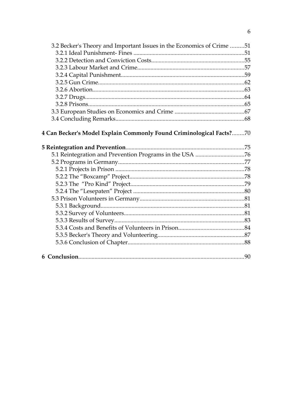| 3.2 Becker's Theory and Important Issues in the Economics of Crime 51 |  |
|-----------------------------------------------------------------------|--|
|                                                                       |  |
|                                                                       |  |
|                                                                       |  |
|                                                                       |  |
|                                                                       |  |
|                                                                       |  |
|                                                                       |  |
|                                                                       |  |
|                                                                       |  |
|                                                                       |  |
| 4 Can Becker's Model Explain Commonly Found Criminological Facts?70   |  |
|                                                                       |  |
|                                                                       |  |
|                                                                       |  |
|                                                                       |  |
|                                                                       |  |
|                                                                       |  |
|                                                                       |  |
|                                                                       |  |
|                                                                       |  |
|                                                                       |  |
|                                                                       |  |
|                                                                       |  |
|                                                                       |  |
|                                                                       |  |
|                                                                       |  |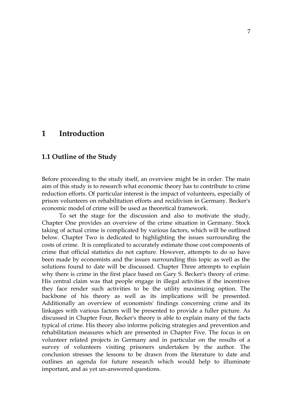# **1 Introduction**

### **1.1 Outline of the Study**

Before proceeding to the study itself, an overview might be in order. The main aim of this study is to research what economic theory has to contribute to crime reduction efforts. Of particular interest is the impact of volunteers, especially of prison volunteers on rehabilitation efforts and recidivism in Germany. Becker's economic model of crime will be used as theoretical framework.

To set the stage for the discussion and also to motivate the study, Chapter One provides an overview of the crime situation in Germany. Stock taking of actual crime is complicated by various factors, which will be outlined below. Chapter Two is dedicated to highlighting the issues surrounding the costs of crime. It is complicated to accurately estimate those cost components of crime that official statistics do not capture. However, attempts to do so have been made by economists and the issues surrounding this topic as well as the solutions found to date will be discussed. Chapter Three attempts to explain why there is crime in the first place based on Gary S. Becker's theory of crime. His central claim was that people engage in illegal activities if the incentives they face render such activities to be the utility maximizing option. The backbone of his theory as well as its implications will be presented. Additionally an overview of economists' findings concerning crime and its linkages with various factors will be presented to provide a fuller picture. As discussed in Chapter Four, Becker's theory is able to explain many of the facts typical of crime. His theory also informs policing strategies and prevention and rehabilitation measures which are presented in Chapter Five. The focus is on volunteer related projects in Germany and in particular on the results of a survey of volunteers visiting prisoners undertaken by the author. The conclusion stresses the lessons to be drawn from the literature to date and outlines an agenda for future research which would help to illuminate important, and as yet un-answered questions.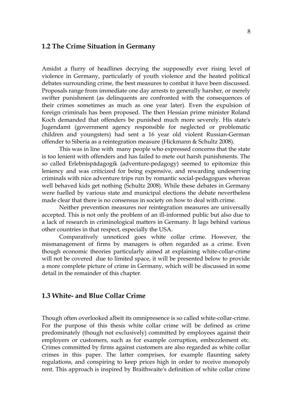# **1.2 The Crime Situation in Germany**

Amidst a flurry of headlines decrying the supposedly ever rising level of violence in Germany, particularly of youth violence and the heated political debates surrounding crime, the best measures to combat it have been discussed. Proposals range from immediate one day arrests to generally harsher, or merely swifter punishment (as delinquents are confronted with the consequences of their crimes sometimes as much as one year later). Even the expulsion of foreign criminals has been proposed. The then Hessian prime minister Roland Koch demanded that offenders be punished much more severely. His state's Jugendamt (government agency responsible for neglected or problematic children and youngsters) had sent a 16 year old violent Russian-German offender to Siberia as a reintegration measure (Hickmann & Schultz 2008).

This was in line with many people who expressed concerns that the state is too lenient with offenders and has failed to mete out harsh punishments. The so called Erlebnispädagogik (adventure-pedagogy) seemed to epitomize this leniency and was criticized for being expensive, and rewarding undeserving criminals with nice adventure trips run by romantic social-pedagogues whereas well behaved kids get nothing (Schultz 2008). While these debates in Germany were fuelled by various state and municipal elections the debate nevertheless made clear that there is no consensus in society on how to deal with crime.

Neither prevention measures nor reintegration measures are universally accepted. This is not only the problem of an ill-informed public but also due to a lack of research in criminological matters in Germany. It lags behind various other countries in that respect, especially the USA.

Comparatively unnoticed goes white collar crime. However, the mismanagement of firms by managers is often regarded as a crime. Even though economic theories particularly aimed at explaining white-collar-crime will not be covered due to limited space, it will be presented below to provide a more complete picture of crime in Germany, which will be discussed in some detail in the remainder of this chapter.

# **1.3 White- and Blue Collar Crime**

Though often overlooked albeit its omnipresence is so called white-collar-crime. For the purpose of this thesis white collar crime will be defined as crime predominately (though not exclusively) committed by employees against their employers or customers, such as for example corruption, embezzlement etc. Crimes committed by firms against customers are also regarded as white collar crimes in this paper. The latter comprises, for example flaunting safety regulations, and conspiring to keep prices high in order to receive monopoly rent. This approach is inspired by Braithwaite's definition of white collar crime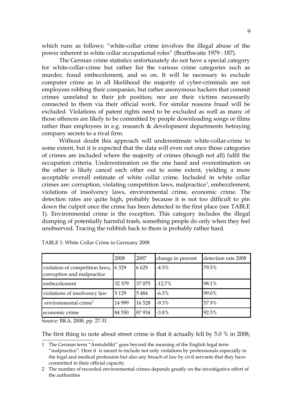which runs as follows: "white-collar crime involves the illegal abuse of the power inherent in white collar occupational roles" (Braithwaite 1979 : 187).

The German crime statistics unfortunately do not have a special category for white-collar-crime but rather list the various crime categories such as murder, fraud embezzlement, and so on. It will be necessary to exclude computer crime as in all likelihood the majority of cyber-criminals are not employees robbing their companies, but rather anonymous hackers that commit crimes unrelated to their job position; nor are their victims necessarily connected to them via their official work. For similar reasons fraud will be excluded. Violations of patent rights need to be excluded as well as many of those offences are likely to be committed by people downloading songs or films rather than employees in e.g. research & development departments betraying company secrets to a rival firm.

Without doubt this approach will underestimate white-collar-crime to some extent, but it is expected that the data will even out once those categories of crimes are included where the majority of crimes (though not all) fulfil the occupation criteria. Underestimation on the one hand and overestimation on the other is likely cancel each other out to some extent, yielding a more acceptable overall estimate of white collar crime. Included in white collar crimes are: corruption, violating competition laws, malpractice<sup>[1](#page-8-0)</sup>, embezzlement, violations of insolvency laws, environmental crime, economic crime. The detection rates are quite high, probably because it is not too difficult to pin down the culprit once the crime has been detected in the first place (see TABLE 1). Environmental crime is the exception. This category includes the illegal dumping of potentially harmful trash, something people do only when they feel unobserved. Tracing the rubbish back to them is probably rather hard.

|                                                                    | 2008    | 2007    | change in percent | detection rate 2008 |
|--------------------------------------------------------------------|---------|---------|-------------------|---------------------|
| violation of competition laws, 6 329<br>corruption and malpractice |         | 6629    | $-4.5\%$          | 79.5%               |
| embezzlement                                                       | 32 379  | 37 075  | $-12.7%$          | 98.1%               |
| violations of insolvency law                                       | 5 1 2 9 | 5484    | $-6.5\%$          | 99.0%               |
| environmental crime <sup>2</sup>                                   | 14 9 99 | 16 5 28 | $-9.3\%$          | 57.9%               |
| economic crime                                                     | 84 550  | 87934   | $-3.8\%$          | 92.5%               |

TABLE 1: White Collar Crime in Germany 2008

Source: BKA, 2008, pp. 27-31

The first thing to note about street crime is that it actually fell by 5.0 % in 2008,

<span id="page-8-0"></span><sup>1</sup> The German term "Amtsdelikt" goes beyond the meaning of the English legal term "malpractice". Here it is meant to include not only violations by professionals especially in the legal and medical profession but also any breach of law by civil servants that they have committed in their official capacity.

<span id="page-8-1"></span><sup>2</sup> The number of recorded environmental crimes depends greatly on the investigative effort of the authorities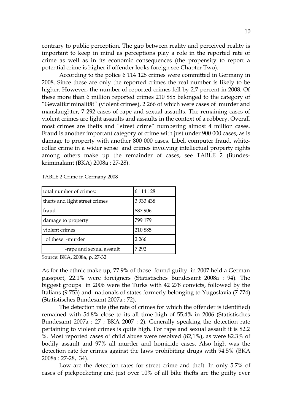contrary to public perception. The gap between reality and perceived reality is important to keep in mind as perceptions play a role in the reported rate of crime as well as in its economic consequences (the propensity to report a potential crime is higher if offender looks foreign see Chapter Two).

According to the police 6 114 128 crimes were committed in Germany in 2008. Since these are only the reported crimes the real number is likely to be higher. However, the number of reported crimes fell by 2.7 percent in 2008. Of these more than 6 million reported crimes 210 885 belonged to the category of "Gewaltkriminalität" (violent crimes), 2 266 of which were cases of murder and manslaughter, 7 292 cases of rape and sexual assaults. The remaining cases of violent crimes are light assaults and assaults in the context of a robbery. Overall most crimes are thefts and "street crime" numbering almost 4 million cases. Fraud is another important category of crime with just under 900 000 cases, as is damage to property with another 800 000 cases. Libel, computer fraud, whitecollar crime in a wider sense and crimes involving intellectual property rights among others make up the remainder of cases, see TABLE 2 (Bundeskriminalamt (BKA) 2008a : 27-28).

| total number of crimes:        | 6 114 128     |
|--------------------------------|---------------|
| thefts and light street crimes | 3 9 3 4 4 3 8 |
| fraud                          | 887 906       |
| damage to property             | 799 179       |
| violent crimes                 | 210 885       |
| of these: -murder              | 2 2 6 6       |
| -rape and sexual assault       | 7 29 2        |

TABLE 2 Crime in Germany 2008

Source: BKA, 2008a, p. 27-32

As for the ethnic make up, 77.9% of those found guilty in 2007 held a German passport, 22.1% were foreigners (Statistisches Bundesamt 2008a : 94). The biggest groups in 2006 were the Turks with 42 278 convicts, followed by the Italians (9 753) and nationals of states formerly belonging to Yugoslavia (7 774) (Statistisches Bundesamt 2007a : 72).

The detection rate (the rate of crimes for which the offender is identified) remained with 54.8% close to its all time high of 55.4% in 2006 (Statistisches Bundesamt 2007a : 27 ; BKA 2007 : 2). Generally speaking the detection rate pertaining to violent crimes is quite high. For rape and sexual assault it is 82.2 %. Most reported cases of child abuse were resolved (82,1%), as were 82.3% of bodily assault and 97% all murder and homicide cases. Also high was the detection rate for crimes against the laws prohibiting drugs with 94.5% (BKA 2008a : 27-28, 34).

Low are the detection rates for street crime and theft. In only 5.7% of cases of pickpocketing and just over 10% of all bike thefts are the guilty ever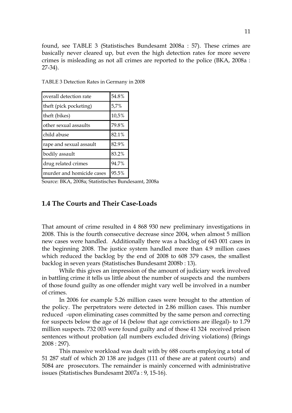found, see TABLE 3 (Statistisches Bundesamt 2008a : 57). These crimes are basically never cleared up, but even the high detection rates for more severe crimes is misleading as not all crimes are reported to the police (BKA, 2008a : 27-34).

| overall detection rate    | 54.8% |
|---------------------------|-------|
| theft (pick pocketing)    | 5,7%  |
| theft (bikes)             | 10,5% |
| other sexual assaults     | 79.8% |
| child abuse               | 82.1% |
| rape and sexual assault   | 82.9% |
| bodily assault            | 83.2% |
| drug related crimes       | 94.7% |
| murder and homicide cases | 95.5% |

TABLE 3 Detection Rates in Germany in 2008

Source: BKA, 2008a; Statistisches Bundesamt, 2008a

# **1.4 The Courts and Their Case-Loads**

That amount of crime resulted in 4 868 930 new preliminary investigations in 2008. This is the fourth consecutive decrease since 2004, when almost 5 million new cases were handled. Additionally there was a backlog of 643 001 cases in the beginning 2008. The justice system handled more than 4.9 million cases which reduced the backlog by the end of 2008 to 608 379 cases, the smallest backlog in seven years (Statistisches Bundesamt 2008b : 13).

While this gives an impression of the amount of judiciary work involved in battling crime it tells us little about the number of suspects and the numbers of those found guilty as one offender might vary well be involved in a number of crimes.

In 2006 for example 5.26 million cases were brought to the attention of the policy. The perpetrators were detected in 2.86 million cases. This number reduced -upon eliminating cases committed by the same person and correcting for suspects below the age of 14 (below that age convictions are illegal)- to 1.79 million suspects. 732 003 were found guilty and of those 41 324 received prison sentences without probation (all numbers excluded driving violations) (Brings 2008 : 297).

This massive workload was dealt with by 688 courts employing a total of 51 287 staff of which 20 138 are judges (111 of these are at patent courts) and 5084 are prosecutors. The remainder is mainly concerned with administrative issues (Statistisches Bundesamt 2007a : 9, 15-16).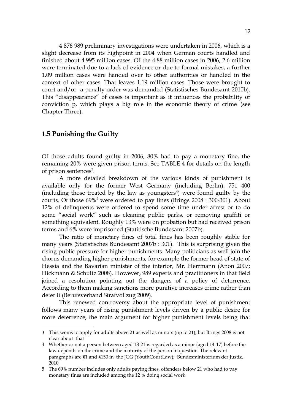4 876 989 preliminary investigations were undertaken in 2006, which is a slight decrease from its highpoint in 2004 when German courts handled and finished about 4.995 million cases. Of the 4.88 million cases in 2006, 2.6 million were terminated due to a lack of evidence or due to formal mistakes, a further 1.09 million cases were handed over to other authorities or handled in the context of other cases. That leaves 1.19 million cases. Those were brought to court and/or a penalty order was demanded (Statistisches Bundesamt 2010b). This "disappearance" of cases is important as it influences the probability of conviction p, which plays a big role in the economic theory of crime (see Chapter Three)**.**

# **1.5 Punishing the Guilty**

Of those adults found guilty in 2006, 80% had to pay a monetary fine, the remaining 20% were given prison terms. See TABLE 4 for details on the length of prison sentences<sup>[3](#page-11-0)</sup>.

A more detailed breakdown of the various kinds of punishment is available only for the former West Germany (including Berlin). 751 400  $(including those treated by the law as youngesters<sup>4</sup>) were found guilty by the$  $(including those treated by the law as youngesters<sup>4</sup>) were found guilty by the$  $(including those treated by the law as youngesters<sup>4</sup>) were found guilty by the$ courts. Of those  $69\%$ <sup>[5](#page-11-2)</sup> were ordered to pay fines (Brings 2008 : 300-301). About 12% of delinquents were ordered to spend some time under arrest or to do some "social work" such as cleaning public parks, or removing graffiti or something equivalent. Roughly 13% were on probation but had received prison terms and 6% were imprisoned (Statitische Bundesamt 2007b).

The ratio of monetary fines of total fines has been roughly stable for many years (Statistisches Bundesamt 2007b : 301). This is surprising given the rising public pressure for higher punishments. Many politicians as well join the chorus demanding higher punishments, for example the former head of state of Hessia and the Bavarian minister of the interior, Mr. Herrmann (Anon 2007; Hickmann & Schultz 2008). However, 989 experts and practitioners in that field joined a resolution pointing out the dangers of a policy of deterrence. According to them making sanctions more punitive increases crime rather than deter it (Berufsverband Strafvollzug 2009).

This renewed controversy about the appropriate level of punishment follows many years of rising punishment levels driven by a public desire for more deterrence, the main argument for higher punishment levels being that

<span id="page-11-0"></span><sup>3</sup> This seems to apply for adults above 21 as well as minors (up to 21), but Brings 2008 is not clear about that

<span id="page-11-1"></span><sup>4</sup> Whether or not a person between aged 18-21 is regarded as a minor (aged 14-17) before the law depends on the crime and the maturity of the person in question. The relevant paragraphs are §1 and §150 in the JGG (YouthCourtLaw); Bundesministerium der Justiz, 2010

<span id="page-11-2"></span><sup>5</sup> The 69% number includes only adults paying fines, offenders below 21 who had to pay monetary fines are included among the 12 % doing social work.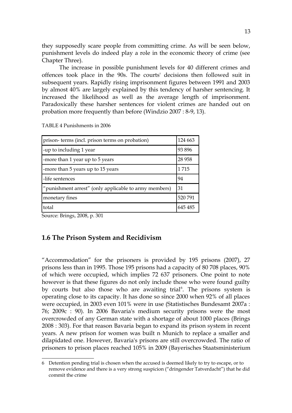they supposedly scare people from committing crime. As will be seen below, punishment levels do indeed play a role in the economic theory of crime (see Chapter Three).

The increase in possible punishment levels for 40 different crimes and offences took place in the 90s. The courts' decisions then followed suit in subsequent years. Rapidly rising imprisonment figures between 1991 and 2003 by almost 40% are largely explained by this tendency of harsher sentencing. It increased the likelihood as well as the average length of imprisonment. Paradoxically these harsher sentences for violent crimes are handed out on probation more frequently than before (Windzio 2007 : 8-9, 13).

| prison-terms (incl. prison terms on probation)        |         |  |
|-------------------------------------------------------|---------|--|
| -up to including 1 year                               |         |  |
| -more than 1 year up to 5 years                       | 28 9 58 |  |
| -more than 5 years up to 15 years                     | 1715    |  |
| -life sentences                                       |         |  |
| "punishment arrest" (only applicable to army members) | 31      |  |
| monetary fines                                        | 520 791 |  |
| total                                                 | 645 485 |  |

TABLE 4 Punishments in 2006

Source: Brings, 2008, p. 301

# **1.6 The Prison System and Recidivism**

"Accommodation" for the prisoners is provided by 195 prisons (2007), 27 prisons less than in 1995. Those 195 prisons had a capacity of 80 708 places, 90% of which were occupied, which implies 72 637 prisoners. One point to note however is that these figures do not only include those who were found guilty by courts but also those who are awaiting trial<sup>[6](#page-12-0)</sup>. The prisons system is operating close to its capacity. It has done so since 2000 when 92% of all places were occupied, in 2003 even 101% were in use (Statistisches Bundesamt 2007a : 76; 2009c : 90). In 2006 Bavaria's medium security prisons were the most overcrowded of any German state with a shortage of about 1000 places (Brings 2008 : 303). For that reason Bavaria began to expand its prison system in recent years. A new prison for women was built n Munich to replace a smaller and dilapidated one. However, Bavaria's prisons are still overcrowded. The ratio of prisoners to prison places reached 105% in 2009 (Bayerisches Staatsministerium

<span id="page-12-0"></span><sup>6</sup> Detention pending trial is chosen when the accused is deemed likely to try to escape, or to remove evidence and there is a very strong suspicion ("dringender Tatverdacht") that he did commit the crime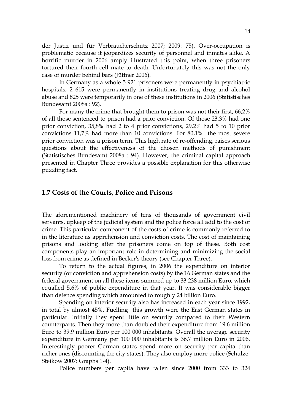der Justiz und für Verbraucherschutz 2007; 2009: 75). Over-occupation is problematic because it jeopardizes security of personnel and inmates alike. A horrific murder in 2006 amply illustrated this point, when three prisoners tortured their fourth cell mate to death. Unfortunately this was not the only case of murder behind bars (Jüttner 2006).

In Germany as a whole 5 921 prisoners were permanently in psychiatric hospitals, 2 615 were permanently in institutions treating drug and alcohol abuse and 825 were temporarily in one of these institutions in 2006 (Statistisches Bundesamt 2008a : 92).

For many the crime that brought them to prison was not their first, 66,2% of all those sentenced to prison had a prior conviction. Of those 23,3% had one prior conviction, 35,8% had 2 to 4 prior convictions, 29,2% had 5 to 10 prior convictions 11,7% had more than 10 convictions. For 80,1% the most severe prior conviction was a prison term. This high rate of re-offending, raises serious questions about the effectiveness of the chosen methods of punishment (Statistisches Bundesamt 2008a : 94). However, the criminal capital approach presented in Chapter Three provides a possible explanation for this otherwise puzzling fact.

# **1.7 Costs of the Courts, Police and Prisons**

The aforementioned machinery of tens of thousands of government civil servants, upkeep of the judicial system and the police force all add to the cost of crime. This particular component of the costs of crime is commonly referred to in the literature as apprehension and conviction costs. The cost of maintaining prisons and looking after the prisoners come on top of these. Both cost components play an important role in determining and minimizing the social loss from crime as defined in Becker's theory (see Chapter Three).

To return to the actual figures, in 2006 the expenditure on interior security (or conviction and apprehension costs) by the 16 German states and the federal government on all these items summed up to 33 238 million Euro, which equalled 5.6% of public expenditure in that year. It was considerable bigger than defence spending which amounted to roughly 24 billion Euro.

Spending on interior security also has increased in each year since 1992, in total by almost 45%. Fuelling this growth were the East German states in particular. Initially they spent little on security compared to their Western counterparts. Then they more than doubled their expenditure from 19.6 million Euro to 39.9 million Euro per 100 000 inhabitants. Overall the average security expenditure in Germany per 100 000 inhabitants is 36.7 million Euro in 2006. Interestingly poorer German states spend more on security per capita than richer ones (discounting the city states). They also employ more police (Schulze-Steikow 2007: Graphs 1-4).

Police numbers per capita have fallen since 2000 from 333 to 324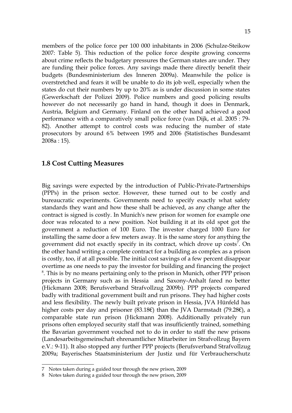members of the police force per 100 000 inhabitants in 2006 (Schulze-Steikow 2007: Table 5). This reduction of the police force despite growing concerns about crime reflects the budgetary pressures the German states are under. They are funding their police forces. Any savings made there directly benefit their budgets (Bundesministerium des Inneren 2009a). Meanwhile the police is overstretched and fears it will be unable to do its job well, especially when the states do cut their numbers by up to 20% as is under discussion in some states (Gewerkschaft der Polizei 2009). Police numbers and good policing results however do not necessarily go hand in hand, though it does in Denmark, Austria, Belgium and Germany. Finland on the other hand achieved a good performance with a comparatively small police force (van Dijk, et al. 2005 : 79- 82). Another attempt to control costs was reducing the number of state prosecutors by around 6% between 1995 and 2006 (Statistisches Bundesamt 2008a : 15).

# **1.8 Cost Cutting Measures**

Big savings were expected by the introduction of Public-Private-Partnerships (PPPs) in the prison sector. However, these turned out to be costly and bureaucratic experiments. Governments need to specify exactly what safety standards they want and how these shall be achieved, as any change after the contract is signed is costly. In Munich's new prison for women for example one door was relocated to a new position. Not building it at its old spot got the government a reduction of 100 Euro. The investor charged 1000 Euro for installing the same door a few meters away. It is the same story for anything the government did not exactly specify in its contract, which drove up costs<sup>[7](#page-14-0)</sup>. On the other hand writing a complete contract for a building as complex as a prison is costly, too, if at all possible. The initial cost savings of a few percent disappear overtime as one needs to pay the investor for building and financing the project <sup>[8](#page-14-1)</sup>. This is by no means pertaining only to the prison in Munich, other PPP prison projects in Germany such as in Hessia and Saxony-Anhalt fared no better (Hickmann 2008; Berufsverband Strafvollzug 2009b). PPP projects compared badly with traditional government built and run prisons. They had higher costs and less flexibility. The newly built private prison in Hessia, JVA Hünfeld has higher costs per day and prisoner (83.18€) than the JVA Darmstadt (79.28€), a comparable state run prison (Hickmann 2008). Additionally privately run prisons often employed security staff that was insufficiently trained, something the Bavarian government vouched not to do in order to staff the new prisons (Landesarbeitsgemeinschaft ehrenamtlicher Mitarbeiter im Strafvollzug Bayern e.V.: 9-11). It also stopped any further PPP projects (Berufsverband Strafvollzug 2009a; Bayerisches Staatsministerium der Justiz und für Verbraucherschutz

<span id="page-14-0"></span><sup>7</sup> Notes taken during a guided tour through the new prison, 2009

<span id="page-14-1"></span><sup>8</sup> Notes taken during a guided tour through the new prison, 2009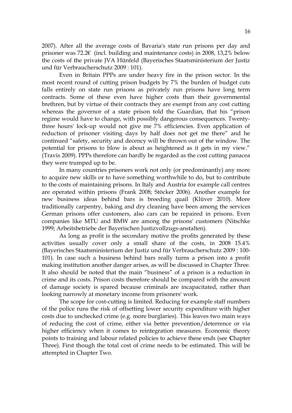2007). After all the average costs of Bavaria's state run prisons per day and prisoner was 72.2€ (incl. building and maintenance costs) in 2008, 13,2% below the costs of the private JVA Hünfeld (Bayerisches Staatsministerium der Justiz und für Verbraucherschutz 2009 : 101).

Even in Britain PPPs are under heavy fire in the prison sector. In the most recent round of cutting prison budgets by 7% the burden of budget cuts falls entirely on state run prisons as privately run prisons have long term contracts. Some of these even have higher costs than their governmental brethren, but by virtue of their contracts they are exempt from any cost cutting whereas the governor of a state prison told the Guardian, that his "prison regime would have to change, with possibly dangerous consequences. Twentythree hours' lock-up would not give me 7% efficiencies. Even application of reduction of prisoner visiting days by half does not get me there" and he continued "safety, security and decency will be thrown out of the window. The potential for prisons to blow is about as heightened as it gets in my view." (Travis 2009). PPPs therefore can hardly be regarded as the cost cutting panacea they were trumped up to be.

In many countries prisoners work not only (or predominantly) any more to acquire new skills or to have something worthwhile to do, but to contribute to the costs of maintaining prisons. In Italy and Austria for example call centres are operated within prisons (Frank 2008; Stöcker 2006). Another example for new business ideas behind bars is breeding quail (Klüver 2010). More traditionally carpentry, baking and dry cleaning have been among the services German prisons offer customers, also cars can be repaired in prisons. Even companies like MTU and BMW are among the prisons' customers (Nitschke 1999; Arbeitsbetriebe der Bayerischen Justizvollzugs-anstalten).

As long as profit is the secondary motive the profits generated by these activities usually cover only a small share of the costs, in 2008 15.4% (Bayerisches Staatsministerium der Justiz und für Verbraucherschutz 2009 : 100- 101). In case such a business behind bars really turns a prison into a profit making institution another danger arises, as will be discussed in Chapter Three. It also should be noted that the main "business" of a prison is a reduction in crime and its costs. Prison costs therefore should be compared with the amount of damage society is spared because criminals are incapacitated, rather than looking narrowly at monetary income from prisoners' work.

The scope for cost-cutting is limited. Reducing for example staff numbers of the police runs the risk of offsetting lower security expenditure with higher costs due to unchecked crime (e.g. more burglaries). This leaves two main ways of reducing the cost of crime, either via better prevention/deterrence or via higher efficiency when it comes to reintegration measures. Economic theory points to training and labour related policies to achieve these ends (see **C**hapter Three). First though the total cost of crime needs to be estimated. This will be attempted in Chapter Two.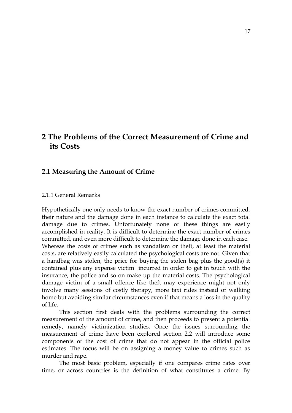# **2 The Problems of the Correct Measurement of Crime and its Costs**

# **2.1 Measuring the Amount of Crime**

#### 2.1.1 General Remarks

Hypothetically one only needs to know the exact number of crimes committed, their nature and the damage done in each instance to calculate the exact total damage due to crimes. Unfortunately none of these things are easily accomplished in reality. It is difficult to determine the exact number of crimes committed, and even more difficult to determine the damage done in each case. Whereas the costs of crimes such as vandalism or theft, at least the material costs, are relatively easily calculated the psychological costs are not. Given that a handbag was stolen, the price for buying the stolen bag plus the good(s) it contained plus any expense victim incurred in order to get in touch with the insurance, the police and so on make up the material costs. The psychological damage victim of a small offence like theft may experience might not only involve many sessions of costly therapy, more taxi rides instead of walking home but avoiding similar circumstances even if that means a loss in the quality of life.

This section first deals with the problems surrounding the correct measurement of the amount of crime, and then proceeds to present a potential remedy, namely victimization studies. Once the issues surrounding the measurement of crime have been explored section 2.2 will introduce some components of the cost of crime that do not appear in the official police estimates. The focus will be on assigning a money value to crimes such as murder and rape.

The most basic problem, especially if one compares crime rates over time, or across countries is the definition of what constitutes a crime. By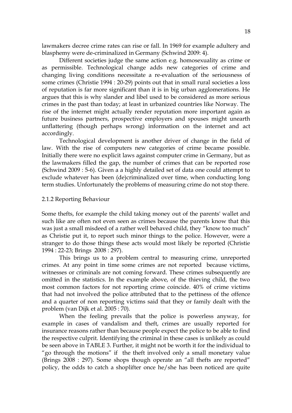lawmakers decree crime rates can rise or fall. In 1969 for example adultery and blasphemy were de-criminalized in Germany (Schwind 2009: 4).

Different societies judge the same action e.g. homosexuality as crime or as permissible. Technological change adds new categories of crime and changing living conditions necessitate a re-evaluation of the seriousness of some crimes (Christie 1994 : 20-29) points out that in small rural societies a loss of reputation is far more significant than it is in big urban agglomerations. He argues that this is why slander and libel used to be considered as more serious crimes in the past than today; at least in urbanized countries like Norway. The rise of the internet might actually render reputation more important again as future business partners, prospective employers and spouses might unearth unflattering (though perhaps wrong) information on the internet and act accordingly.

Technological development is another driver of change in the field of law. With the rise of computers new categories of crime became possible. Initially there were no explicit laws against computer crime in Germany, but as the lawmakers filled the gap, the number of crimes that can be reported rose (Schwind 2009 : 5-6). Given a a highly detailed set of data one could attempt to exclude whatever has been (de)criminalized over time, when conducting long term studies. Unfortunately the problems of measuring crime do not stop there.

#### 2.1.2 Reporting Behaviour

Some thefts, for example the child taking money out of the parents' wallet and such like are often not even seen as crimes because the parents know that this was just a small misdeed of a rather well behaved child, they "know too much" as Christie put it, to report such minor things to the police. However, were a stranger to do those things these acts would most likely be reported (Christie 1994 : 22-23; Brings 2008 : 297).

This brings us to a problem central to measuring crime, unreported crimes. At any point in time some crimes are not reported because victims, witnesses or criminals are not coming forward. These crimes subsequently are omitted in the statistics. In the example above, of the thieving child, the two most common factors for not reporting crime coincide. 40% of crime victims that had not involved the police attributed that to the pettiness of the offence and a quarter of non reporting victims said that they or family dealt with the problem (van Dijk et al. 2005 : 70).

When the feeling prevails that the police is powerless anyway, for example in cases of vandalism and theft, crimes are usually reported for insurance reasons rather than because people expect the police to be able to find the respective culprit. Identifying the criminal in these cases is unlikely as could be seen above in TABLE 3. Further, it might not be worth it for the individual to "go through the motions" if the theft involved only a small monetary value (Brings 2008 : 297). Some shops though operate an "all thefts are reported" policy, the odds to catch a shoplifter once he/she has been noticed are quite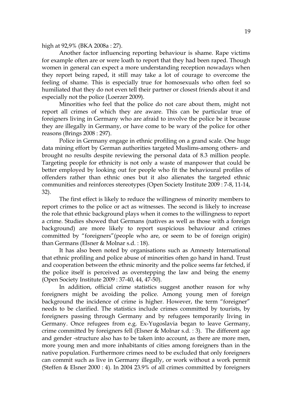high at 92,9% (BKA 2008a : 27).

Another factor influencing reporting behaviour is shame. Rape victims for example often are or were loath to report that they had been raped. Though women in general can expect a more understanding reception nowadays when they report being raped, it still may take a lot of courage to overcome the feeling of shame. This is especially true for homosexuals who often feel so humiliated that they do not even tell their partner or closest friends about it and especially not the police (Loerzer 2009).

Minorities who feel that the police do not care about them, might not report all crimes of which they are aware. This can be particular true of foreigners living in Germany who are afraid to involve the police be it because they are illegally in Germany, or have come to be wary of the police for other reasons (Brings 2008 : 297).

Police in Germany engage in ethnic profiling on a grand scale. One huge data mining effort by German authorities targeted Muslims-among others- and brought no results despite reviewing the personal data of 8.3 million people. Targeting people for ethnicity is not only a waste of manpower that could be better employed by looking out for people who fit the behavioural profiles of offenders rather than ethnic ones but it also alienates the targeted ethnic communities and reinforces stereotypes (Open Society Institute 2009 : 7-8, 11-14, 32).

The first effect is likely to reduce the willingness of minority members to report crimes to the police or act as witnesses. The second is likely to increase the role that ethnic background plays when it comes to the willingness to report a crime. Studies showed that Germans (natives as well as those with a foreign background) are more likely to report suspicious behaviour and crimes committed by "foreigners"(people who are, or seem to be of foreign origin) than Germans (Elsner & Molnar s.d. : 18).

It has also been noted by organisations such as Amnesty International that ethnic profiling and police abuse of minorities often go hand in hand. Trust and cooperation between the ethnic minority and the police seems far fetched, if the police itself is perceived as overstepping the law and being the enemy (Open Society Institute 2009 : 37-40, 44, 47-50).

In addition, official crime statistics suggest another reason for why foreigners might be avoiding the police. Among young men of foreign background the incidence of crime is higher. However, the term "foreigner" needs to be clarified. The statistics include crimes committed by tourists, by foreigners passing through Germany and by refugees temporarily living in Germany. Once refugees from e.g. Ex-Yugoslavia began to leave Germany, crime committed by foreigners fell (Elsner & Molnar s.d. : 3). The different age and gender -structure also has to be taken into account, as there are more men, more young men and more inhabitants of cities among foreigners than in the native population. Furthermore crimes need to be excluded that only foreigners can commit such as live in Germany illegally, or work without a work permit (Steffen & Elsner 2000 : 4). In 2004 23.9% of all crimes committed by foreigners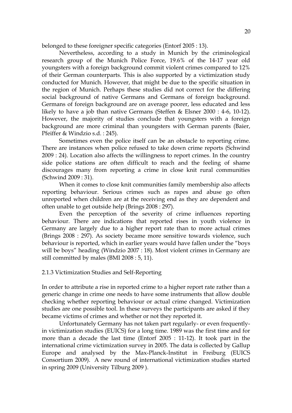belonged to these foreigner specific categories (Entorf 2005 : 13).

Nevertheless, according to a study in Munich by the criminological research group of the Munich Police Force, 19.6% of the 14-17 year old youngsters with a foreign background commit violent crimes compared to 12% of their German counterparts. This is also supported by a victimization study conducted for Munich. However, that might be due to the specific situation in the region of Munich. Perhaps these studies did not correct for the differing social background of native Germans and Germans of foreign background. Germans of foreign background are on average poorer, less educated and less likely to have a job than native Germans (Steffen & Elsner 2000 : 4-6, 10-12). However, the majority of studies conclude that youngsters with a foreign background are more criminal than youngsters with German parents (Baier, Pfeiffer & Windzio s.d. : 245).

Sometimes even the police itself can be an obstacle to reporting crime. There are instances when police refused to take down crime reports (Schwind 2009 : 24). Location also affects the willingness to report crimes. In the country side police stations are often difficult to reach and the feeling of shame discourages many from reporting a crime in close knit rural communities (Schwind 2009 : 31).

When it comes to close knit communities family membership also affects reporting behaviour. Serious crimes such as rapes and abuse go often unreported when children are at the receiving end as they are dependent and often unable to get outside help (Brings 2008 : 297).

Even the perception of the severity of crime influences reporting behaviour. There are indications that reported rises in youth violence in Germany are largely due to a higher report rate than to more actual crimes (Brings 2008 : 297). As society became more sensitive towards violence, such behaviour is reported, which in earlier years would have fallen under the "boys will be boys" heading (Windzio 2007 : 18). Most violent crimes in Germany are still committed by males (BMI 2008 : 5, 11).

2.1.3 Victimization Studies and Self-Reporting

In order to attribute a rise in reported crime to a higher report rate rather than a generic change in crime one needs to have some instruments that allow double checking whether reporting behaviour or actual crime changed. Victimization studies are one possible tool. In these surveys the participants are asked if they became victims of crimes and whether or not they reported it.

Unfortunately Germany has not taken part regularly- or even frequentlyin victimization studies (EUICS) for a long time. 1989 was the first time and for more than a decade the last time (Entorf 2005 : 11-12). It took part in the international crime victimization survey in 2005. The data is collected by Gallup Europe and analysed by the Max-Planck-Institut in Freiburg (EUICS Consortium 2009). A new round of international victimization studies started in spring 2009 (University Tilburg 2009 ).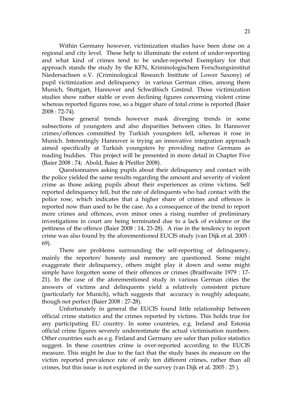Within Germany however, victimization studies have been done on a regional and city level. These help to illuminate the extent of under-reporting and what kind of crimes tend to be under-reported Exemplary for that approach stands the study by the KFN, Kriminologischem Forschungsinstitut Niedersachsen e.V. (Criminological Research Institute of Lower Saxony) of pupil victimization and delinquency in various German cities, among them Munich, Stuttgart, Hannover and Schwäbisch Gmünd. Those victimization studies show rather stable or even declining figures concerning violent crime whereas reported figures rose, so a bigger share of total crime is reported (Baier 2008 : 72-74).

These general trends however mask diverging trends in some subsections of youngsters and also disparities between cities. In Hannover crimes/offences committed by Turkish youngsters fell, whereas it rose in Munich. Interestingly Hannover is trying an innovative integration approach aimed specifically at Turkish youngsters by providing native Germans as reading buddies. This project will be presented in more detail in Chapter Five (Baier 2008 : 74; Abold, Baier & Pfeiffer 2008).

Questionnaires asking pupils about their delinquency and contact with the police yielded the same results regarding the amount and severity of violent crime as those asking pupils about their experiences as crime victims. Self reported delinquency fell, but the rate of delinquents who had contact with the police rose, which indicates that a higher share of crimes and offences is reported now than used to be the case. As a consequence of the trend to report more crimes and offences, even minor ones a rising number of preliminary investigations in court are being terminated due to a lack of evidence or the pettiness of the offence (Baier 2008 : 14, 23-28). A rise in the tendency to report crime was also found by the aforementioned EUCIS study (van Dijk et al. 2005 : 69).

There are problems surrounding the self-reporting of delinquency, mainly the reporters' honesty and memory are questioned. Some might exaggerate their delinquency, others might play it down and some might simple have forgotten some of their offences or crimes (Braithwaite 1979 : 17- 21). In the case of the aforementioned study in various German cities the answers of victims and delinquents yield a relatively consistent picture (particularly for Munich), which suggests that accuracy is roughly adequate, though not perfect (Baier 2008 : 27-28).

Unfortunately in general the EUCIS found little relationship between official crime statistics and the crimes reported by victims. This holds true for any participating EU country. In some countries, e.g. Ireland and Estonia official crime figures severely underestimate the actual victimisation numbers. Other countries such as e.g. Finland and Germany are safer than police statistics suggest. In these countries crime is over-reported according to the EUCIS measure. This might be due to the fact that the study bases its measure on the victim reported prevalence rate of only ten different crimes, rather than all crimes, but this issue is not explored in the survey (van Dijk et al. 2005 : 25 ).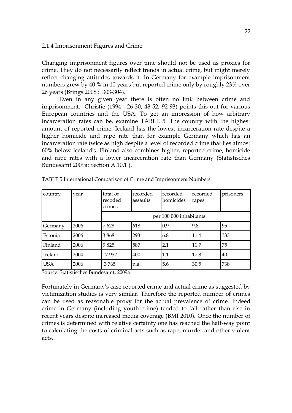### 2.1.4 Imprisonment Figures and Crime

Changing imprisonment figures over time should not be used as proxies for crime. They do not necessarily reflect trends in actual crime, but might merely reflect changing attitudes towards it. In Germany for example imprisonment numbers grew by 40 % in 10 years but reported crime only by roughly 23% over 26 years (Brings 2008 : 303-304).

Even in any given year there is often no link between crime and imprisonment. Christie (1994 : 26-30, 48-52, 92-93) points this out for various European countries and the USA. To get an impression of how arbitrary incarceration rates can be, examine TABLE 5. The country with the highest amount of reported crime, Iceland has the lowest incarceration rate despite a higher homicide and rape rate than for example Germany which has an incarceration rate twice as high despite a level of recorded crime that lies almost 60% below Iceland's. Finland also combines higher, reported crime, homicide and rape rates with a lower incarceration rate than Germany (Statistisches Bundesamt 2009a: Section A.10.1 ).

| country    | year | total of<br>recoded<br>crimes | recorded<br>assaults | recorded<br>homicides   | recorded<br>rapes | prisoners |
|------------|------|-------------------------------|----------------------|-------------------------|-------------------|-----------|
|            |      |                               |                      | per 100 000 inhabitants |                   |           |
| Germany    | 2006 | 7628                          | 618                  | 0.9                     | 9.8               | 95        |
| Estonia    | 2006 | 3868                          | 293                  | 6.8                     | 11.4              | 333       |
| Finland    | 2006 | 9825                          | 587                  | 2.1                     | 11.7              | 75        |
| Iceland    | 2004 | 17952                         | 400                  | 1.1                     | 17.8              | 40        |
| <b>USA</b> | 2006 | 3765                          | n.a.                 | 5.6                     | 30.5              | 738       |

TABLE 5 International Comparison of Crime and Imprisonment Numbers

Source: Statistisches Bundesamt, 2009a

Fortunately in Germany's case reported crime and actual crime as suggested by victimization studies is very similar. Therefore the reported number of crimes can be used as reasonable proxy for the actual prevalence of crime. Indeed crime in Germany (including youth crime) tended to fall rather than rise in recent years despite increased media coverage (BMI 2010). Once the number of crimes is determined with relative certainty one has reached the half-way point to calculating the costs of criminal acts such as rape, murder and other violent acts.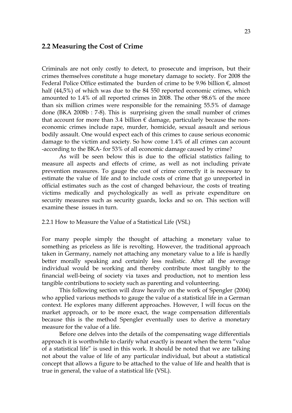### **2.2 Measuring the Cost of Crime**

Criminals are not only costly to detect, to prosecute and imprison, but their crimes themselves constitute a huge monetary damage to society. For 2008 the Federal Police Office estimated the burden of crime to be 9.96 billion  $\epsilon$ , almost half (44,5%) of which was due to the 84 550 reported economic crimes, which amounted to 1.4% of all reported crimes in 2008. The other 98.6% of the more than six million crimes were responsible for the remaining 55.5% of damage done (BKA 2008b : 7-8). This is surprising given the small number of crimes that account for more than 3.4 billion  $\epsilon$  damage, particularly because the noneconomic crimes include rape, murder, homicide, sexual assault and serious bodily assault. One would expect each of this crimes to cause serious economic damage to the victim and society. So how come 1.4% of all crimes can account -according to the BKA- for 53% of all economic damage caused by crime?

As will be seen below this is due to the official statistics failing to measure all aspects and effects of crime, as well as not including private prevention measures. To gauge the cost of crime correctly it is necessary to estimate the value of life and to include costs of crime that go unreported in official estimates such as the cost of changed behaviour, the costs of treating victims medically and psychologically as well as private expenditure on security measures such as security guards, locks and so on. This section will examine these issues in turn.

#### 2.2.1 How to Measure the Value of a Statistical Life (VSL)

For many people simply the thought of attaching a monetary value to something as priceless as life is revolting. However, the traditional approach taken in Germany, namely not attaching any monetary value to a life is hardly better morally speaking and certainly less realistic. After all the average individual would be working and thereby contribute most tangibly to the financial well-being of society via taxes and production, not to mention less tangible contributions to society such as parenting and volunteering.

This following section will draw heavily on the work of Spengler (2004) who applied various methods to gauge the value of a statistical life in a German context. He explores many different approaches. However, I will focus on the market approach, or to be more exact, the wage compensation differentials because this is the method Spengler eventually uses to derive a monetary measure for the value of a life.

Before one delves into the details of the compensating wage differentials approach it is worthwhile to clarify what exactly is meant when the term "value of a statistical life" is used in this work. It should be noted that we are talking not about the value of life of any particular individual, but about a statistical concept that allows a figure to be attached to the value of life and health that is true in general, the value of a statistical life (VSL).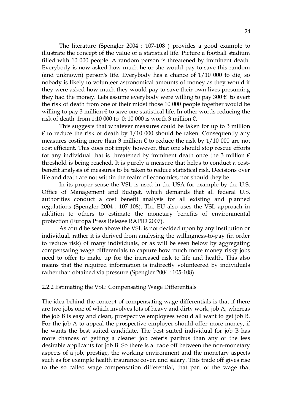The literature (Spengler 2004 : 107-108 ) provides a good example to illustrate the concept of the value of a statistical life. Picture a football stadium filled with 10 000 people. A random person is threatened by imminent death. Everybody is now asked how much he or she would pay to save this random (and unknown) person's life. Everybody has a chance of 1/10 000 to die, so nobody is likely to volunteer astronomical amounts of money as they would if they were asked how much they would pay to save their own lives presuming they had the money. Lets assume everybody were willing to pay 300  $\epsilon$  to avert the risk of death from one of their midst those 10 000 people together would be willing to pay 3 million  $\epsilon$  to save one statistical life. In other words reducing the risk of death from 1:10 000 to 0:10 000 is worth 3 million  $\epsilon$ .

This suggests that whatever measures could be taken for up to 3 million  $\epsilon$  to reduce the risk of death by 1/10 000 should be taken. Consequently any measures costing more than 3 million  $\epsilon$  to reduce the risk by 1/10 000 are not cost efficient. This does not imply however, that one should stop rescue efforts for any individual that is threatened by imminent death once the 3 million  $\epsilon$ threshold is being reached. It is purely a measure that helps to conduct a costbenefit analysis of measures to be taken to reduce statistical risk. Decisions over life and death are not within the realm of economics, nor should they be.

In its proper sense the VSL is used in the USA for example by the U.S. Office of Management and Budget, which demands that all federal U.S. authorities conduct a cost benefit analysis for all existing and planned regulations (Spengler 2004 : 107-108). The EU also uses the VSL approach in addition to others to estimate the monetary benefits of environmental protection (Europa Press Release RAPID 2007).

As could be seen above the VSL is not decided upon by any institution or individual, rather it is derived from analysing the willingness-to-pay (in order to reduce risk) of many individuals, or as will be seen below by aggregating compensating wage differentials to capture how much more money risky jobs need to offer to make up for the increased risk to life and health. This also means that the required information is indirectly volunteered by individuals rather than obtained via pressure (Spengler 2004 : 105-108).

#### 2.2.2 Estimating the VSL: Compensating Wage Differentials

The idea behind the concept of compensating wage differentials is that if there are two jobs one of which involves lots of heavy and dirty work, job A, whereas the job B is easy and clean, prospective employees would all want to get job B. For the job A to appeal the prospective employer should offer more money, if he wants the best suited candidate. The best suited individual for job B has more chances of getting a cleaner job ceteris paribus than any of the less desirable applicants for job B. So there is a trade off between the non-monetary aspects of a job, prestige, the working environment and the monetary aspects such as for example health insurance cover, and salary. This trade off gives rise to the so called wage compensation differential, that part of the wage that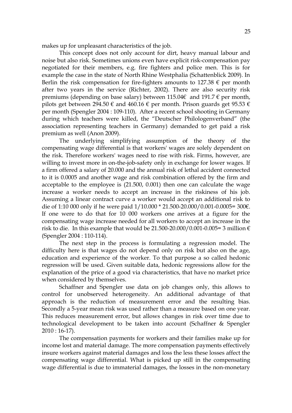makes up for unpleasant characteristics of the job.

This concept does not only account for dirt, heavy manual labour and noise but also risk. Sometimes unions even have explicit risk-compensation pay negotiated for their members, e.g. fire fighters and police men. This is for example the case in the state of North Rhine Westphalia (Schattenblick 2009). In Berlin the risk compensation for fire-fighters amounts to 127.38  $\epsilon$  per month after two years in the service (Richter, 2002). There are also security risk premiums (depending on base salary) between 115.04 $\epsilon$  and 191.7  $\epsilon$  per month, pilots get between 294.50  $\epsilon$  and 460.16  $\epsilon$  per month. Prison guards get 95.53  $\epsilon$ per month (Spengler 2004 : 109-110). After a recent school shooting in Germany during which teachers were killed, the "Deutscher Philologenverband" (the association representing teachers in Germany) demanded to get paid a risk premium as well (Anon 2009).

The underlying simplifying assumption of the theory of the compensating wage differential is that workers' wages are solely dependent on the risk. Therefore workers' wages need to rise with risk. Firms, however, are willing to invest more in on-the-job-safety only in exchange for lower wages. If a firm offered a salary of 20.000 and the annual risk of lethal accident connected to it is 0.0005 and another wage and risk combination offered by the firm and acceptable to the employee is (21.500, 0.001) then one can calculate the wage increase a worker needs to accept an increase in the riskiness of his job. Assuming a linear contract curve a worker would accept an additional risk to die of 1:10 000 only if he were paid  $1/10.000 * 21.500 - 20.000 / 0.001 - 0.0005 = 300 \epsilon$ . If one were to do that for 10 000 workers one arrives at a figure for the compensating wage increase needed for all workers to accept an increase in the risk to die. In this example that would be 21.500-20.000/0.001-0.005= 3 million  $\epsilon$ (Spengler 2004 : 110-114).

The next step in the process is formulating a regression model. The difficulty here is that wages do not depend only on risk but also on the age, education and experience of the worker. To that purpose a so called hedonic regression will be used. Given suitable data, hedonic regressions allow for the explanation of the price of a good via characteristics, that have no market price when considered by themselves.

Schaffner and Spengler use data on job changes only, this allows to control for unobserved heterogeneity. An additional advantage of that approach is the reduction of measurement error and the resulting bias. Secondly a 5-year mean risk was used rather than a measure based on one year. This reduces measurement error, but allows changes in risk over time due to technological development to be taken into account (Schaffner & Spengler 2010 : 16-17).

The compensation payments for workers and their families make up for income lost and material damage. The more compensation payments effectively insure workers against material damages and loss the less these losses affect the compensating wage differential. What is picked up still in the compensating wage differential is due to immaterial damages, the losses in the non-monetary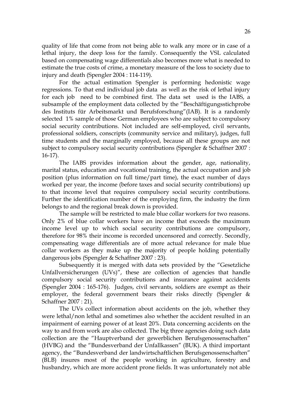quality of life that come from not being able to walk any more or in case of a lethal injury, the deep loss for the family. Consequently the VSL calculated based on compensating wage differentials also becomes more what is needed to estimate the true costs of crime, a monetary measure of the loss to society due to injury and death (Spengler 2004 : 114-119).

For the actual estimation Spengler is performing hedonistic wage regressions. To that end individual job data as well as the risk of lethal injury for each job need to be combined first. The data set used is the IABS, a subsample of the employment data collected by the "Beschäftigungsstichprobe des Instituts für Arbeitsmarkt und Berufsforschung"(IAB). It is a randomly selected 1% sample of those German employees who are subject to compulsory social security contributions. Not included are self-employed, civil servants, professional soldiers, conscripts (community service and military), judges, full time students and the marginally employed, because all these groups are not subject to compulsory social security contributions (Spengler & Schaffner 2007 : 16-17).

The IABS provides information about the gender, age, nationality, marital status, education and vocational training, the actual occupation and job position (plus information on full time/part time), the exact number of days worked per year, the income (before taxes and social security contributions) up to that income level that requires compulsory social security contributions. Further the identification number of the employing firm, the industry the firm belongs to and the regional break down is provided.

The sample will be restricted to male blue collar workers for two reasons. Only 2% of blue collar workers have an income that exceeds the maximum income level up to which social security contributions are compulsory, therefore for 98% their income is recorded uncensored and correctly. Secondly, compensating wage differentials are of more actual relevance for male blue collar workers as they make up the majority of people holding potentially dangerous jobs (Spengler & Schaffner 2007 : 23).

Subsequently it is merged with data sets provided by the "Gesetzliche Unfallversicherungen (UVs)", these are collection of agencies that handle compulsory social security contributions and insurance against accidents (Spengler 2004 : 165-176). Judges, civil servants, soldiers are exempt as their employer, the federal government bears their risks directly (Spengler & Schaffner 2007 : 21).

The UVs collect information about accidents on the job, whether they were lethal/non lethal and sometimes also whether the accident resulted in an impairment of earning power of at least 20%. Data concerning accidents on the way to and from work are also collected. The big three agencies doing such data collection are the "Hauptverband der gewerblichen Berufsgenossenschaften" (HVBG) and the "Bundesverband der Unfallkassen" (BUK). A third important agency, the "Bundesverband der landwirtschaftlichen Berufsgenossenschaften" (BLB) insures most of the people working in agriculture, forestry and husbandry, which are more accident prone fields. It was unfortunately not able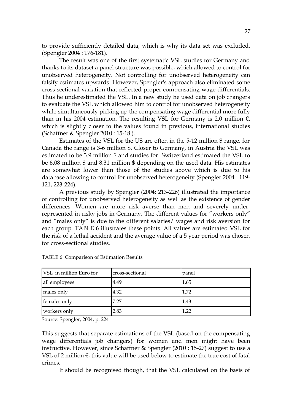to provide sufficiently detailed data, which is why its data set was excluded. (Spengler 2004 : 176-181).

The result was one of the first systematic VSL studies for Germany and thanks to its dataset a panel structure was possible, which allowed to control for unobserved heterogeneity. Not controlling for unobserved heterogeneity can falsify estimates upwards. However, Spengler's approach also eliminated some cross sectional variation that reflected proper compensating wage differentials. Thus he underestimated the VSL. In a new study he used data on job changers to evaluate the VSL which allowed him to control for unobserved heterogeneity while simultaneously picking up the compensating wage differential more fully than in his 2004 estimation. The resulting VSL for Germany is 2.0 million  $\epsilon$ , which is slightly closer to the values found in previous, international studies (Schaffner & Spengler 2010 : 15-18 ).

Estimates of the VSL for the US are often in the 5-12 million \$ range, for Canada the range is 3-6 million \$. Closer to Germany, in Austria the VSL was estimated to be 3.9 million \$ and studies for Switzerland estimated the VSL to be 6.08 million \$ and 8.31 million \$ depending on the used data. His estimates are somewhat lower than those of the studies above which is due to his database allowing to control for unobserved heterogeneity (Spengler 2004 : 119- 121, 223-224).

A previous study by Spengler (2004: 213-226) illustrated the importance of controlling for unobserved heterogeneity as well as the existence of gender differences. Women are more risk averse than men and severely underrepresented in risky jobs in Germany. The different values for "workers only" and "males only" is due to the different salaries/ wages and risk aversion for each group. TABLE 6 illustrates these points. All values are estimated VSL for the risk of a lethal accident and the average value of a 5 year period was chosen for cross-sectional studies.

| VSL in million Euro for | cross-sectional | panel |
|-------------------------|-----------------|-------|
| all employees           | 4.49            | 1.65  |
| males only              | 4.32            | 1.72  |
| females only            | 7.27            | 1.43  |
| workers only            | 2.83            | 1.22  |

TABLE 6 Comparison of Estimation Results

Source: Spengler, 2004, p. 224

This suggests that separate estimations of the VSL (based on the compensating wage differentials job changers) for women and men might have been instructive. However, since Schaffner & Spengler (2010 : 15-27) suggest to use a VSL of 2 million  $\epsilon$ , this value will be used below to estimate the true cost of fatal crimes.

It should be recognised though, that the VSL calculated on the basis of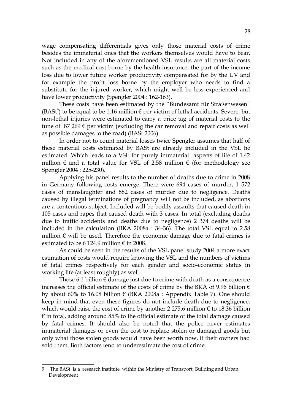wage compensating differentials gives only those material costs of crime besides the immaterial ones that the workers themselves would have to bear. Not included in any of the aforementioned VSL results are all material costs such as the medical cost borne by the health insurance, the part of the income loss due to lower future worker productivity compensated for by the UV and for example the profit loss borne by the employer who needs to find a substitute for the injured worker, which might well be less experienced and have lower productivity (Spengler 2004 : 162-163).

These costs have been estimated by the "Bundesamt für Straßenwesen"  $(BASt<sup>9</sup>)$  $(BASt<sup>9</sup>)$  $(BASt<sup>9</sup>)$  to be equal to be 1.16 million  $\epsilon$  per victim of lethal accidents. Severe, but non-lethal injuries were estimated to carry a price tag of material costs to the tune of 87 269  $\epsilon$  per victim (excluding the car removal and repair costs as well as possible damages to the road) (BASt 2006).

In order not to count material losses twice Spengler assumes that half of these material costs estimated by BASt are already included in the VSL he estimated. Which leads to a VSL for purely immaterial aspects of life of 1.42 million  $\epsilon$  and a total value for VSL of 2.58 million  $\epsilon$  (for methodology see Spengler 2004 : 225-230).

Applying his panel results to the number of deaths due to crime in 2008 in Germany following costs emerge. There were 694 cases of murder, 1 572 cases of manslaughter and 882 cases of murder due to negligence. Deaths caused by illegal terminations of pregnancy will not be included, as abortions are a contentious subject. Included will be bodily assaults that caused death in 105 cases and rapes that caused death with 3 cases. In total (excluding deaths due to traffic accidents and deaths due to negligence) 2 374 deaths will be included in the calculation (BKA 2008a : 34-36). The total VSL equal to 2.58 million  $\epsilon$  will be used. Therefore the economic damage due to fatal crimes is estimated to be 6 124.9 million  $\epsilon$  in 2008.

As could be seen in the results of the VSL panel study 2004 a more exact estimation of costs would require knowing the VSL and the numbers of victims of fatal crimes respectively for each gender and socio-economic status in working life (at least roughly) as well.

Those 6.1 billion  $\epsilon$  damage just due to crime with death as a consequence increases the official estimate of the costs of crime by the BKA of 9.96 billion  $\epsilon$ by about 60% to 16.08 billion  $\epsilon$  (BKA 2008a : Appendix Table 7). One should keep in mind that even these figures do not include death due to negligence, which would raise the cost of crime by another 2 275.6 million  $\epsilon$  to 18.36 billion  $\epsilon$  in total, adding around 85% to the official estimate of the total damage caused by fatal crimes. It should also be noted that the police never estimates immaterial damages or even the cost to replace stolen or damaged goods but only what those stolen goods would have been worth now, if their owners had sold them. Both factors tend to underestimate the cost of crime.

<span id="page-27-0"></span><sup>9</sup> The BASt is a research institute within the Ministry of Transport, Building and Urban Development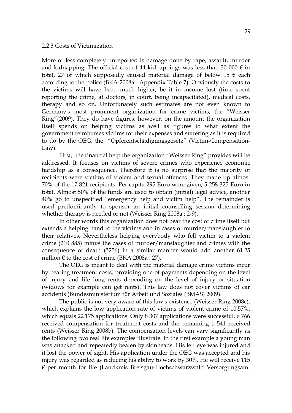#### 2.2.3 Costs of Victimization

More or less completely unreported is damage done by rape, assault, murder and kidnapping. The official cost of 44 kidnappings was less than 30 000  $\epsilon$  in total, 27 of which supposedly caused material damage of below 15  $\epsilon$  each according to the police (BKA 2008a : Appendix Table 7). Obviously the costs to the victims will have been much higher, be it in income lost (time spent reporting the crime, at doctors, in court, being incapacitated), medical costs, therapy and so on. Unfortunately such estimates are not even known to Germany's most prominent organization for crime victims, the "Weisser Ring"(2009). They do have figures, however, on the amount the organization itself spends on helping victims as well as figures to what extent the government reimburses victims for their expenses and suffering as it is required to do by the OEG, the "Opferentschädigungsgesetz" (Victim-Compensation-Law).

First, the financial help the organization "Weisser Ring" provides will be addressed. It focuses on victims of severe crimes who experience economic hardship as a consequence. Therefore it is no surprise that the majority of recipients were victims of violent and sexual offences. They made up almost 70% of the 17 821 recipients. Per capita 295 Euro were given, 5 258 325 Euro in total. Almost 50% of the funds are used to obtain (initial) legal advice, another 40% go to unspecified "emergency help and victim help". The remainder is used predominantly to sponsor an initial counselling session determining whether therapy is needed or not (Weisser Ring 2008a : 2-9).

In other words this organization does not bear the cost of crime itself but extends a helping hand to the victims and in cases of murder/manslaughter to their relatives. Nevertheless helping everybody who fell victim to a violent crime (210 885) minus the cases of murder/manslaughter and crimes with the consequence of death (3256) in a similar manner would add another 61.25 million  $\epsilon$  to the cost of crime (BKA 2008a : 27).

The OEG is meant to deal with the material damage crime victims incur by bearing treatment costs, providing one-of-payments depending on the level of injury and life long rents depending on the level of injury or situation (widows for example can get rents). This law does not cover victims of car accidents (Bundesministerium für Arbeit und Soziales (BMAS) 2009).

The public is not very aware of this law's existence (Weisser Ring 2008c), which explains the low application rate of victims of violent crime of 10.57%, which equals 22 175 applications. Only 8 307 applications were successful. 6 766 received compensation for treatment costs and the remaining 1 541 received rents (Weisser Ring 2008b). The compensation levels can vary significantly as the following two real life examples illustrate. In the first example a young man was attacked and repeatedly beaten by skinheads. His left eye was injured and it lost the power of sight. His application under the OEG was accepted and his injury was regarded as reducing his ability to work by 30%. He will receive 115 € per month for life (Landkreis Breisgau-Hochschwarzwald Versorgungsamt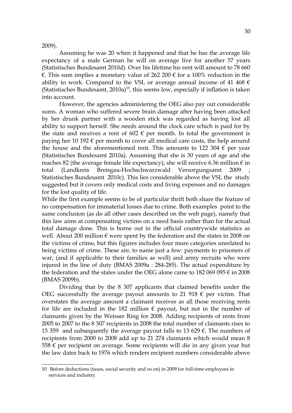#### 2009).

Assuming he was 20 when it happened and that he has the average life expectancy of a male German he will on average live for another 57 years (Statistisches Bundesamt 2010d). Over his lifetime his rent will amount to 78 660 €. This sum implies a monetary value of 262 200 € for a 100% reduction in the ability to work. Compared to the VSL or average annual income of 41 468  $\epsilon$ (Statistisches Bundesamt,  $2010a$  $2010a$  $2010a$ )<sup>10</sup>, this seems low, especially if inflation is taken into account.

However, the agencies administering the OEG also pay out considerable sums. A woman who suffered severe brain damage after having been attacked by her drunk partner with a wooden stick was regarded as having lost all ability to support herself. She needs around the clock care which is paid for by the state and receives a rent of 602  $\epsilon$  per month. In total the government is paying her 10 192  $\epsilon$  per month to cover all medical care costs, the help around the house and the aforementioned rent. This amounts to 122 304  $\epsilon$  per year (Statistisches Bundesamt 2010a). Assuming that she is 30 years of age and she reaches 82 (the average female life expectancy), she will receive 6.36 million  $\epsilon$  in total (Landkreis Breisgau-Hochschwarzwald Versorgungsamt 2009 Statistisches Bundesamt 2010c). This lies considerable above the VSL the study suggested but it covers only medical costs and living expenses and no damages for the lost quality of life.

While the first example seems to be of particular thrift both share the feature of no compensation for immaterial losses due to crime. Both examples point to the same conclusion (as do all other cases described on the web page), namely that this law aims at compensating victims on a need basis rather than for the actual total damage done. This is borne out in the official countrywide statistics as well. About 200 million  $\epsilon$  were spent by the federation and the states in 2008 on the victims of crime, but this figures includes four more categories unrelated to being victims of crime. These are, to name just a few: payments to prisoners of war, (and if applicable to their families as well) and army recruits who were injured in the line of duty (BMAS 2009a : 284-285). The actual expenditure by the federation and the states under the OEG alone came to 182 069 095  $\epsilon$  in 2008 (BMAS 2009b).

Dividing that by the 8 307 applicants that claimed benefits under the OEG successfully the average payout amounts to 21 918  $\epsilon$  per victim. That overstates the average amount a claimant receives as all those receiving rents for life are included in the 182 million  $\epsilon$  payout, but not in the number of claimants given by the Weisser Ring for 2008. Adding recipients of rents from 2005 to 2007 to the 8 307 recipients in 2008 the total number of claimants rises to 13 359 and subsequently the average payout falls to 13 629  $\epsilon$ . The numbers of recipients from 2000 to 2008 add up to 21 274 claimants which would mean 8 558  $€$  per recipient on average. Some recipients will die in any given year but the law dates back to 1976 which renders recipient numbers considerable above

<span id="page-29-0"></span><sup>10</sup> Before deductions (taxes, social security and so on) in 2009 for full-time employees in services and industry.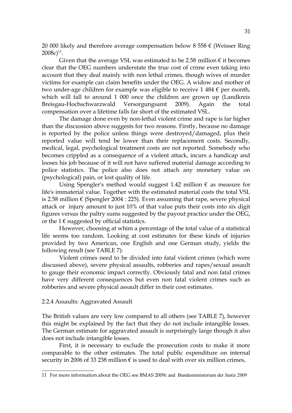20 000 likely and therefore average compensation below 8 558  $\epsilon$  (Weisser Ring  $2008c)^{11}$  $2008c)^{11}$  $2008c)^{11}$ .

Given that the average VSL was estimated to be 2.58 million  $\epsilon$  it becomes clear that the OEG numbers understate the true cost of crime even taking into account that they deal mainly with non lethal crimes, though wives of murder victims for example can claim benefits under the OEG. A widow and mother of two under-age children for example was eligible to receive 1 484  $\epsilon$  per month, which will fall to around 1 000 once the children are grown up (Landkreis Breisgau-Hochschwarzwald Versorgungsamt 2009). Again the total compensation over a lifetime falls far short of the estimated VSL.

The damage done even by non-lethal violent crime and rape is far higher than the discussion above suggests for two reasons. Firstly, because no damage is reported by the police unless things were destroyed/damaged, plus their reported value will tend be lower than their replacement costs. Secondly, medical, legal, psychological treatment costs are not reported. Somebody who becomes crippled as a consequence of a violent attack, incurs a handicap and looses his job because of it will not have suffered material damage according to police statistics. The police also does not attach any monetary value on (psychological) pain, or lost quality of life.

Using Spengler's method would suggest 1.42 million  $\epsilon$  as measure for life's immaterial value. Together with the estimated material costs the total VSL is 2.58 million  $\epsilon$  (Spengler 2004 : 225). Even assuming that rape, severe physical attack or injury amount to just 10% of that value puts their costs into six digit figures versus the paltry sums suggested by the payout practice under the OEG, or the  $1 \in \text{suggested}$  by official statistics.

However, choosing at whim a percentage of the total value of a statistical life seems too random. Looking at cost estimates for these kinds of injuries provided by two American, one English and one German study, yields the following result (see TABLE 7):

Violent crimes need to be divided into fatal violent crimes (which were discussed above), severe physical assaults, robberies and rapes/sexual assault to gauge their economic impact correctly. Obviously fatal and non fatal crimes have very different consequences but even non fatal violent crimes such as robberies and severe physical assault differ in their cost estimates.

#### 2.2.4 Assaults: Aggravated Assault

The British values are very low compared to all others (see TABLE 7), however this might be explained by the fact that they do not include intangible losses. The German estimate for aggravated assault is surprisingly large though it also does not include intangible losses.

First, it is necessary to exclude the prosecution costs to make it more comparable to the other estimates. The total public expenditure on internal security in 2006 of 33 238 million  $\epsilon$  is used to deal with over six million crimes,

<span id="page-30-0"></span><sup>11</sup> For more information about the OEG see BMAS 2009c and Bundesministerium der Justiz 2009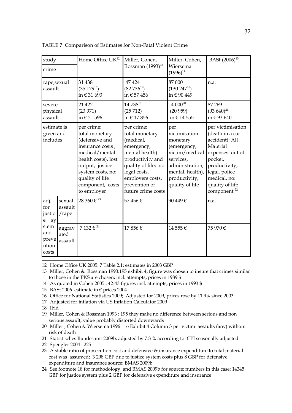| study                                  |                            | Home Office UK <sup>12</sup>                                                                                                                                                                              | Miller, Cohen,<br>Rossman (1993) <sup>13</sup>                                                                                                                                                   | Miller, Cohen,<br>Wiersema                                                                                                                                 | BASt (2006) <sup>15</sup>                                                                                                                                                                         |
|----------------------------------------|----------------------------|-----------------------------------------------------------------------------------------------------------------------------------------------------------------------------------------------------------|--------------------------------------------------------------------------------------------------------------------------------------------------------------------------------------------------|------------------------------------------------------------------------------------------------------------------------------------------------------------|---------------------------------------------------------------------------------------------------------------------------------------------------------------------------------------------------|
| crime                                  |                            |                                                                                                                                                                                                           |                                                                                                                                                                                                  | $(1996)^{14}$                                                                                                                                              |                                                                                                                                                                                                   |
| rape,sexual<br>assault                 |                            | 31 438<br>$(35\ 179^{16})$<br>in € 31 693                                                                                                                                                                 | 47 424<br>$(82 736^{17})$<br>in € 57 456                                                                                                                                                         | 87 000<br>$(130\ 247^{18})$<br>in € 90 449                                                                                                                 | n.a.                                                                                                                                                                                              |
| severe<br>physical<br>assault          |                            | 21 4 22<br>(23971)<br>in € 21 596                                                                                                                                                                         | 14 73819<br>(25712)<br>in € 17856                                                                                                                                                                | 14 000 <sup>20</sup><br>(20959)<br>in € 14 555                                                                                                             | 87 269<br>$(93\ 640)^{21}$<br>in €93640                                                                                                                                                           |
| estimate is<br>given and<br>includes   |                            | per crime:<br>total monetary<br>(defensive and<br>insurance costs,<br>medical/mental<br>health costs), lost<br>output, justice<br>system costs, no:<br>quality of life<br>component, costs<br>to employer | per crime:<br>total monetary<br>(medical,<br>emergency,<br>mental health)<br>productivity and<br>quality of life; no:<br>legal costs,<br>employers costs,<br>prevention of<br>future crime costs | per<br>victimisation:<br>monetary<br>(emergency,<br>victim/medical<br>services,<br>administration,<br>mental, health),<br>productivity,<br>quality of life | per victimisation<br>(death in a car<br>accident): All<br>Material<br>expenses: out of<br>pocket,<br>productivity,<br>legal, police<br>medical, no:<br>quality of life<br>component <sup>22</sup> |
| adj.<br>for<br>justic<br>e<br>sy       | sexual<br>assault<br>/rape | 28 360 € $^{23}$                                                                                                                                                                                          | 57456€                                                                                                                                                                                           | 90 449€                                                                                                                                                    | n.a.                                                                                                                                                                                              |
| stem<br>and<br>preve<br>ntion<br>costs | aggrav<br>ated<br>assault  | 7 132 € 24                                                                                                                                                                                                | 17856€                                                                                                                                                                                           | 14 555€                                                                                                                                                    | 75 970 €                                                                                                                                                                                          |

TABLE 7 Comparison of Estimates for Non-Fatal Violent Crime

<span id="page-31-0"></span>12 Home Office UK 2005: 7 Table 2.1; estimates in 2003 GBP

<span id="page-31-1"></span>13 Miller, Cohen & Rossman 1993:195 exhibit 4; figure was chosen to insure that crimes similar to those in the PKS are chosen; incl. attempts; prices in 1989 \$

<span id="page-31-2"></span>14 As quoted in Cohen 2005 : 42-43 figures incl. attempts; prices in 1993 \$

<span id="page-31-3"></span>15 BASt 2006 estimate in  $\epsilon$  prices 2004

<span id="page-31-4"></span>16 Office for National Statistics 2009; Adjusted for 2009, prices rose by 11.9% since 2003

<span id="page-31-5"></span>17 Adjusted for inflation via US Inflation Calculator 2009

<span id="page-31-6"></span>18 Ibid

<span id="page-31-7"></span>19 Miller, Cohen & Rossman 1993 : 195 they make no difference between serious and non serious assault, value probably distorted downwards

<span id="page-31-8"></span>20 Miller , Cohen & Wiersema 1996 : 16 Exhibit 4 Column 3 per victim assaults (any) without risk of death

<span id="page-31-9"></span>21 Statistisches Bundesamt 2009b; adjusted by 7.3 % according to CPI seasonally adjusted

<span id="page-31-10"></span>22 Spengler 2004 : 225

<span id="page-31-11"></span>23 A stable ratio of prosecution cost and defensive & insurance expenditure to total material cost was assumed; 3 298 GBP due to justice system costs plus 8 GBP for defensive expenditure and insurance source: BMAS 2009b

<span id="page-31-12"></span>24 See footnote 18 for methodology, and BMAS 2009b for source; numbers in this case: 14345 GBP for justice system plus 2 GBP for defensive expenditure and insurance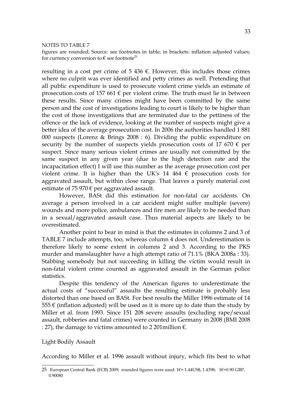#### NOTES TO TABLE 7

figures are rounded; Source: see footnotes in table; in brackets: inflation adjusted values; for currency conversion to  $\epsilon$  see footnote<sup>[25](#page-32-0)</sup>

resulting in a cost per crime of 5 436  $\epsilon$ . However, this includes those crimes where no culprit was ever identified and petty crimes as well. Pretending that all public expenditure is used to prosecute violent crime yields an estimate of prosecution costs of 157 661  $\epsilon$  per violent crime. The truth must lie in between these results. Since many crimes might have been committed by the same person and the cost of investigations leading to court is likely to be higher than the cost of those investigations that are terminated due to the pettiness of the offence or the lack of evidence, looking at the number of suspects might give a better idea of the average prosecution cost. In 2006 the authorities handled 1 881 000 suspects (Lorenz & Brings 2008 : 6). Dividing the public expenditure on security by the number of suspects yields prosecution costs of 17 670  $\epsilon$  per suspect. Since many serious violent crimes are usually not committed by the same suspect in any given year (due to the high detection rate and the incapacitation effect) I will use this number as the average prosecution cost per violent crime. It is higher than the UK's 14 464  $\epsilon$  prosecution costs for aggravated assault, but within close range. That leaves a purely material cost estimate of 75 970  $\epsilon$  per aggravated assault.

However, BASt did this estimation for non-fatal car accidents. On average a person involved in a car accident might suffer multiple (severe) wounds and more police, ambulances and fire men are likely to be needed than in a sexual/aggravated assault case. Thus material aspects are likely to be overestimated.

Another point to bear in mind is that the estimates in columns 2 and 3 of TABLE 7 include attempts, too, whereas column 4 does not. Underestimation is therefore likely to some extent in columns 2 and 3. According to the PKS murder and manslaughter have a high attempt ratio of 71.1% (BKA 2008a : 33). Stabbing somebody but not succeeding in killing the victim would result in non-fatal violent crime counted as aggravated assault in the German police statistics.

Despite this tendency of the American figures to underestimate the actual costs of "successful" assaults the resulting estimate is probably less distorted than one based on BASt. For best results the Miller 1996 estimate of 14 555  $\epsilon$  (inflation adjusted) will be used as it is more up to date than the study by Miller et al. from 1993. Since 151 208 severe assaults (excluding rape/sexual assault, robberies and fatal crimes) were counted in Germany in 2008 (BMI 2008 : 27), the damage to victims amounted to 2 201 million  $\epsilon$ .

#### Light Bodily Assault

According to Miller et al. 1996 assault without injury, which fits best to what

<span id="page-32-0"></span><sup>25</sup> European Central Bank (ECB) 2009; rounded figures were used: 1€= 1.44US\$, 1.4398; 1€=0.90 GBP, 0.90080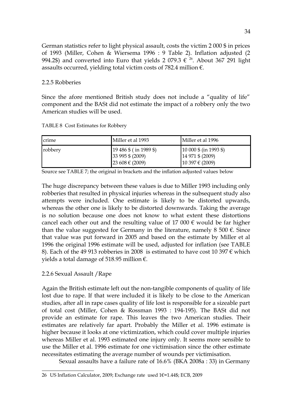German statistics refer to light physical assault, costs the victim 2 000 \$ in prices of 1993 (Miller, Cohen & Wiersema 1996 : 9 Table 2). Inflation adjusted (2 994.2\$)and converted into Euro that yields 2 079.3  $\epsilon^{-26}$ . About 367 291 light assaults occurred, yielding total victim costs of 782.4 million  $\epsilon$ .

# 2.2.5 Robberies

Since the afore mentioned British study does not include a "quality of life" component and the BASt did not estimate the impact of a robbery only the two American studies will be used.

TABLE 8 Cost Estimates for Robbery

| crime   | Miller et al 1993                                                  | Miller et al 1996                                                                       |
|---------|--------------------------------------------------------------------|-----------------------------------------------------------------------------------------|
| robbery | $19\,486\$ (in 1989 \$)<br>$33995$ \$ (2009)<br>$23608 \in (2009)$ | $(10\ 000\ \text{\$} \ (in\ 1993\ \text{\$})$<br>14 971 \$ (2009)<br>$10397 \in (2009)$ |

Source see TABLE 7; the original in brackets and the inflation adjusted values below

The huge discrepancy between these values is due to Miller 1993 including only robberies that resulted in physical injuries whereas in the subsequent study also attempts were included. One estimate is likely to be distorted upwards, whereas the other one is likely to be distorted downwards. Taking the average is no solution because one does not know to what extent these distortions cancel each other out and the resulting value of 17 000  $\epsilon$  would be far higher than the value suggested for Germany in the literature, namely  $8\,500 \text{ }\epsilon$ . Since that value was put forward in 2005 and based on the estimate by Miller et al 1996 the original 1996 estimate will be used, adjusted for inflation (see TABLE 8). Each of the 49 913 robberies in 2008 is estimated to have cost 10 397  $\epsilon$  which yields a total damage of 518.95 million €.

# 2.2.6 Sexual Assault /Rape

Again the British estimate left out the non-tangible components of quality of life lost due to rape. If that were included it is likely to be close to the American studies, after all in rape cases quality of life lost is responsible for a sizeable part of total cost (Miller, Cohen & Rossman 1993 : 194-195). The BASt did not provide an estimate for rape. This leaves the two American studies. Their estimates are relatively far apart. Probably the Miller et al. 1996 estimate is higher because it looks at one victimization, which could cover multiple injuries whereas Miller et al. 1993 estimated one injury only. It seems more sensible to use the Miller et al. 1996 estimate for one victimisation since the other estimate necessitates estimating the average number of wounds per victimisation.

Sexual assaults have a failure rate of 16.6% (BKA 2008a : 33) in Germany

<span id="page-33-0"></span><sup>26</sup> US Inflation Calculator, 2009; Exchange rate used 1€=1.44\$; ECB, 2009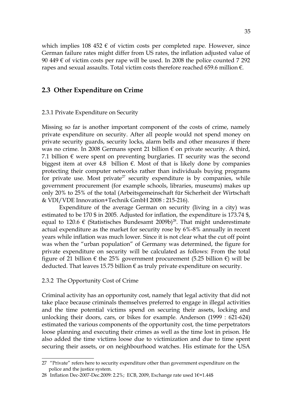which implies 108 452  $\epsilon$  of victim costs per completed rape. However, since German failure rates might differ from US rates, the inflation adjusted value of 90 449  $\epsilon$  of victim costs per rape will be used. In 2008 the police counted 7 292 rapes and sexual assaults. Total victim costs therefore reached 659.6 million €.

### **2.3 Other Expenditure on Crime**

#### 2.3.1 Private Expenditure on Security

Missing so far is another important component of the costs of crime, namely private expenditure on security. After all people would not spend money on private security guards, security locks, alarm bells and other measures if there was no crime. In 2008 Germans spent 21 billion  $\epsilon$  on private security. A third, 7.1 billion  $\epsilon$  were spent on preventing burglaries. IT security was the second biggest item at over 4.8 billion  $\epsilon$ . Most of that is likely done by companies protecting their computer networks rather than individuals buying programs for private use. Most private<sup>[27](#page-34-0)</sup> security expenditure is by companies, while government procurement (for example schools, libraries, museums) makes up only 20% to 25% of the total (Arbeitsgemeinschaft für Sicherheit der Wirtschaft & VDI/VDE Innovation+Technik GmbH 2008 : 215-216).

Expenditure of the average German on security (living in a city) was estimated to be 170 \$ in 2005. Adjusted for inflation, the expenditure is 173.74 \$, equal to 120.6  $\epsilon$  (Statistisches Bundesamt 2009b)<sup>[28](#page-34-1)</sup>. That might underestimate actual expenditure as the market for security rose by 6%-8% annually in recent years while inflation was much lower. Since it is not clear what the cut off point was when the "urban population" of Germany was determined, the figure for private expenditure on security will be calculated as follows: From the total figure of 21 billion € the 25% government procurement (5.25 billion €) will be deducted. That leaves 15.75 billion  $\epsilon$  as truly private expenditure on security.

#### 2.3.2 The Opportunity Cost of Crime

Criminal activity has an opportunity cost, namely that legal activity that did not take place because criminals themselves preferred to engage in illegal activities and the time potential victims spend on securing their assets, locking and unlocking their doors, cars, or bikes for example. Anderson (1999 : 621-624) estimated the various components of the opportunity cost, the time perpetrators loose planning and executing their crimes as well as the time lost in prison. He also added the time victims loose due to victimization and due to time spent securing their assets, or on neighbourhood watches. His estimate for the USA

<span id="page-34-0"></span><sup>27 &</sup>quot;Private" refers here to security expenditure other than government expenditure on the police and the justice system.

<span id="page-34-1"></span><sup>28</sup> Inflation Dec-2007-Dec.2009: 2.2%; ECB, 2009, Exchange rate used 1€=1.44\$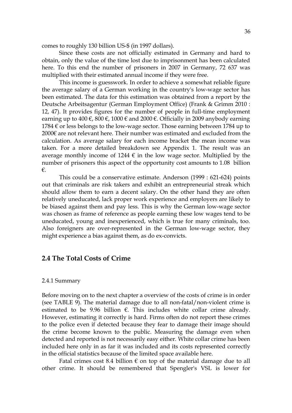comes to roughly 130 billion US-\$ (in 1997 dollars).

Since these costs are not officially estimated in Germany and hard to obtain, only the value of the time lost due to imprisonment has been calculated here. To this end the number of prisoners in 2007 in Germany, 72 637 was multiplied with their estimated annual income if they were free.

This income is guesswork. In order to achieve a somewhat reliable figure the average salary of a German working in the country's low-wage sector has been estimated. The data for this estimation was obtained from a report by the Deutsche Arbeitsagentur (German Employment Office) (Frank & Grimm 2010 : 12, 47). It provides figures for the number of people in full-time employment earning up to 400  $\epsilon$ , 800  $\epsilon$ , 1000  $\epsilon$  and 2000  $\epsilon$ . Officially in 2009 anybody earning  $1784 \text{ }\epsilon$  or less belongs to the low-wage sector. Those earning between 1784 up to 2000€ are not relevant here. Their number was estimated and excluded from the calculation. As average salary for each income bracket the mean income was taken. For a more detailed breakdown see Appendix 1. The result was an average monthly income of 1244  $\epsilon$  in the low wage sector. Multiplied by the number of prisoners this aspect of the opportunity cost amounts to 1.08 billion €.

This could be a conservative estimate. Anderson (1999 : 621-624) points out that criminals are risk takers and exhibit an entrepreneurial streak which should allow them to earn a decent salary. On the other hand they are often relatively uneducated, lack proper work experience and employers are likely to be biased against them and pay less. This is why the German low-wage sector was chosen as frame of reference as people earning these low wages tend to be uneducated, young and inexperienced, which is true for many criminals, too. Also foreigners are over-represented in the German low-wage sector, they might experience a bias against them, as do ex-convicts.

# **2.4 The Total Costs of Crime**

#### 2.4.1 Summary

Before moving on to the next chapter a overview of the costs of crime is in order (see TABLE 9). The material damage due to all non-fatal/non-violent crime is estimated to be 9.96 billion  $\epsilon$ . This includes white collar crime already. However, estimating it correctly is hard. Firms often do not report these crimes to the police even if detected because they fear to damage their image should the crime become known to the public. Measuring the damage even when detected and reported is not necessarily easy either. White collar crime has been included here only in as far it was included and its costs represented correctly in the official statistics because of the limited space available here.

Fatal crimes cost 8.4 billion  $\epsilon$  on top of the material damage due to all other crime. It should be remembered that Spengler's VSL is lower for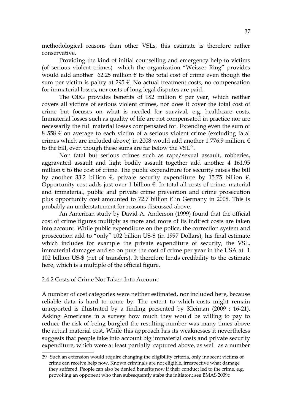methodological reasons than other VSLs, this estimate is therefore rather conservative.

Providing the kind of initial counselling and emergency help to victims (of serious violent crimes) which the organization "Weisser Ring" provides would add another 62.25 million  $\epsilon$  to the total cost of crime even though the sum per victim is paltry at 295  $\epsilon$ . No actual treatment costs, no compensation for immaterial losses, nor costs of long legal disputes are paid.

The OEG provides benefits of 182 million  $\epsilon$  per year, which neither covers all victims of serious violent crimes, nor does it cover the total cost of crime but focuses on what is needed for survival, e.g. healthcare costs. Immaterial losses such as quality of life are not compensated in practice nor are necessarily the full material losses compensated for. Extending even the sum of 8 558  $\epsilon$  on average to each victim of a serious violent crime (excluding fatal crimes which are included above) in 2008 would add another 1 776.9 million.  $\epsilon$ to the bill, even though these sums are far below the  $VSL<sup>29</sup>$  $VSL<sup>29</sup>$  $VSL<sup>29</sup>$ .

Non fatal but serious crimes such as rape/sexual assault, robberies, aggravated assault and light bodily assault together add another 4 161.95 million  $\epsilon$  to the cost of crime. The public expenditure for security raises the bill by another 33.2 billion  $\epsilon$ , private security expenditure by 15.75 billion  $\epsilon$ . Opportunity cost adds just over 1 billion  $\epsilon$ . In total all costs of crime, material and immaterial, public and private crime prevention and crime prosecution plus opportunity cost amounted to 72.7 billion  $\epsilon$  in Germany in 2008. This is probably an understatement for reasons discussed above.

An American study by David A. Anderson (1999) found that the official cost of crime figures multiply as more and more of its indirect costs are taken into account. While public expenditure on the police, the correction system and prosecution add to "only" 102 billion US-\$ (in 1997 Dollars), his final estimate which includes for example the private expenditure of security, the VSL, immaterial damages and so on puts the cost of crime per year in the USA at 1 102 billion US-\$ (net of transfers). It therefore lends credibility to the estimate here, which is a multiple of the official figure.

# 2.4.2 Costs of Crime Not Taken Into Account

A number of cost categories were neither estimated, nor included here, because reliable data is hard to come by. The extent to which costs might remain unreported is illustrated by a finding presented by Kleiman (2009 : 16-21). Asking Americans in a survey how much they would be willing to pay to reduce the risk of being burgled the resulting number was many times above the actual material cost. While this approach has its weaknesses it nevertheless suggests that people take into account big immaterial costs and private security expenditure, which were at least partially captured above, as well as a number

<span id="page-36-0"></span><sup>29</sup> Such an extension would require changing the eligibility criteria, only innocent victims of crime can receive help now. Known criminals are not eligible, irrespective what damage they suffered. People can also be denied benefits now if their conduct led to the crime, e.g. provoking an opponent who then subsequently stabs the initiator.; see BMAS 2009c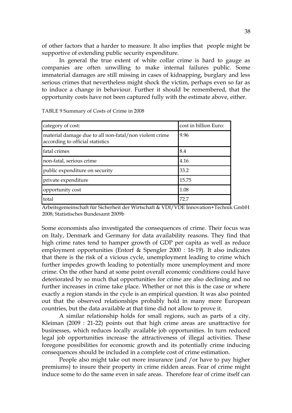of other factors that a harder to measure. It also implies that people might be supportive of extending public security expenditure.

In general the true extent of white collar crime is hard to gauge as companies are often unwilling to make internal failures public. Some immaterial damages are still missing in cases of kidnapping, burglary and less serious crimes that nevertheless might shock the victim, perhaps even so far as to induce a change in behaviour. Further it should be remembered, that the opportunity costs have not been captured fully with the estimate above, either.

| category of cost:                                                                          | cost in billion Euro: |
|--------------------------------------------------------------------------------------------|-----------------------|
| material damage due to all non-fatal/non violent crime<br>according to official statistics | 9.96                  |
| fatal crimes                                                                               | 8.4                   |
| non-fatal, serious crime                                                                   | 4.16                  |
| public expenditure on security                                                             | 33.2                  |
| private expenditure                                                                        | 15.75                 |
| opportunity cost                                                                           | 1.08                  |
| total                                                                                      | 72.7                  |

TABLE 9 Summary of Costs of Crime in 2008

Arbeitsgemeinschaft für Sicherheit der Wirtschaft & VDI/VDE Innovation+Technik GmbH 2008; Statistisches Bundesamt 2009b

Some economists also investigated the consequences of crime. Their focus was on Italy, Denmark and Germany for data availability reasons. They find that high crime rates tend to hamper growth of GDP per capita as well as reduce employment opportunities (Entorf & Spengler 2000 : 16-19). It also indicates that there is the risk of a vicious cycle, unemployment leading to crime which further impedes growth leading to potentially more unemployment and more crime. On the other hand at some point overall economic conditions could have deteriorated by so much that opportunities for crime are also declining and no further increases in crime take place. Whether or not this is the case or where exactly a region stands in the cycle is an empirical question. It was also pointed out that the observed relationships probably hold in many more European countries, but the data available at that time did not allow to prove it.

A similar relationship holds for small regions, such as parts of a city. Kleiman (2009 : 21-22) points out that high crime areas are unattractive for businesses, which reduces locally available job opportunities. In turn reduced legal job opportunities increase the attractiveness of illegal activities. These foregone possibilities for economic growth and its potentially crime inducing consequences should be included in a complete cost of crime estimation.

People also might take out more insurance (and /or have to pay higher premiums) to insure their property in crime ridden areas. Fear of crime might induce some to do the same even in safe areas. Therefore fear of crime itself can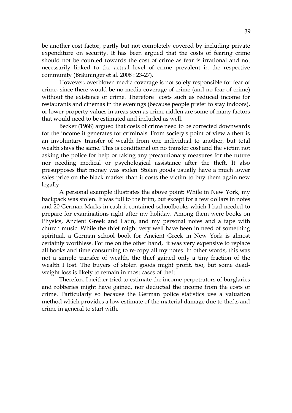be another cost factor, partly but not completely covered by including private expenditure on security. It has been argued that the costs of fearing crime should not be counted towards the cost of crime as fear is irrational and not necessarily linked to the actual level of crime prevalent in the respective community (Bräuninger et al. 2008 : 23-27).

However, overblown media coverage is not solely responsible for fear of crime, since there would be no media coverage of crime (and no fear of crime) without the existence of crime. Therefore costs such as reduced income for restaurants and cinemas in the evenings (because people prefer to stay indoors), or lower property values in areas seen as crime ridden are some of many factors that would need to be estimated and included as well.

Becker (1968) argued that costs of crime need to be corrected downwards for the income it generates for criminals. From society's point of view a theft is an involuntary transfer of wealth from one individual to another, but total wealth stays the same. This is conditional on no transfer cost and the victim not asking the police for help or taking any precautionary measures for the future nor needing medical or psychological assistance after the theft. It also presupposes that money was stolen. Stolen goods usually have a much lower sales price on the black market than it costs the victim to buy them again new legally.

A personal example illustrates the above point: While in New York, my backpack was stolen. It was full to the brim, but except for a few dollars in notes and 20 German Marks in cash it contained schoolbooks which I had needed to prepare for examinations right after my holiday. Among them were books on Physics, Ancient Greek and Latin, and my personal notes and a tape with church music. While the thief might very well have been in need of something spiritual, a German school book for Ancient Greek in New York is almost certainly worthless. For me on the other hand, it was very expensive to replace all books and time consuming to re-copy all my notes. In other words, this was not a simple transfer of wealth, the thief gained only a tiny fraction of the wealth I lost. The buyers of stolen goods might profit, too, but some deadweight loss is likely to remain in most cases of theft.

Therefore I neither tried to estimate the income perpetrators of burglaries and robberies might have gained, nor deducted the income from the costs of crime. Particularly so because the German police statistics use a valuation method which provides a low estimate of the material damage due to thefts and crime in general to start with.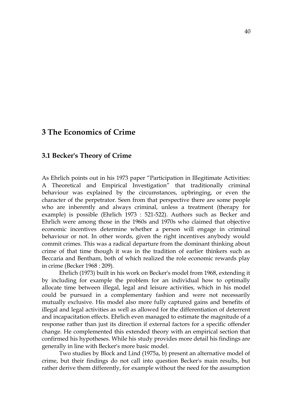# **3 The Economics of Crime**

# **3.1 Becker's Theory of Crime**

As Ehrlich points out in his 1973 paper "Participation in Illegitimate Activities: A Theoretical and Empirical Investigation" that traditionally criminal behaviour was explained by the circumstances, upbringing, or even the character of the perpetrator. Seen from that perspective there are some people who are inherently and always criminal, unless a treatment (therapy for example) is possible (Ehrlich 1973 : 521-522). Authors such as Becker and Ehrlich were among those in the 1960s and 1970s who claimed that objective economic incentives determine whether a person will engage in criminal behaviour or not. In other words, given the right incentives anybody would commit crimes. This was a radical departure from the dominant thinking about crime of that time though it was in the tradition of earlier thinkers such as Beccaria and Bentham, both of which realized the role economic rewards play in crime (Becker 1968 : 209).

Ehrlich (1973) built in his work on Becker's model from 1968, extending it by including for example the problem for an individual how to optimally allocate time between illegal, legal and leisure activities, which in his model could be pursued in a complementary fashion and were not necessarily mutually exclusive. His model also more fully captured gains and benefits of illegal and legal activities as well as allowed for the differentiation of deterrent and incapacitation effects. Ehrlich even managed to estimate the magnitude of a response rather than just its direction if external factors for a specific offender change. He complemented this extended theory with an empirical section that confirmed his hypotheses. While his study provides more detail his findings are generally in line with Becker's more basic model.

Two studies by Block and Lind (1975a, b) present an alternative model of crime, but their findings do not call into question Becker's main results, but rather derive them differently, for example without the need for the assumption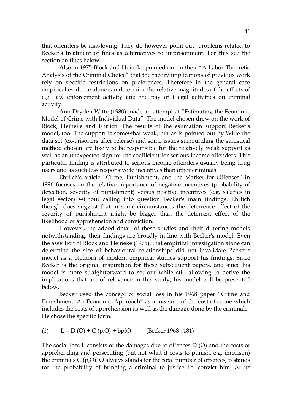that offenders be risk-loving. They do however point out problems related to Becker's treatment of fines as alternatives to imprisonment. For this see the section on fines below.

Also in 1975 Block and Heineke pointed out in their "A Labor Theoretic Analysis of the Criminal Choice" that the theory implications of previous work rely on specific restrictions on preferences. Therefore in the general case empirical evidence alone can determine the relative magnitudes of the effects of e.g. law enforcement activity and the pay of illegal activities on criminal activity.

Ann Dryden Witte (1980) made an attempt at "Estimating the Economic Model of Crime with Individual Data". The model chosen drew on the work of Block, Heineke and Ehrlich. The results of the estimation support Becker's model, too. The support is somewhat weak, but as is pointed out by Witte the data set (ex-prisoners after release) and some issues surrounding the statistical method chosen are likely to be responsible for the relatively weak support as well as an unexpected sign for the coefficient for serious income offenders. This particular finding is attributed to serious income offenders usually being drug users and as such less responsive to incentives than other criminals.

Ehrlich's article "Crime, Punishment, and the Market for Offenses" in 1996 focuses on the relative importance of negative incentives (probability of detection, severity of punishment) versus positive incentives (e.g. salaries in legal sector) without calling into question Becker's main findings. Ehrlich though does suggest that in some circumstances the deterrence effect of the severity of punishment might be bigger than the deterrent effect of the likelihood of apprehension and conviction.

However, the added detail of these studies and their differing models notwithstanding, their findings are broadly in line with Becker's model. Even the assertion of Block and Heineke (1975), that empirical investigation alone can determine the size of behavioural relationships did not invalidate Becker's model as a plethora of modern empirical studies support his findings. Since Becker is the original inspiration for these subsequent papers, and since his model is more straightforward to set out while still allowing to derive the implications that are of relevance in this study, his model will be presented below.

Becker used the concept of social loss in his 1968 paper "Crime and Punishment: An Economic Approach" as a measure of the cost of crime which includes the costs of apprehension as well as the damage done by the criminals. He chose the specific form:

(1)  $L = D(O) + C(p,O) + bpfO$  (Becker 1968 : 181)

The social loss L consists of the damages due to offences D (O) and the costs of apprehending and persecuting (but not what it costs to punish, e.g. imprison) the criminals  $C(p,0)$ . O always stands for the total number of offences, p stands for the probability of bringing a criminal to justice i.e. convict him. At its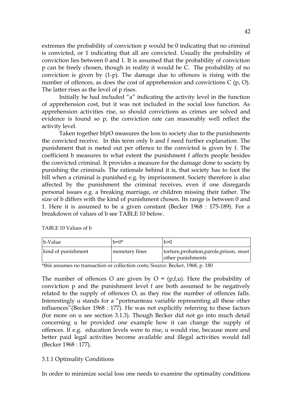extremes the probability of conviction p would be 0 indicating that no criminal is convicted, or 1 indicating that all are convicted. Usually the probability of conviction lies between 0 and 1. It is assumed that the probability of conviction p can be freely chosen, though in reality it would be C. The probability of no conviction is given by (1-p). The damage due to offences is rising with the number of offences, as does the cost of apprehension and convictions C (p, O). The latter rises as the level of p rises.

Initially he had included "a" indicating the activity level in the function of apprehension cost, but it was not included in the social loss function. As apprehension activities rise, so should convictions as crimes are solved and evidence is found so p, the conviction rate can reasonably well reflect the activity level.

Taken together bfpO measures the loss to society due to the punishments the convicted receive. In this term only b and f need further explanation. The punishment that is meted out per offence to the convicted is given by f. The coefficient b measures to what extent the punishment f affects people besides the convicted criminal. It provides a measure for the damage done to society by punishing the criminals. The rationale behind it is, that society has to foot the bill when a criminal is punished e.g. by imprisonment. Society therefore is also affected by the punishment the criminal receives, even if one disregards personal issues e.g. a breaking marriage, or children missing their father. The size of b differs with the kind of punishment chosen. Its range is between 0 and 1. Here it is assumed to be a given constant (Becker 1968 : 175-189). For a breakdown of values of b see TABLE 10 below.

| b-Value            | $h=0*$         | h>0                                                           |
|--------------------|----------------|---------------------------------------------------------------|
| kind of punishment | monetary fines | torture, probation, parole, prison, most<br>other punishments |

TABLE 10 Values of b

\*this assumes no transaction or collection costs; Source: Becker, 1968, p. 180

The number of offences O are given by  $O = (p, f, u)$ . Here the probability of conviction p and the punishment level f are both assumed to be negatively related to the supply of offences O, as they rise the number of offences falls. Interestingly u stands for a "portmanteau variable representing all these other influences"(Becker 1968 : 177). He was not explicitly referring to these factors (for more on u see section 3.1.3). Though Becker did not go into much detail concerning u he provided one example how it can change the supply of offences. If e.g. education levels were to rise, u would rise, because more and better paid legal activities become available and illegal activities would fall (Becker 1968 : 177).

# 3.1.1 Optimality Conditions

In order to minimize social loss one needs to examine the optimality conditions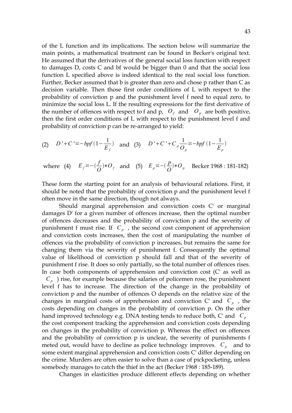of the L function and its implications. The section below will summarize the main points, a mathematical treatment can be found in Becker's original text. He assumed that the derivatives of the general social loss function with respect to damages D, costs C and bf would be bigger than 0 and that the social loss function L specified above is indeed identical to the real social loss function. Further, Becker assumed that b is greater than zero and chose p rather than C as decision variable. Then those first order conditions of L with respect to the probability of conviction p and the punishment level f need to equal zero, to minimize the social loss L. If the resulting expressions for the first derivative of the number of offences with respect to f and p,  $O_f$  and  $O_p$  are both positive, then the first order conditions of L with respect to the punishment level f and probability of conviction p can be re-arranged to yield:

(2) 
$$
D' + C' = -bpf(1 - \frac{1}{E_f})
$$
 and (3)  $D' + C' + C_p \frac{1}{O_p} = -bpf(1 - \frac{1}{E_p})$ 

where (4)  $E_f = -(\frac{f}{f})$  $\frac{f}{Q}$ <sup>*\**</sup> $O_f$  and (5)  $E_p$ =− $\left(\frac{p}{Q}\right)$  $\frac{p}{Q}$  \*O<sub>p</sub> Becker 1968 : 181-182)

These form the starting point for an analysis of behavioural relations. First, it should be noted that the probability of conviction p and the punishment level f often move in the same direction, though not always.

Should marginal apprehension and conviction costs C' or marginal damages D' for a given number of offences increase, then the optimal number of offences decreases and the probability of conviction p and the severity of punishment f must rise. If *C<sup>p</sup>* , the second cost component of apprehension and conviction costs increases, then the cost of manipulating the number of offences via the probability of conviction p increases, but remains the same for changing them via the severity of punishment f. Consequently the optimal value of likelihood of conviction p should fall and that of the severity of punishment f rise. It does so only partially, so the total number of offences rises. In case both components of apprehension and conviction cost (C' as well as  $C_p$ ) rise, for example because the salaries of policemen rose, the punishment level f has to increase. The direction of the change in the probability of conviction p and the number of offences O depends on the relative size of the changes in marginal costs of apprehension and conviction C' and *C<sup>p</sup>* , the costs depending on changes in the probability of conviction p. On the other hand improved technology e.g. DNA testing tends to reduce both, C' and *C<sup>p</sup>* the cost component tracking the apprehension and conviction costs depending on changes in the probability of conviction p. Whereas the effect on offences and the probability of conviction p is unclear, the severity of punishments f meted out, would have to decline as police technology improves.  $C_p$  and to some extent marginal apprehension and conviction costs C' differ depending on the crime. Murders are often easier to solve than a case of pickpocketing, unless somebody manages to catch the thief in the act (Becker 1968 : 185-189).

Changes in elasticities produce different effects depending on whether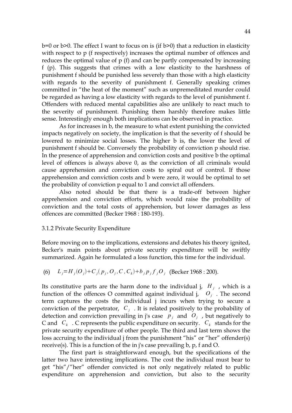b=0 or b>0. The effect I want to focus on is (if b>0) that a reduction in elasticity with respect to p (f respectively) increases the optimal number of offences and reduces the optimal value of p (f) and can be partly compensated by increasing f (p). This suggests that crimes with a low elasticity to the harshness of punishment f should be punished less severely than those with a high elasticity with regards to the severity of punishment f. Generally speaking crimes committed in "the heat of the moment" such as unpremeditated murder could be regarded as having a low elasticity with regards to the level of punishment f. Offenders with reduced mental capabilities also are unlikely to react much to the severity of punishment. Punishing them harshly therefore makes little sense. Interestingly enough both implications can be observed in practice.

As for increases in b, the measure to what extent punishing the convicted impacts negatively on society, the implication is that the severity of f should be lowered to minimize social losses. The higher b is, the lower the level of punishment f should be. Conversely the probability of conviction p should rise. In the presence of apprehension and conviction costs and positive b the optimal level of offences is always above 0, as the conviction of all criminals would cause apprehension and conviction costs to spiral out of control. If those apprehension and conviction costs and b were zero, it would be optimal to set the probability of conviction p equal to 1 and convict all offenders.

Also noted should be that there is a trade-off between higher apprehension and conviction efforts, which would raise the probability of conviction and the total costs of apprehension, but lower damages as less offences are committed (Becker 1968 : 180-193).

#### 3.1.2 Private Security Expenditure

Before moving on to the implications, extensions and debates his theory ignited, Becker's main points about private security expenditure will be swiftly summarized. Again he formulated a loss function, this time for the individual.

(6) 
$$
L_j = H_j(O_j) + C_j(p_j, O_j, C, C_k) + b_j p_j f_j O_j
$$
 (Becker 1968 : 200).

Its constitutive parts are the harm done to the individual j,  $H_j$ , which is a function of the offences O committed against individual j,  $O_j$ . The second term captures the costs the individual j incurs when trying to secure a conviction of the perpetrator,  $C_j$ . It is related positively to the probability of detection and conviction prevailing in j's case  $p_j$  and  $O_j$ , but negatively to C and *C<sup>k</sup>* . C represents the public expenditure on security. *C<sup>k</sup>* stands for the private security expenditure of other people. The third and last term shows the loss accruing to the individual j from the punishment "his" or "her" offender(s) receive(s). This is a function of the in j's case prevailing b, p, f and O.

The first part is straightforward enough, but the specifications of the latter two have interesting implications. The cost the individual must bear to get "his"/"her" offender convicted is not only negatively related to public expenditure on apprehension and conviction, but also to the security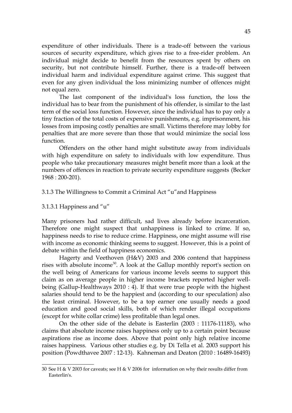expenditure of other individuals. There is a trade-off between the various sources of security expenditure, which gives rise to a free-rider problem. An individual might decide to benefit from the resources spent by others on security, but not contribute himself. Further, there is a trade-off between individual harm and individual expenditure against crime. This suggest that even for any given individual the loss minimizing number of offences might not equal zero.

The last component of the individual's loss function, the loss the individual has to bear from the punishment of his offender, is similar to the last term of the social loss function. However, since the individual has to pay only a tiny fraction of the total costs of expensive punishments, e.g. imprisonment, his losses from imposing costly penalties are small. Victims therefore may lobby for penalties that are more severe than those that would minimize the social loss function.

Offenders on the other hand might substitute away from individuals with high expenditure on safety to individuals with low expenditure. Thus people who take precautionary measures might benefit more than a look at the numbers of offences in reaction to private security expenditure suggests (Becker 1968 : 200-201).

#### 3.1.3 The Willingness to Commit a Criminal Act "u"and Happiness

#### 3.1.3.1 Happiness and "u"

Many prisoners had rather difficult, sad lives already before incarceration. Therefore one might suspect that unhappiness is linked to crime. If so, happiness needs to rise to reduce crime. Happiness, one might assume will rise with income as economic thinking seems to suggest. However, this is a point of debate within the field of happiness economics.

Hagerty and Veethoven (H&V) 2003 and 2006 contend that happiness rises with absolute income<sup>[30](#page-44-0)</sup>. A look at the Gallup monthly report's section on the well being of Americans for various income levels seems to support this claim as on average people in higher income brackets reported higher wellbeing (Gallup-Healthways 2010 : 4). If that were true people with the highest salaries should tend to be the happiest and (according to our speculation) also the least criminal. However, to be a top earner one usually needs a good education and good social skills, both of which render illegal occupations (except for white collar crime) less profitable than legal ones.

On the other side of the debate is Easterlin (2003 : 11176-11183), who claims that absolute income raises happiness only up to a certain point because aspirations rise as income does. Above that point only high relative income raises happiness. Various other studies e.g. by Di Tella et al. 2003 support his position (Powdthavee 2007 : 12-13). Kahneman and Deaton (2010 : 16489-16493)

<span id="page-44-0"></span><sup>30</sup> See H & V 2003 for caveats; see H & V 2006 for information on why their results differ from Easterlin's.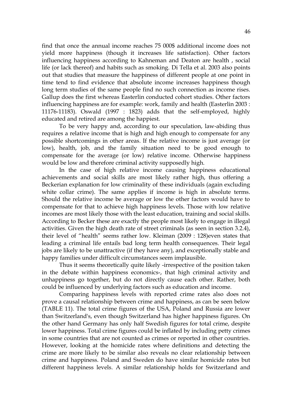find that once the annual income reaches 75 000\$ additional income does not yield more happiness (though it increases life satisfaction). Other factors influencing happiness according to Kahneman and Deaton are health , social life (or lack thereof) and habits such as smoking. Di Tella et al. 2003 also points out that studies that measure the happiness of different people at one point in time tend to find evidence that absolute income increases happiness though long term studies of the same people find no such connection as income rises. Gallup does the first whereas Easterlin conducted cohort studies. Other factors influencing happiness are for example: work, family and health (Easterlin 2003 : 11176-11183). Oswald (1997 : 1823) adds that the self-employed, highly educated and retired are among the happiest.

To be very happy and, according to our speculation, law-abiding thus requires a relative income that is high and high enough to compensate for any possible shortcomings in other areas. If the relative income is just average (or low), health, job, and the family situation need to be good enough to compensate for the average (or low) relative income. Otherwise happiness would be low and therefore criminal activity supposedly high.

In the case of high relative income causing happiness educational achievements and social skills are most likely rather high, thus offering a Beckerian explanation for low criminality of these individuals (again excluding white collar crime). The same applies if income is high in absolute terms. Should the relative income be average or low the other factors would have to compensate for that to achieve high happiness levels. Those with low relative incomes are most likely those with the least education, training and social skills. According to Becker these are exactly the people most likely to engage in illegal activities. Given the high death rate of street criminals (as seen in section 3.2.4), their level of "health" seems rather low. Kleiman (2009 : 128)even states that leading a criminal life entails bad long term health consequences. Their legal jobs are likely to be unattractive (if they have any), and exceptionally stable and happy families under difficult circumstances seem implausible.

Thus it seems theoretically quite likely -irrespective of the position taken in the debate within happiness economics-, that high criminal activity and unhappiness go together, but do not directly cause each other. Rather, both could be influenced by underlying factors such as education and income.

Comparing happiness levels with reported crime rates also does not prove a causal relationship between crime and happiness, as can be seen below (TABLE 11). The total crime figures of the USA, Poland and Russia are lower than Switzerland's, even though Switzerland has higher happiness figures. On the other hand Germany has only half Swedish figures for total crime, despite lower happiness. Total crime figures could be inflated by including petty crimes in some countries that are not counted as crimes or reported in other countries. However, looking at the homicide rates where definitions and detecting the crime are more likely to be similar also reveals no clear relationship between crime and happiness. Poland and Sweden do have similar homicide rates but different happiness levels. A similar relationship holds for Switzerland and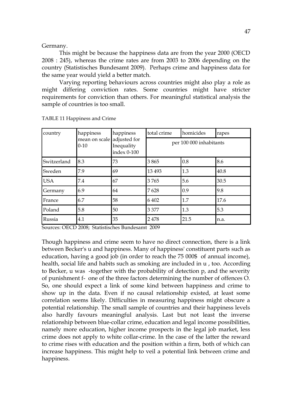#### Germany.

This might be because the happiness data are from the year 2000 (OECD 2008 : 245), whereas the crime rates are from 2003 to 2006 depending on the country (Statistisches Bundesamt 2009). Perhaps crime and happiness data for the same year would yield a better match.

Varying reporting behaviours across countries might also play a role as might differing conviction rates. Some countries might have stricter requirements for conviction than others. For meaningful statistical analysis the sample of countries is too small.

| country     | happiness<br>mean on scale<br>$0 - 10$ | happiness<br>adjusted for<br>Inequality<br>index 0-100 | total crime             | homicides | rapes |
|-------------|----------------------------------------|--------------------------------------------------------|-------------------------|-----------|-------|
|             |                                        |                                                        | per 100 000 inhabitants |           |       |
| Switzerland | 8.3                                    | 73                                                     | 3865                    | 0.8       | 8.6   |
| Sweden      | 7.9                                    | 69                                                     | 13 4 93                 | 1.3       | 40.8  |
| <b>USA</b>  | 7.4                                    | 67                                                     | 3765                    | 5.6       | 30.5  |
| Germany     | 6.9                                    | 64                                                     | 7628                    | 0.9       | 9.8   |
| France      | 6.7                                    | 58                                                     | 6 4 0 2                 | 1.7       | 17.6  |
| Poland      | 5.8                                    | 50                                                     | 3 3 7 7                 | 1.3       | 5.3   |
| Russia      | 4.1                                    | 35                                                     | 2478                    | 21.5      | n.a.  |

TABLE 11 Happiness and Crime

Sources: OECD 2008; Statistisches Bundesamt 2009

Though happiness and crime seem to have no direct connection, there is a link between Becker's u and happiness. Many of happiness' constituent parts such as education, having a good job (in order to reach the 75 000\$ of annual income), health, social life and habits such as smoking are included in u , too. According to Becker, u was -together with the probability of detection p, and the severity of punishment f- one of the three factors determining the number of offences O. So, one should expect a link of some kind between happiness and crime to show up in the data. Even if no causal relationship existed, at least some correlation seems likely. Difficulties in measuring happiness might obscure a potential relationship. The small sample of countries and their happiness levels also hardly favours meaningful analysis. Last but not least the inverse relationship between blue-collar crime, education and legal income possibilities, namely more education, higher income prospects in the legal job market, less crime does not apply to white collar-crime. In the case of the latter the reward to crime rises with education and the position within a firm, both of which can increase happiness. This might help to veil a potential link between crime and happiness.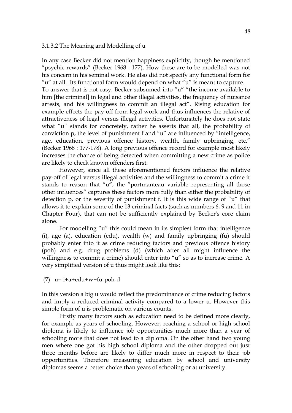#### 3.1.3.2 The Meaning and Modelling of u

In any case Becker did not mention happiness explicitly, though he mentioned "psychic rewards" (Becker 1968 : 177). How these are to be modelled was not his concern in his seminal work. He also did not specify any functional form for "u" at all. Its functional form would depend on what "u" is meant to capture. To answer that is not easy. Becker subsumed into "u" "the income available to him [the criminal] in legal and other illegal activities, the frequency of nuisance arrests, and his willingness to commit an illegal act". Rising education for example effects the pay off from legal work and thus influences the relative of attractiveness of legal versus illegal activities. Unfortunately he does not state what "u" stands for concretely, rather he asserts that all, the probability of conviction p, the level of punishment f and "u" are influenced by "intelligence, age, education, previous offence history, wealth, family upbringing, etc." (Becker 1968 : 177-178). A long previous offence record for example most likely increases the chance of being detected when committing a new crime as police are likely to check known offenders first.

However, since all these aforementioned factors influence the relative pay-off of legal versus illegal activities and the willingness to commit a crime it stands to reason that "u", the "portmanteau variable representing all those other influences" captures these factors more fully than either the probability of detection p, or the severity of punishment f. It is this wide range of "u" that allows it to explain some of the 13 criminal facts (such as numbers 6, 9 and 11 in Chapter Four), that can not be sufficiently explained by Becker's core claim alone.

For modelling "u" this could mean in its simplest form that intelligence (i), age (a), education (edu), wealth (w) and family upbringing (fu) should probably enter into it as crime reducing factors and previous offence history (poh) and e.g. drug problems (d) (which after all might influence the willingness to commit a crime) should enter into "u" so as to increase crime. A very simplified version of u thus might look like this:

(7) u= i+a+edu+w+fu-poh-d

In this version a big u would reflect the predominance of crime reducing factors and imply a reduced criminal activity compared to a lower u. However this simple form of u is problematic on various counts.

Firstly many factors such as education need to be defined more clearly, for example as years of schooling. However, reaching a school or high school diploma is likely to influence job opportunities much more than a year of schooling more that does not lead to a diploma. On the other hand two young men where one got his high school diploma and the other dropped out just three months before are likely to differ much more in respect to their job opportunities. Therefore measuring education by school and university diplomas seems a better choice than years of schooling or at university.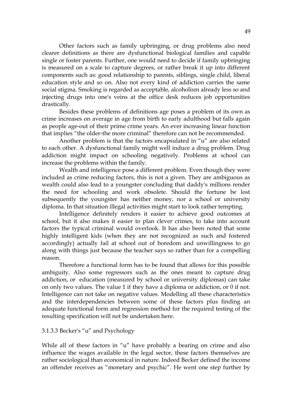Other factors such as family upbringing, or drug problems also need clearer definitions as there are dysfunctional biological families and capable single or foster parents. Further, one would need to decide if family upbringing is measured on a scale to capture degrees, or rather break it up into different components such as: good relationship to parents, siblings, single child, liberal education style and so on. Also not every kind of addiction carries the same social stigma. Smoking is regarded as acceptable, alcoholism already less so and injecting drugs into one's veins at the office desk reduces job opportunities drastically.

Besides these problems of definitions age poses a problem of its own as crime increases on average in age from birth to early adulthood but falls again as people age-out of their prime crime years. An ever increasing linear function that implies "the older-the more criminal" therefore can not be recommended.

Another problem is that the factors encapsulated in "u" are also related to each other. A dysfunctional family might well induce a drug problem. Drug addiction might impact on schooling negatively. Problems at school can increase the problems within the family.

Wealth and intelligence pose a different problem. Even though they were included as crime reducing factors, this is not a given. They are ambiguous as wealth could also lead to a youngster concluding that daddy's millions render the need for schooling and work obsolete. Should the fortune be lost subsequently the youngster has neither money, nor a school or university diploma. In that situation illegal activities might start to look rather tempting.

Intelligence definitely renders it easier to achieve good outcomes at school, but it also makes it easier to plan clever crimes, to take into account factors the typical criminal would overlook. It has also been noted that some highly intelligent kids (when they are not recognized as such and fostered accordingly) actually fail at school out of boredom and unwillingness to go along with things just because the teacher says so rather than for a compelling reason.

Therefore a functional form has to be found that allows for this possible ambiguity. Also some regressors such as the ones meant to capture drug addiction, or education (measured by school or university diplomas) can take on only two values. The value 1 if they have a diploma or addiction, or 0 if not. Intelligence can not take on negative values. Modelling all these characteristics and the interdependencies between some of these factors plus finding an adequate functional form and regression method for the required testing of the resulting specification will not be undertaken here.

# 3.1.3.3 Becker's "u" and Psychology

While all of these factors in "u" have probably a bearing on crime and also influence the wages available in the legal sector, these factors themselves are rather sociological than economical in nature. Indeed Becker defined the income an offender receives as "monetary and psychic". He went one step further by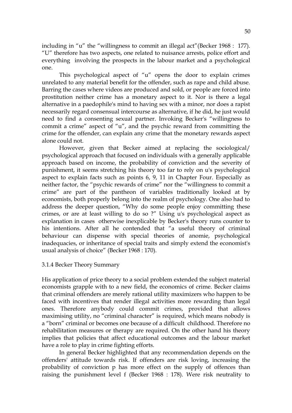including in "u" the "willingness to commit an illegal act"(Becker 1968 : 177). "U" therefore has two aspects, one related to nuisance arrests, police effort and everything involving the prospects in the labour market and a psychological one.

This psychological aspect of "u" opens the door to explain crimes unrelated to any material benefit for the offender, such as rape and child abuse. Barring the cases where videos are produced and sold, or people are forced into prostitution neither crime has a monetary aspect to it. Nor is there a legal alternative in a paedophile's mind to having sex with a minor, nor does a rapist necessarily regard consensual intercourse as alternative, if he did, he just would need to find a consenting sexual partner. Invoking Becker's "willingness to commit a crime" aspect of "u", and the psychic reward from committing the crime for the offender, can explain any crime that the monetary rewards aspect alone could not.

However, given that Becker aimed at replacing the sociological/ psychological approach that focused on individuals with a generally applicable approach based on income, the probability of conviction and the severity of punishment, it seems stretching his theory too far to rely on u's psychological aspect to explain facts such as points 6, 9, 11 in Chapter Four. Especially as neither factor, the "psychic rewards of crime" nor the "willingness to commit a crime" are part of the pantheon of variables traditionally looked at by economists, both properly belong into the realm of psychology. One also had to address the deeper question, "Why do some people enjoy committing these crimes, or are at least willing to do so ?" Using u's psychological aspect as explanation in cases otherwise inexplicable by Becker's theory runs counter to his intentions. After all he contended that "a useful theory of criminal behaviour can dispense with special theories of anomie, psychological inadequacies, or inheritance of special traits and simply extend the economist's usual analysis of choice" (Becker 1968 : 170).

# 3.1.4 Becker Theory Summary

His application of price theory to a social problem extended the subject material economists grapple with to a new field, the economics of crime. Becker claims that criminal offenders are merely rational utility maximizers who happen to be faced with incentives that render illegal activities more rewarding than legal ones. Therefore anybody could commit crimes, provided that allows maximising utility, no "criminal character" is required, which means nobody is a "born" criminal or becomes one because of a difficult childhood. Therefore no rehabilitation measures or therapy are required. On the other hand his theory implies that policies that affect educational outcomes and the labour market have a role to play in crime fighting efforts.

In general Becker highlighted that any recommendation depends on the offenders' attitude towards risk. If offenders are risk loving, increasing the probability of conviction p has more effect on the supply of offences than raising the punishment level f (Becker 1968 : 178). Were risk neutrality to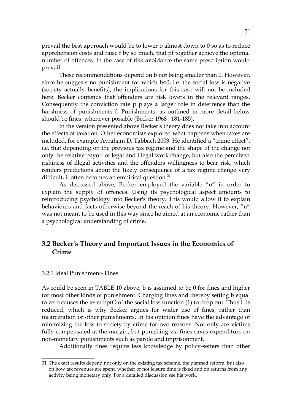prevail the best approach would be to lower p almost down to 0 so as to reduce apprehension costs and raise f by so much, that pf together achieve the optimal number of offences. In the case of risk avoidance the same prescription would prevail.

These recommendations depend on b not being smaller than 0. However, since he suggests no punishment for which b<0, i.e. the social loss is negative (society actually benefits), the implications for this case will not be included here. Becker contends that offenders are risk lovers in the relevant ranges. Consequently the conviction rate p plays a larger role in deterrence than the harshness of punishments f. Punishments, as outlined in more detail below should be fines, whenever possible (Becker 1968 : 181-185).

In the version presented above Becker's theory does not take into account the effects of taxation. Other economists explored what happens when taxes are included, for example Avraham D. Tabbach 2003. He identified a "crime effect", i.e. that depending on the previous tax regime and the shape of the change not only the relative payoff of legal and illegal work change, but also the perceived riskiness of illegal activities and the offenders willingness to bear risk, which renders predictions about the likely consequence of a tax regime change very difficult, it often becomes an empirical question  $31$ .

As discussed above, Becker employed the variable "u" in order to explain the supply of offences. Using its psychological aspect amounts to reintroducing psychology into Becker's theory. This would allow it to explain behaviours and facts otherwise beyond the reach of his theory. However, "u" was not meant to be used in this way since he aimed at an economic rather than a psychological understanding of crime.

# **3.2 Becker's Theory and Important Issues in the Economics of Crime**

#### 3.2.1 Ideal Punishment- Fines

As could be seen in TABLE 10 above, b is assumed to be 0 for fines and higher for most other kinds of punishment. Charging fines and thereby setting b equal to zero causes the term bpfO of the social loss function (1) to drop out. Thus L is reduced, which is why Becker argues for wider use of fines, rather than incarceration or other punishments. In his opinion fines have the advantage of minimizing the loss to society by crime for two reasons. Not only are victims fully compensated at the margin, but punishing via fines saves expenditure on non-monetary punishments such as parole and imprisonment.

Additionally fines require less knowledge by policy-setters than other

<span id="page-50-0"></span><sup>31</sup> The exact results depend not only on the existing tax scheme, the planned reform, but also on how tax revenues are spent, whether or not leisure time is fixed and on returns from any activity being monetary only. For a detailed discussion see his work.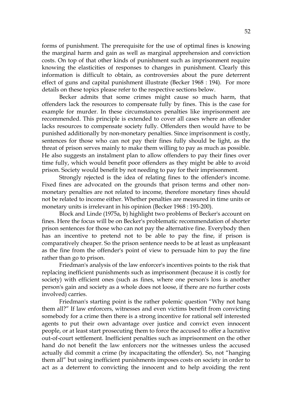forms of punishment. The prerequisite for the use of optimal fines is knowing the marginal harm and gain as well as marginal apprehension and conviction costs. On top of that other kinds of punishment such as imprisonment require knowing the elasticities of responses to changes in punishment. Clearly this information is difficult to obtain, as controversies about the pure deterrent effect of guns and capital punishment illustrate (Becker 1968 : 194). For more details on these topics please refer to the respective sections below.

Becker admits that some crimes might cause so much harm, that offenders lack the resources to compensate fully by fines. This is the case for example for murder. In these circumstances penalties like imprisonment are recommended. This principle is extended to cover all cases where an offender lacks resources to compensate society fully. Offenders then would have to be punished additionally by non-monetary penalties. Since imprisonment is costly, sentences for those who can not pay their fines fully should be light, as the threat of prison serves mainly to make them willing to pay as much as possible. He also suggests an instalment plan to allow offenders to pay their fines over time fully, which would benefit poor offenders as they might be able to avoid prison. Society would benefit by not needing to pay for their imprisonment.

Strongly rejected is the idea of relating fines to the offender's income. Fixed fines are advocated on the grounds that prison terms and other nonmonetary penalties are not related to income, therefore monetary fines should not be related to income either. Whether penalties are measured in time units or monetary units is irrelevant in his opinion (Becker 1968 : 193-200).

Block and Linde (1975a, b) highlight two problems of Becker's account on fines. Here the focus will be on Becker's problematic recommendation of shorter prison sentences for those who can not pay the alternative fine. Everybody then has an incentive to pretend not to be able to pay the fine, if prison is comparatively cheaper. So the prison sentence needs to be at least as unpleasant as the fine from the offender's point of view to persuade him to pay the fine rather than go to prison.

Friedman's analysis of the law enforcer's incentives points to the risk that replacing inefficient punishments such as imprisonment (because it is costly for society) with efficient ones (such as fines, where one person's loss is another person's gain and society as a whole does not loose, if there are no further costs involved) carries.

Friedman's starting point is the rather polemic question "Why not hang them all?" If law enforcers, witnesses and even victims benefit from convicting somebody for a crime then there is a strong incentive for rational self interested agents to put their own advantage over justice and convict even innocent people, or at least start prosecuting them to force the accused to offer a lucrative out-of-court settlement. Inefficient penalties such as imprisonment on the other hand do not benefit the law enforcers nor the witnesses unless the accused actually did commit a crime (by incapacitating the offender). So, not "hanging them all" but using inefficient punishments imposes costs on society in order to act as a deterrent to convicting the innocent and to help avoiding the rent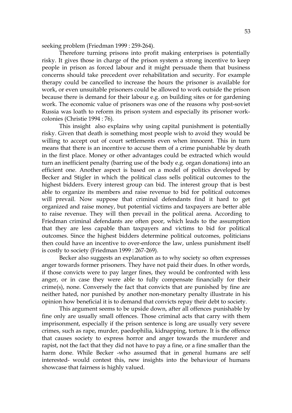seeking problem (Friedman 1999 : 259-264).

Therefore turning prisons into profit making enterprises is potentially risky. It gives those in charge of the prison system a strong incentive to keep people in prison as forced labour and it might persuade them that business concerns should take precedent over rehabilitation and security. For example therapy could be cancelled to increase the hours the prisoner is available for work, or even unsuitable prisoners could be allowed to work outside the prison because there is demand for their labour e.g. on building sites or for gardening work. The economic value of prisoners was one of the reasons why post-soviet Russia was loath to reform its prison system and especially its prisoner workcolonies (Christie 1994 : 76).

This insight also explains why using capital punishment is potentially risky. Given that death is something most people wish to avoid they would be willing to accept out of court settlements even when innocent. This in turn means that there is an incentive to accuse them of a crime punishable by death in the first place. Money or other advantages could be extracted which would turn an inefficient penalty (barring use of the body e.g. organ donations) into an efficient one. Another aspect is based on a model of politics developed by Becker and Stigler in which the political class sells political outcomes to the highest bidders. Every interest group can bid. The interest group that is best able to organize its members and raise revenue to bid for political outcomes will prevail. Now suppose that criminal defendants find it hard to get organized and raise money, but potential victims and taxpayers are better able to raise revenue. They will then prevail in the political arena. According to Friedman criminal defendants are often poor, which leads to the assumption that they are less capable than taxpayers and victims to bid for political outcomes. Since the highest bidders determine political outcomes, politicians then could have an incentive to over-enforce the law, unless punishment itself is costly to society (Friedman 1999 : 267-269).

Becker also suggests an explanation as to why society so often expresses anger towards former prisoners. They have not paid their dues. In other words, if those convicts were to pay larger fines, they would be confronted with less anger, or in case they were able to fully compensate financially for their crime(s), none. Conversely the fact that convicts that are punished by fine are neither hated, nor punished by another non-monetary penalty illustrate in his opinion how beneficial it is to demand that convicts repay their debt to society.

This argument seems to be upside down, after all offences punishable by fine only are usually small offences. Those criminal acts that carry with them imprisonment, especially if the prison sentence is long are usually very severe crimes, such as rape, murder, paedophilia, kidnapping, torture. It is the offence that causes society to express horror and anger towards the murderer and rapist, not the fact that they did not have to pay a fine, or a fine smaller than the harm done. While Becker -who assumed that in general humans are self interested- would contest this, new insights into the behaviour of humans showcase that fairness is highly valued.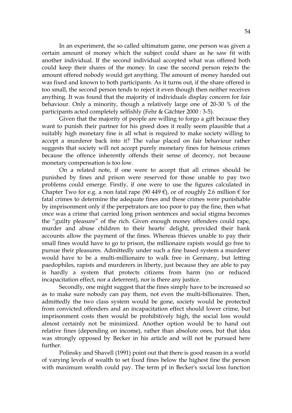In an experiment, the so called ultimatum game, one person was given a certain amount of money which the subject could share as he saw fit with another individual. If the second individual accepted what was offered both could keep their shares of the money. In case the second person rejects the amount offered nobody would get anything. The amount of money handed out was fixed and known to both participants. As it turns out, if the share offered is too small, the second person tends to reject it even though then neither receives anything. It was found that the majority of individuals display concern for fair behaviour. Only a minority, though a relatively large one of 20-30 % of the participants acted completely selfishly (Fehr & Gächter 2000 : 3-5).

Given that the majority of people are willing to forgo a gift because they want to punish their partner for his greed does it really seem plausible that a suitably high monetary fine is all what is required to make society willing to accept a murderer back into it? The value placed on fair behaviour rather suggests that society will not accept purely monetary fines for heinous crimes because the offence inherently offends their sense of decency, not because monetary compensation is too low.

On a related note, if one were to accept that all crimes should be punished by fines and prison were reserved for those unable to pay two problems could emerge. Firstly, if one were to use the figures calculated in Chapter Two for e.g. a non fatal rape (90 449  $\varepsilon$ ), or of roughly 2.6 million  $\varepsilon$  for fatal crimes to determine the adequate fines and these crimes were punishable by imprisonment only if the perpetrators are too poor to pay the fine, then what once was a crime that carried long prison sentences and social stigma becomes the "guilty pleasure" of the rich. Given enough money offenders could rape, murder and abuse children to their hearts' delight, provided their bank accounts allow the payment of the fines. Whereas thieves unable to pay their small fines would have to go to prison, the millionaire rapists would go free to pursue their pleasures. Admittedly under such a fine based system a murderer would have to be a multi-millionaire to walk free in Germany, but letting paedophiles, rapists and murderers in liberty, just because they are able to pay is hardly a system that protects citizens from harm (no or reduced incapacitation effect, nor a deterrent), nor is there any justice.

Secondly, one might suggest that the fines simply have to be increased so as to make sure nobody can pay them, not even the multi-billionaires. Then, admittedly the two class system would be gone, society would be protected from convicted offenders and an incapacitation effect should lower crime, but imprisonment costs then would be prohibitively high, the social loss would almost certainly not be minimized. Another option would be to hand out relative fines (depending on income), rather than absolute ones, but that idea was strongly opposed by Becker in his article and will not be pursued here further.

Polinsky and Shavell (1991) point out that there is good reason in a world of varying levels of wealth to set fixed fines below the highest fine the person with maximum wealth could pay. The term pf in Becker's social loss function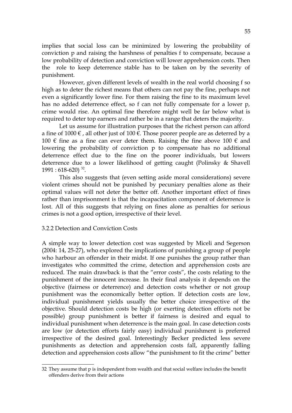implies that social loss can be minimized by lowering the probability of conviction p and raising the harshness of penalties f to compensate, because a low probability of detection and conviction will lower apprehension costs. Then the role to keep deterrence stable has to be taken on by the severity of punishment.

However, given different levels of wealth in the real world choosing f so high as to deter the richest means that others can not pay the fine, perhaps not even a significantly lower fine. For them raising the fine to its maximum level has no added deterrence effect, so f can not fully compensate for a lower p, crime would rise. An optimal fine therefore might well be far below what is required to deter top earners and rather be in a range that deters the majority.

Let us assume for illustration purposes that the richest person can afford a fine of 1000  $\epsilon$ , all other just of 100  $\epsilon$ . Those poorer people are as deterred by a 100 € fine as a fine can ever deter them. Raising the fine above 100 € and lowering the probability of conviction p to compensate has no additional deterrence effect due to the fine on the poorer individuals, but lowers deterrence due to a lower likelihood of getting caught (Polinsky & Shavell  $1991:618-620$ <sup>[32](#page-54-0)</sup>.

This also suggests that (even setting aside moral considerations) severe violent crimes should not be punished by pecuniary penalties alone as their optimal values will not deter the better off. Another important effect of fines rather than imprisonment is that the incapacitation component of deterrence is lost. All of this suggests that relying on fines alone as penalties for serious crimes is not a good option, irrespective of their level.

# 3.2.2 Detection and Conviction Costs

A simple way to lower detection cost was suggested by Miceli and Segerson (2004: 14, 25-27), who explored the implications of punishing a group of people who harbour an offender in their midst. If one punishes the group rather than investigates who committed the crime, detection and apprehension costs are reduced. The main drawback is that the "error costs", the costs relating to the punishment of the innocent increase. In their final analysis it depends on the objective (fairness or deterrence) and detection costs whether or not group punishment was the economically better option. If detection costs are low, individual punishment yields usually the better choice irrespective of the objective. Should detection costs be high (or exerting detection efforts not be possible) group punishment is better if fairness is desired and equal to individual punishment when deterrence is the main goal. In case detection costs are low (or detection efforts fairly easy) individual punishment is preferred irrespective of the desired goal. Interestingly Becker predicted less severe punishments as detection and apprehension costs fall, apparently falling detection and apprehension costs allow "the punishment to fit the crime" better

<span id="page-54-0"></span><sup>32</sup> They assume that p is independent from wealth and that social welfare includes the benefit offenders derive from their actions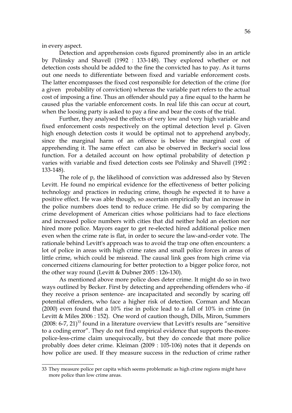in every aspect.

Detection and apprehension costs figured prominently also in an article by Polinsky and Shavell (1992 : 133-148). They explored whether or not detection costs should be added to the fine the convicted has to pay. As it turns out one needs to differentiate between fixed and variable enforcement costs. The latter encompasses the fixed cost responsible for detection of the crime (for a given probability of conviction) whereas the variable part refers to the actual cost of imposing a fine. Thus an offender should pay a fine equal to the harm he caused plus the variable enforcement costs. In real life this can occur at court, when the loosing party is asked to pay a fine and bear the costs of the trial.

Further, they analysed the effects of very low and very high variable and fixed enforcement costs respectively on the optimal detection level p. Given high enough detection costs it would be optimal not to apprehend anybody, since the marginal harm of an offence is below the marginal cost of apprehending it. The same effect can also be observed in Becker's social loss function. For a detailed account on how optimal probability of detection p varies with variable and fixed detection costs see Polinsky and Shavell (1992 : 133-148).

The role of p, the likelihood of conviction was addressed also by Steven Levitt. He found no empirical evidence for the effectiveness of better policing technology and practices in reducing crime, though he expected it to have a positive effect. He was able though, so ascertain empirically that an increase in the police numbers does tend to reduce crime. He did so by comparing the crime development of American cities whose politicians had to face elections and increased police numbers with cities that did neither hold an election nor hired more police. Mayors eager to get re-elected hired additional police men even when the crime rate is flat, in order to secure the law-and-order vote. The rationale behind Levitt's approach was to avoid the trap one often encounters: a lot of police in areas with high crime rates and small police forces in areas of little crime, which could be misread. The causal link goes from high crime via concerned citizens clamouring for better protection to a bigger police force, not the other way round (Levitt & Dubner 2005 : 126-130).

As mentioned above more police does deter crime. It might do so in two ways outlined by Becker. First by detecting and apprehending offenders who -if they receive a prison sentence- are incapacitated and secondly by scaring off potential offenders, who face a higher risk of detection. Corman and Mocan (2000) even found that a 10% rise in police lead to a fall of 10% in crime (in Levitt & Miles 2006 : 152). One word of caution though, Dills, Miron, Summers  $(2008: 6-7, 21)^{33}$  $(2008: 6-7, 21)^{33}$  $(2008: 6-7, 21)^{33}$  found in a literature overview that Levitt's results are "sensitive to a coding error". They do not find empirical evidence that supports the-morepolice-less-crime claim unequivocally, but they do concede that more police probably does deter crime. Kleiman (2009 : 105-106) notes that it depends on how police are used. If they measure success in the reduction of crime rather

<span id="page-55-0"></span><sup>33</sup> They measure police per capita which seems problematic as high crime regions might have more police than low crime areas.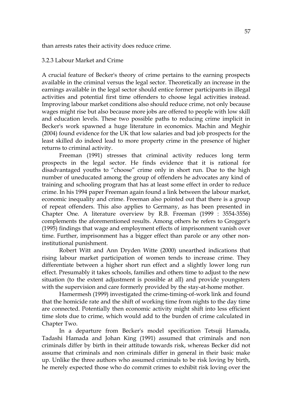than arrests rates their activity does reduce crime.

#### 3.2.3 Labour Market and Crime

A crucial feature of Becker's theory of crime pertains to the earning prospects available in the criminal versus the legal sector. Theoretically an increase in the earnings available in the legal sector should entice former participants in illegal activities and potential first time offenders to choose legal activities instead. Improving labour market conditions also should reduce crime, not only because wages might rise but also because more jobs are offered to people with low skill and education levels. These two possible paths to reducing crime implicit in Becker's work spawned a huge literature in economics. Machin and Meghir (2004) found evidence for the UK that low salaries and bad job prospects for the least skilled do indeed lead to more property crime in the presence of higher returns to criminal activity.

Freeman (1991) stresses that criminal activity reduces long term prospects in the legal sector. He finds evidence that it is rational for disadvantaged youths to "choose" crime only in short run. Due to the high number of uneducated among the group of offenders he advocates any kind of training and schooling program that has at least some effect in order to reduce crime. In his 1994 paper Freeman again found a link between the labour market, economic inequality and crime. Freeman also pointed out that there is a group of repeat offenders. This also applies to Germany, as has been presented in Chapter One. A literature overview by R.B. Freeman (1999 : 3554-3556) complements the aforementioned results. Among others he refers to Grogger's (1995) findings that wage and employment effects of imprisonment vanish over time. Further, imprisonment has a bigger effect than parole or any other noninstitutional punishment.

Robert Witt and Ann Dryden Witte (2000) unearthed indications that rising labour market participation of women tends to increase crime. They differentiate between a higher short run effect and a slightly lower long run effect. Presumably it takes schools, families and others time to adjust to the new situation (to the extent adjustment is possible at all) and provide youngsters with the supervision and care formerly provided by the stay-at-home mother.

Hamermesh (1999) investigated the crime-timing-of-work link and found that the homicide rate and the shift of working time from nights to the day time are connected. Potentially then economic activity might shift into less efficient time slots due to crime, which would add to the burden of crime calculated in Chapter Two.

In a departure from Becker's model specification Tetsuji Hamada, Tadashi Hamada and Johan King (1991) assumed that criminals and non criminals differ by birth in their attitude towards risk, whereas Becker did not assume that criminals and non criminals differ in general in their basic make up. Unlike the three authors who assumed criminals to be risk loving by birth, he merely expected those who do commit crimes to exhibit risk loving over the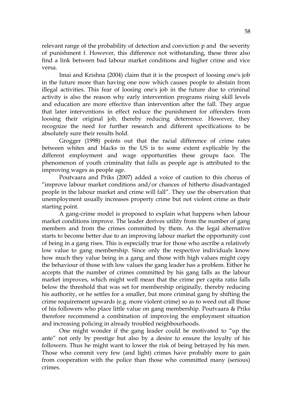relevant range of the probability of detection and conviction p and the severity of punishment f. However, this difference not withstanding, these three also find a link between bad labour market conditions and higher crime and vice versa.

Imai and Krishna (2004) claim that it is the prospect of loosing one's job in the future more than having one now which causes people to abstain from illegal activities. This fear of loosing one's job in the future due to criminal activity is also the reason why early intervention programs rising skill levels and education are more effective than intervention after the fall. They argue that later interventions in effect reduce the punishment for offenders from loosing their original job, thereby reducing deterrence. However, they recognize the need for further research and different specifications to be absolutely sure their results hold.

Grogger (1998) points out that the racial difference of crime rates between whites and blacks in the US is to some extent explicable by the different employment and wage opportunities these groups face. The phenomenon of youth criminality that falls as people age is attributed to the improving wages as people age.

Poutvaara and Priks (2007) added a voice of caution to this chorus of "improve labour market conditions and/or chances of hitherto disadvantaged people in the labour market and crime will fall". They use the observation that unemployment usually increases property crime but not violent crime as their starting point.

A gang-crime model is proposed to explain what happens when labour market conditions improve. The leader derives utility from the number of gang members and from the crimes committed by them. As the legal alternative starts to become better due to an improving labour market the opportunity cost of being in a gang rises. This is especially true for those who ascribe a relatively low value to gang membership. Since only the respective individuals know how much they value being in a gang and those with high values might copy the behaviour of those with low values the gang leader has a problem. Either he accepts that the number of crimes committed by his gang falls as the labour market improves, which might well mean that the crime per capita ratio falls below the threshold that was set for membership originally, thereby reducing his authority, or he settles for a smaller, but more criminal gang by shifting the crime requirement upwards (e.g. more violent crime) so as to weed out all those of his followers who place little value on gang membership. Poutvaara & Priks therefore recommend a combination of improving the employment situation and increasing policing in already troubled neighbourhoods.

One might wonder if the gang leader could be motivated to "up the ante" not only by prestige but also by a desire to ensure the loyalty of his followers. Thus he might want to lower the risk of being betrayed by his men. Those who commit very few (and light) crimes have probably more to gain from cooperation with the police than those who committed many (serious) crimes.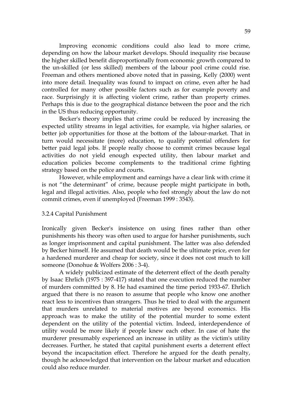Improving economic conditions could also lead to more crime, depending on how the labour market develops. Should inequality rise because the higher skilled benefit disproportionally from economic growth compared to the un-skilled (or less skilled) members of the labour pool crime could rise. Freeman and others mentioned above noted that in passing, Kelly (2000) went into more detail. Inequality was found to impact on crime, even after he had controlled for many other possible factors such as for example poverty and race. Surprisingly it is affecting violent crime, rather than property crimes. Perhaps this is due to the geographical distance between the poor and the rich in the US thus reducing opportunity.

Becker's theory implies that crime could be reduced by increasing the expected utility streams in legal activities, for example, via higher salaries, or better job opportunities for those at the bottom of the labour-market. That in turn would necessitate (more) education, to qualify potential offenders for better paid legal jobs. If people really choose to commit crimes because legal activities do not yield enough expected utility, then labour market and education policies become complements to the traditional crime fighting strategy based on the police and courts.

However, while employment and earnings have a clear link with crime it is not "the determinant" of crime, because people might participate in both, legal and illegal activities. Also, people who feel strongly about the law do not commit crimes, even if unemployed (Freeman 1999 : 3543).

#### 3.2.4 Capital Punishment

Ironically given Becker's insistence on using fines rather than other punishments his theory was often used to argue for harsher punishments, such as longer imprisonment and capital punishment. The latter was also defended by Becker himself. He assumed that death would be the ultimate price, even for a hardened murderer and cheap for society, since it does not cost much to kill someone (Donohue & Wolfers 2006 : 3-4).

A widely publicized estimate of the deterrent effect of the death penalty by Isaac Ehrlich (1975 : 397-417) stated that one execution reduced the number of murders committed by 8. He had examined the time period 1933-67. Ehrlich argued that there is no reason to assume that people who know one another react less to incentives than strangers. Thus he tried to deal with the argument that murders unrelated to material motives are beyond economics. His approach was to make the utility of the potential murder to some extent dependent on the utility of the potential victim. Indeed, interdependence of utility would be more likely if people knew each other. In case of hate the murderer presumably experienced an increase in utility as the victim's utility decreases. Further, he stated that capital punishment exerts a deterrent effect beyond the incapacitation effect. Therefore he argued for the death penalty, though he acknowledged that intervention on the labour market and education could also reduce murder.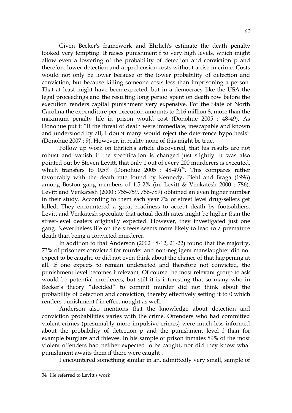Given Becker's framework and Ehrlich's estimate the death penalty looked very tempting. It raises punishment f to very high levels, which might allow even a lowering of the probability of detection and conviction p and therefore lower detection and apprehension costs without a rise in crime. Costs would not only be lower because of the lower probability of detection and conviction, but because killing someone costs less than imprisoning a person. That at least might have been expected, but in a democracy like the USA the legal proceedings and the resulting long period spent on death row before the execution renders capital punishment very expensive. For the State of North Carolina the expenditure per execution amounts to 2.16 million \$, more than the maximum penalty life in prison would cost (Donohue 2005 : 48-49). As Donohue put it "if the threat of death were immediate, inescapable and known and understood by all, I doubt many would reject the deterrence hypothesis" (Donohue 2007 : 9). However, in reality none of this might be true.

Follow up work on Ehrlich's article discovered, that his results are not robust and vanish if the specification is changed just slightly. It was also pointed out by Steven Levitt, that only 1 out of every 200 murderers is executed, which transfers to  $0.5\%$  (Donohue 2005 :  $48-49)^{34}$  $48-49)^{34}$  $48-49)^{34}$ . This compares rather favourably with the death rate found by Kennedy, Piehl and Braga (1996) among Boston gang members of 1.5-2% (in: Levitt & Venkatesh 2000 : 786). Levitt and Venkatesh (2000 : 755-759, 786-789) obtained an even higher number in their study. According to them each year 7% of street level drug-sellers get killed. They encountered a great readiness to accept death by footsoldiers. Levitt and Venkatesh speculate that actual death rates might be higher than the street-level dealers originally expected. However, they investigated just one gang. Nevertheless life on the streets seems more likely to lead to a premature death than being a convicted murderer.

In addition to that Anderson (2002 : 8-12, 21-22) found that the majority, 73% of prisoners convicted for murder and non-negligent manslaughter did not expect to be caught, or did not even think about the chance of that happening at all. If one expects to remain undetected and therefore not convicted, the punishment level becomes irrelevant. Of course the most relevant group to ask would be potential murderers, but still it is interesting that so many who in Becker's theory "decided" to commit murder did not think about the probability of detection and conviction, thereby effectively setting it to 0 which renders punishment f in effect nought as well.

Anderson also mentions that the knowledge about detection and conviction probabilities varies with the crime. Offenders who had committed violent crimes (presumably more impulsive crimes) were much less informed about the probability of detection p and the punishment level f than for example burglars and thieves. In his sample of prison inmates 89% of the most violent offenders had neither expected to be caught, nor did they know what punishment awaits them if there were caught .

I encountered something similar in an, admittedly very small, sample of

<span id="page-59-0"></span><sup>34</sup> He referred to Levitt's work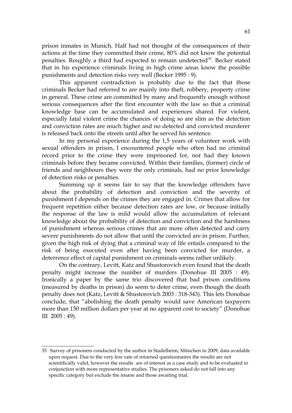prison inmates in Munich. Half had not thought of the consequences of their actions at the time they committed their crime, 80% did not know the potential penalties. Roughly a third had expected to remain undetected<sup>[35](#page-60-0)</sup>. Becker stated that in his experience criminals living in high crime areas know the possible punishments and detection risks very well (Becker 1995 : 9).

This apparent contradiction is probably due to the fact that those criminals Becker had referred to are mainly into theft, robbery, property crime in general. These crime are committed by many and frequently enough without serious consequences after the first encounter with the law so that a criminal knowledge base can be accumulated and experiences shared. For violent, especially fatal violent crime the chances of doing so are slim as the detection and conviction rates are much higher and no detected and convicted murderer is released back onto the streets until after he served his sentence.

In my personal experience during the 1,5 years of volunteer work with sexual offenders in prison, I encountered people who often had no criminal record prior to the crime they were imprisoned for, nor had they known criminals before they became convicted. Within their families, (former) circle of friends and neighbours they were the only criminals, had no prior knowledge of detection risks or penalties.

Summing up it seems fair to say that the knowledge offenders have about the probability of detection and conviction and the severity of punishment f depends on the crimes they are engaged in. Crimes that allow for frequent repetition either because detection rates are low, or because initially the response of the law is mild would allow the accumulation of relevant knowledge about the probability of detection and conviction and the harshness of punishment whereas serious crimes that are more often detected and carry severe punishments do not allow that until the convicted are in prison. Further, given the high risk of dying that a criminal way of life entails compared to the risk of being executed even after having been convicted for murder, a deterrence effect of capital punishment on criminals seems rather unlikely.

On the contrary, Levitt, Katz and Shustorovich even found that the death penalty might increase the number of murders (Donohue III 2005 : 49). Ironically a paper by the same trio discovered that bad prison conditions (measured by deaths in prison) do seem to deter crime, even though the death penalty does not (Katz, Levitt & Shustorovich 2003 : 318-343). This lets Donohue conclude, that "abolishing the death penalty would save American taxpayers more than 150 million dollars per year at no apparent cost to society" (Donohue III 2005 : 49).

<span id="page-60-0"></span><sup>35</sup> Survey of prisoners conducted by the author in Stadelheim, München in 2009, data available upon request. Due to the very low rate of returned questionnaires the results are not scientifically valid, however the results are of interest as a case study and to be evaluated in conjunction with more representative studies. The prisoners asked do not fall into any specific category but exclude the insane and those awaiting trial.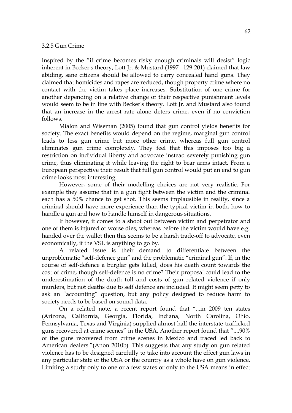#### 3.2.5 Gun Crime

Inspired by the "if crime becomes risky enough criminals will desist" logic inherent in Becker's theory, Lott Jr. & Mustard (1997 : 129-201) claimed that law abiding, sane citizens should be allowed to carry concealed hand guns. They claimed that homicides and rapes are reduced, though property crime where no contact with the victim takes place increases. Substitution of one crime for another depending on a relative change of their respective punishment levels would seem to be in line with Becker's theory. Lott Jr. and Mustard also found that an increase in the arrest rate alone deters crime, even if no conviction follows.

Mialon and Wiseman (2005) found that gun control yields benefits for society. The exact benefits would depend on the regime, marginal gun control leads to less gun crime but more other crime, whereas full gun control eliminates gun crime completely. They feel that this imposes too big a restriction on individual liberty and advocate instead severely punishing gun crime, thus eliminating it while leaving the right to bear arms intact. From a European perspective their result that full gun control would put an end to gun crime looks most interesting.

However, some of their modelling choices are not very realistic. For example they assume that in a gun fight between the victim and the criminal each has a 50% chance to get shot. This seems implausible in reality, since a criminal should have more experience than the typical victim in both, how to handle a gun and how to handle himself in dangerous situations.

If however, it comes to a shoot out between victim and perpetrator and one of them is injured or worse dies, whereas before the victim would have e.g. handed over the wallet then this seems to be a harsh trade-off to advocate, even economically, if the VSL is anything to go by.

A related issue is their demand to differentiate between the unproblematic "self-defence gun" and the problematic "criminal gun". If, in the course of self-defence a burglar gets killed, does his death count towards the cost of crime, though self-defence is no crime? Their proposal could lead to the underestimation of the death toll and costs of gun related violence if only murders, but not deaths due to self defence are included. It might seem petty to ask an "accounting" question, but any policy designed to reduce harm to society needs to be based on sound data.

On a related note, a recent report found that "...in 2009 ten states (Arizona, California, Georgia, Florida, Indiana, North Carolina, Ohio, Pennsylvania, Texas and Virginia) supplied almost half the interstate-trafficked guns recovered at crime scenes" in the USA. Another report found that "....90% of the guns recovered from crime scenes in Mexico and traced led back to American dealers."(Anon 2010b). This suggests that any study on gun related violence has to be designed carefully to take into account the effect gun laws in any particular state of the USA or the country as a whole have on gun violence. Limiting a study only to one or a few states or only to the USA means in effect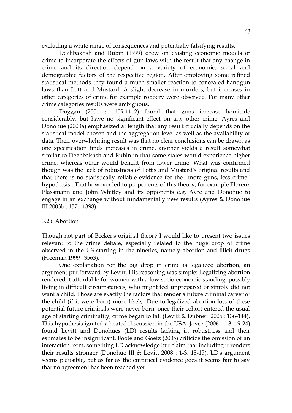excluding a white range of consequences and potentially falsifying results.

Dezhbakhsh and Rubin (1999) drew on existing economic models of crime to incorporate the effects of gun laws with the result that any change in crime and its direction depend on a variety of economic, social and demographic factors of the respective region. After employing some refined statistical methods they found a much smaller reaction to concealed handgun laws than Lott and Mustard. A slight decrease in murders, but increases in other categories of crime for example robbery were observed. For many other crime categories results were ambiguous.

Duggan (2001 : 1109-1112) found that guns increase homicide considerably, but have no significant effect on any other crime. Ayres and Donohue (2003a) emphasized at length that any result crucially depends on the statistical model chosen and the aggregation level as well as the availability of data. Their overwhelming result was that no clear conclusions can be drawn as one specification finds increases in crime, another yields a result somewhat similar to Dezhbakhsh and Rubin in that some states would experience higher crime, whereas other would benefit from lower crime. What was confirmed though was the lack of robustness of Lott's and Mustard's original results and that there is no statistically reliable evidence for the "more guns, less crime" hypothesis . That however led to proponents of this theory, for example Florenz Plassmann and John Whitley and its opponents e.g. Ayre and Donohue to engage in an exchange without fundamentally new results (Ayres & Donohue III 2003b : 1371-1398).

# 3.2.6 Abortion

Though not part of Becker's original theory I would like to present two issues relevant to the crime debate, especially related to the huge drop of crime observed in the US starting in the nineties, namely abortion and illicit drugs (Freeman 1999 : 3563).

One explanation for the big drop in crime is legalized abortion, an argument put forward by Levitt. His reasoning was simple: Legalizing abortion rendered it affordable for women with a low socio-economic standing, possibly living in difficult circumstances, who might feel unprepared or simply did not want a child. Those are exactly the factors that render a future criminal career of the child (if it were born) more likely. Due to legalized abortion lots of these potential future criminals were never born, once their cohort entered the usual age of starting criminality, crime began to fall (Levitt & Dubner 2005 : 136-144). This hypothesis ignited a heated discussion in the USA. Joyce (2006 : 1-3, 19-24) found Levitt and Donohues (LD) results lacking in robustness and their estimates to be insignificant. Foote and Goetz (2005) criticize the omission of an interaction term, something LD acknowledge but claim that including it renders their results stronger (Donohue III & Levitt 2008 : 1-3, 13-15). LD's argument seems plausible, but as far as the empirical evidence goes it seems fair to say that no agreement has been reached yet.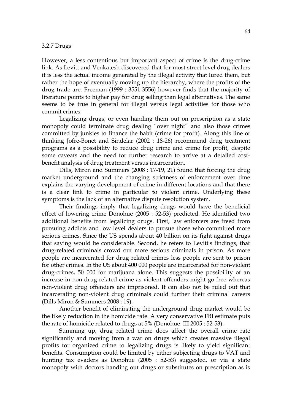#### 3.2.7 Drugs

However, a less contentious but important aspect of crime is the drug-crime link. As Levitt and Venkatesh discovered that for most street level drug dealers it is less the actual income generated by the illegal activity that lured them, but rather the hope of eventually moving up the hierarchy, where the profits of the drug trade are. Freeman (1999 : 3551-3556) however finds that the majority of literature points to higher pay for drug selling than legal alternatives. The same seems to be true in general for illegal versus legal activities for those who commit crimes.

Legalizing drugs, or even handing them out on prescription as a state monopoly could terminate drug dealing "over night" and also those crimes committed by junkies to finance the habit (crime for profit). Along this line of thinking Jofre-Bonet and Sindelar (2002 : 18-26) recommend drug treatment programs as a possibility to reduce drug crime and crime for profit, despite some caveats and the need for further research to arrive at a detailed costbenefit analysis of drug treatment versus incarceration.

Dills, Miron and Summers (2008 : 17-19, 21) found that forcing the drug market underground and the changing strictness of enforcement over time explains the varying development of crime in different locations and that there is a clear link to crime in particular to violent crime. Underlying these symptoms is the lack of an alternative dispute resolution system.

Their findings imply that legalizing drugs would have the beneficial effect of lowering crime Donohue (2005 : 52-53) predicted. He identified two additional benefits from legalizing drugs. First, law enforcers are freed from pursuing addicts and low level dealers to pursue those who committed more serious crimes. Since the US spends about 40 billion on its fight against drugs that saving would be considerable. Second, he refers to Levitt's findings, that drug-related criminals crowd out more serious criminals in prison. As more people are incarcerated for drug related crimes less people are sent to prison for other crimes. In the US about 400 000 people are incarcerated for non-violent drug-crimes, 50 000 for marijuana alone. This suggests the possibility of an increase in non-drug related crime as violent offenders might go free whereas non-violent drug offenders are imprisoned. It can also not be ruled out that incarcerating non-violent drug criminals could further their criminal careers (Dills Miron & Summers 2008 : 19).

Another benefit of eliminating the underground drug market would be the likely reduction in the homicide rate. A very conservative FBI estimate puts the rate of homicide related to drugs at 5% (Donohue III 2005 : 52-53).

Summing up, drug related crime does affect the overall crime rate significantly and moving from a war on drugs which creates massive illegal profits for organized crime to legalizing drugs is likely to yield significant benefits. Consumption could be limited by either subjecting drugs to VAT and hunting tax evaders as Donohue (2005 : 52-53) suggested, or via a state monopoly with doctors handing out drugs or substitutes on prescription as is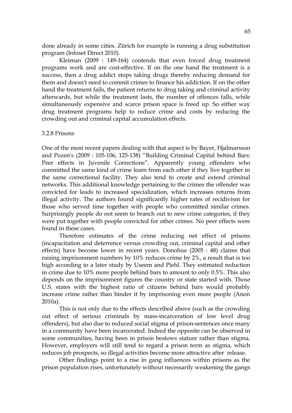done already in some cities. Zürich for example is running a drug substitution program (Infoset Direct 2010).

Kleiman (2009 : 149-164) contends that even forced drug treatment programs work and are cost-effective. If on the one hand the treatment is a success, then a drug addict stops taking drugs thereby reducing demand for them and doesn't need to commit crimes to finance his addiction. If on the other hand the treatment fails, the patient returns to drug taking and criminal activity afterwards, but while the treatment lasts, the number of offences falls, while simultaneously expensive and scarce prison space is freed up. So either way drug treatment programs help to reduce crime and costs by reducing the crowding out and criminal capital accumulation effects.

#### 3.2.8 Prisons

One of the most recent papers dealing with that aspect is by Bayer, Hjalmarsson and Pozen's (2009 : 105-106, 125-138) "Building Criminal Capital behind Bars: Peer effects in Juvenile Corrections". Apparently young offenders who committed the same kind of crime learn from each other if they live together in the same correctional facility. They also tend to create and extend criminal networks. This additional knowledge pertaining to the crimes the offender was convicted for leads to increased specialization, which increases returns from illegal activity. The authors found significantly higher rates of recidivism for those who served time together with people who committed similar crimes. Surprisingly people do not seem to branch out to new crime categories, if they were put together with people convicted for other crimes. No peer effects were found in these cases.

Therefore estimates of the crime reducing net effect of prisons (incapacitation and deterrence versus crowding out, criminal capital and other effects) have become lower in recent years. Donohue (2005 : 48) claims that raising imprisonment numbers by 10% reduces crime by 2%, a result that is too high according to a later study by Useem and Piehl. They estimated reduction in crime due to 10% more people behind bars to amount to only 0.5%. This also depends on the imprisonment figures the country or state started with. Those U.S. states with the highest ratio of citizens behind bars would probably increase crime rather than hinder it by imprisoning even more people (Anon 2010a).

This is not only due to the effects described above (such as the crowding out effect of serious criminals by mass-incarceration of low level drug offenders), but also due to reduced social stigma of prison-sentences once many in a community have been incarcerated. Indeed the opposite can be observed in some communities, having been in prison bestows stature rather than stigma. However, employers will still tend to regard a prison term as stigma, which reduces job prospects, so illegal activities become more attractive after release.

Other findings point to a rise in gang influences within prisons as the prison population rises, unfortunately without necessarily weakening the gangs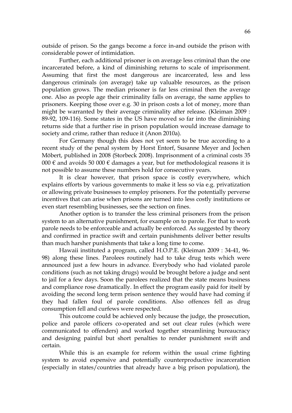outside of prison. So the gangs become a force in-and outside the prison with considerable power of intimidation.

Further, each additional prisoner is on average less criminal than the one incarcerated before, a kind of diminishing returns to scale of imprisonment. Assuming that first the most dangerous are incarcerated, less and less dangerous criminals (on average) take up valuable resources, as the prison population grows. The median prisoner is far less criminal then the average one. Also as people age their criminality falls on average, the same applies to prisoners. Keeping those over e.g. 30 in prison costs a lot of money, more than might be warranted by their average criminality after release. (Kleiman 2009 : 89-92, 109-116). Some states in the US have moved so far into the diminishing returns side that a further rise in prison population would increase damage to society and crime, rather than reduce it (Anon 2010a).

For Germany though this does not yet seem to be true according to a recent study of the penal system by Horst Entorf, Susanne Meyer and Jochen Möbert, published in 2008 (Storbeck 2008). Imprisonment of a criminal costs 35 000  $\epsilon$  and avoids 50 000  $\epsilon$  damages a year, but for methodological reasons it is not possible to assume these numbers hold for consecutive years.

It is clear however, that prison space is costly everywhere, which explains efforts by various governments to make it less so via e.g. privatization or allowing private businesses to employ prisoners. For the potentially perverse incentives that can arise when prisons are turned into less costly institutions or even start resembling businesses, see the section on fines.

Another option is to transfer the less criminal prisoners from the prison system to an alternative punishment, for example on to parole. For that to work parole needs to be enforceable and actually be enforced. As suggested by theory and confirmed in practice swift and certain punishments deliver better results than much harsher punishments that take a long time to come.

Hawaii instituted a program, called H.O.P.E. (Kleiman 2009 : 34-41, 96- 98) along these lines. Parolees routinely had to take drug tests which were announced just a few hours in advance. Everybody who had violated parole conditions (such as not taking drugs) would be brought before a judge and sent to jail for a few days. Soon the parolees realized that the state means business and compliance rose dramatically. In effect the program easily paid for itself by avoiding the second long term prison sentence they would have had coming if they had fallen foul of parole conditions. Also offences fell as drug consumption fell and curfews were respected.

This outcome could be achieved only because the judge, the prosecution, police and parole officers co-operated and set out clear rules (which were communicated to offenders) and worked together streamlining bureaucracy and designing painful but short penalties to render punishment swift and certain.

While this is an example for reform within the usual crime fighting system to avoid expensive and potentially counterproductive incarceration (especially in states/countries that already have a big prison population), the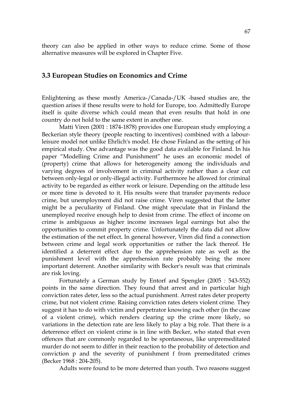theory can also be applied in other ways to reduce crime. Some of those alternative measures will be explored in Chapter Five.

# **3.3 European Studies on Economics and Crime**

Enlightening as these mostly America-/Canada-/UK -based studies are, the question arises if these results were to hold for Europe, too. Admittedly Europe itself is quite diverse which could mean that even results that hold in one country do not hold to the same extent in another one.

Matti Viren (2001 : 1874-1878) provides one European study employing a Beckerian style theory (people reacting to incentives) combined with a labourleisure model not unlike Ehrlich's model. He chose Finland as the setting of his empirical study. One advantage was the good data available for Finland. In his paper "Modelling Crime and Punishment" he uses an economic model of (property) crime that allows for heterogeneity among the individuals and varying degrees of involvement in criminal activity rather than a clear cut between only-legal or only-illegal activity. Furthermore he allowed for criminal activity to be regarded as either work or leisure. Depending on the attitude less or more time is devoted to it. His results were that transfer payments reduce crime, but unemployment did not raise crime. Viren suggested that the latter might be a peculiarity of Finland. One might speculate that in Finland the unemployed receive enough help to desist from crime. The effect of income on crime is ambiguous as higher income increases legal earnings but also the opportunities to commit property crime. Unfortunately the data did not allow the estimation of the net effect. In general however, Viren did find a connection between crime and legal work opportunities or rather the lack thereof. He identified a deterrent effect due to the apprehension rate as well as the punishment level with the apprehension rate probably being the more important deterrent. Another similarity with Becker's result was that criminals are risk loving.

Fortunately a German study by Entorf and Spengler (2005 : 543-552) points in the same direction. They found that arrest and in particular high conviction rates deter, less so the actual punishment. Arrest rates deter property crime, but not violent crime. Raising conviction rates deters violent crime. They suggest it has to do with victim and perpetrator knowing each other (in the case of a violent crime), which renders clearing up the crime more likely, so variations in the detection rate are less likely to play a big role. That there is a deterrence effect on violent crime is in line with Becker, who stated that even offences that are commonly regarded to be spontaneous, like unpremeditated murder do not seem to differ in their reaction to the probability of detection and conviction p and the severity of punishment f from premeditated crimes (Becker 1968 : 204-205).

Adults were found to be more deterred than youth. Two reasons suggest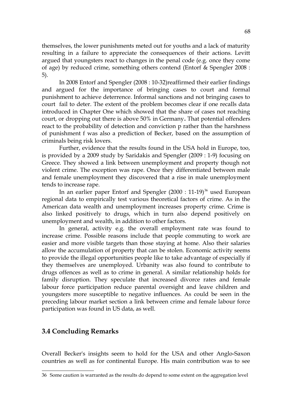themselves, the lower punishments meted out for youths and a lack of maturity resulting in a failure to appreciate the consequences of their actions. Levitt argued that youngsters react to changes in the penal code (e.g. once they come of age) by reduced crime, something others contend (Entorf & Spengler 2008 : 5).

In 2008 Entorf and Spengler (2008 : 10-32)reaffirmed their earlier findings and argued for the importance of bringing cases to court and formal punishment to achieve deterrence. Informal sanctions and not bringing cases to court fail to deter. The extent of the problem becomes clear if one recalls data introduced in Chapter One which showed that the share of cases not reaching court, or dropping out there is above 50% in Germany**.** That potential offenders react to the probability of detection and conviction p rather than the harshness of punishment f was also a prediction of Becker, based on the assumption of criminals being risk lovers.

Further, evidence that the results found in the USA hold in Europe, too, is provided by a 2009 study by Saridakis and Spengler (2009 : 1-9) focusing on Greece. They showed a link between unemployment and property though not violent crime. The exception was rape. Once they differentiated between male and female unemployment they discovered that a rise in male unemployment tends to increase rape.

In an earlier paper Entorf and Spengler  $(2000 : 11-19)^{36}$  $(2000 : 11-19)^{36}$  $(2000 : 11-19)^{36}$  used European regional data to empirically test various theoretical factors of crime. As in the American data wealth and unemployment increases property crime. Crime is also linked positively to drugs, which in turn also depend positively on unemployment and wealth, in addition to other factors.

In general, activity e.g. the overall employment rate was found to increase crime. Possible reasons include that people commuting to work are easier and more visible targets than those staying at home. Also their salaries allow the accumulation of property that can be stolen. Economic activity seems to provide the illegal opportunities people like to take advantage of especially if they themselves are unemployed. Urbanity was also found to contribute to drugs offences as well as to crime in general. A similar relationship holds for family disruption. They speculate that increased divorce rates and female labour force participation reduce parental oversight and leave children and youngsters more susceptible to negative influences. As could be seen in the preceding labour market section a link between crime and female labour force participation was found in US data, as well.

# **3.4 Concluding Remarks**

Overall Becker's insights seem to hold for the USA and other Anglo-Saxon countries as well as for continental Europe. His main contribution was to see

<span id="page-67-0"></span><sup>36</sup> Some caution is warranted as the results do depend to some extent on the aggregation level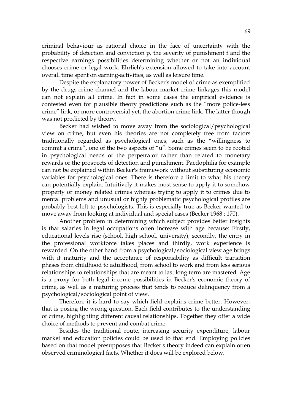criminal behaviour as rational choice in the face of uncertainty with the probability of detection and conviction p, the severity of punishment f and the respective earnings possibilities determining whether or not an individual chooses crime or legal work. Ehrlich's extension allowed to take into account overall time spent on earning-activities, as well as leisure time.

Despite the explanatory power of Becker's model of crime as exemplified by the drugs-crime channel and the labour-market-crime linkages this model can not explain all crime. In fact in some cases the empirical evidence is contested even for plausible theory predictions such as the "more police-less crime" link, or more controversial yet, the abortion crime link. The latter though was not predicted by theory.

Becker had wished to move away from the sociological/psychological view on crime, but even his theories are not completely free from factors traditionally regarded as psychological ones, such as the "willingness to commit a crime", one of the two aspects of "u". Some crimes seem to be rooted in psychological needs of the perpetrator rather than related to monetary rewards or the prospects of detection and punishment. Paedophilia for example can not be explained within Becker's framework without substituting economic variables for psychological ones. There is therefore a limit to what his theory can potentially explain. Intuitively it makes most sense to apply it to somehow property or money related crimes whereas trying to apply it to crimes due to mental problems and unusual or highly problematic psychological profiles are probably best left to psychologists. This is especially true as Becker wanted to move away from looking at individual and special cases (Becker 1968 : 170).

Another problem in determining which subject provides better insights is that salaries in legal occupations often increase with age because: Firstly, educational levels rise (school, high school, university); secondly, the entry in the professional workforce takes places and thirdly, work experience is rewarded. On the other hand from a psychological/sociological view age brings with it maturity and the acceptance of responsibility as difficult transition phases from childhood to adulthood, from school to work and from less serious relationships to relationships that are meant to last long term are mastered. Age is a proxy for both legal income possibilities in Becker's economic theory of crime, as well as a maturing process that tends to reduce delinquency from a psychological/sociological point of view.

Therefore it is hard to say which field explains crime better. However, that is posing the wrong question. Each field contributes to the understanding of crime, highlighting different causal relationships. Together they offer a wide choice of methods to prevent and combat crime.

Besides the traditional route, increasing security expenditure, labour market and education policies could be used to that end. Employing policies based on that model presupposes that Becker's theory indeed can explain often observed criminological facts. Whether it does will be explored below.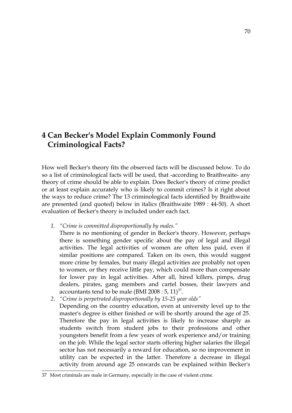# **4 Can Becker's Model Explain Commonly Found Criminological Facts?**

How well Becker's theory fits the observed facts will be discussed below. To do so a list of criminological facts will be used, that -according to Braithwaite- any theory of crime should be able to explain. Does Becker's theory of crime predict or at least explain accurately who is likely to commit crimes? Is it right about the ways to reduce crime? The 13 criminological facts identified by Braithwaite are presented (and quoted) below in italics (Braithwaite 1989 : 44-50). A short evaluation of Becker's theory is included under each fact.

- *1. "Crime is committed disproportionally by males."*
	- There is no mentioning of gender in Becker's theory. However, perhaps there is something gender specific about the pay of legal and illegal activities. The legal activities of women are often less paid, even if similar positions are compared. Taken on its own, this would suggest more crime by females, but many illegal activities are probably not open to women, or they receive little pay, which could more than compensate for lower pay in legal activities. After all, hired killers, pimps, drug dealers, pirates, gang members and cartel bosses, their lawyers and accountants tend to be male (BMI 2008 :  $5$ ,  $11$ )<sup>[37](#page-69-0)</sup>.
- *2. "Crime is perpetrated disproportionally by 15-25 year olds"* Depending on the country education, even at university level up to the master's degree is either finished or will be shortly around the age of 25. Therefore the pay in legal activities is likely to increase sharply as students switch from student jobs to their professions and other youngsters benefit from a few years of work experience and/or training on the job. While the legal sector starts offering higher salaries the illegal sector has not necessarily a reward for education, so no improvement in utility can be expected in the latter. Therefore a decrease in illegal activity from around age 25 onwards can be explained within Becker's

<span id="page-69-0"></span><sup>37</sup> Most criminals are male in Germany, especially in the case of violent crime.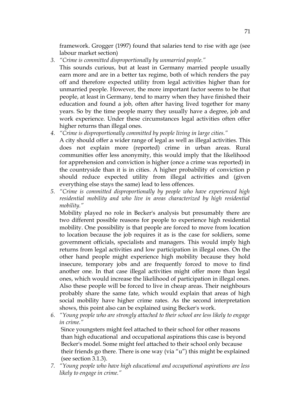framework. Grogger (1997) found that salaries tend to rise with age (see labour market section)

*3. "Crime is committed disproportionally by unmarried people."*

This sounds curious, but at least in Germany married people usually earn more and are in a better tax regime, both of which renders the pay off and therefore expected utility from legal activities higher than for unmarried people. However, the more important factor seems to be that people, at least in Germany, tend to marry when they have finished their education and found a job, often after having lived together for many years. So by the time people marry they usually have a degree, job and work experience. Under these circumstances legal activities often offer higher returns than illegal ones.

- *4. "Crime is disproportionally committed by people living in large cities."* A city should offer a wider range of legal as well as illegal activities. This does not explain more (reported) crime in urban areas. Rural communities offer less anonymity, this would imply that the likelihood for apprehension and conviction is higher (once a crime was reported) in the countryside than it is in cities. A higher probability of conviction p should reduce expected utility from illegal activities and (given everything else stays the same) lead to less offences.
- *5. "Crime is committed disproportionally by people who have experienced high residential mobility and who live in areas characterized by high residential mobility."*

Mobility played no role in Becker's analysis but presumably there are two different possible reasons for people to experience high residential mobility. One possibility is that people are forced to move from location to location because the job requires it as is the case for soldiers, some government officials, specialists and managers. This would imply high returns from legal activities and low participation in illegal ones. On the other hand people might experience high mobility because they hold insecure, temporary jobs and are frequently forced to move to find another one. In that case illegal activities might offer more than legal ones, which would increase the likelihood of participation in illegal ones. Also these people will be forced to live in cheap areas. Their neighbours probably share the same fate, which would explain that areas of high social mobility have higher crime rates. As the second interpretation shows, this point also can be explained using Becker's work.

*6. "Young people who are strongly attached to their school are less likely to engage in crime."*

 Since youngsters might feel attached to their school for other reasons than high educational and occupational aspirations this case is beyond Becker's model. Some might feel attached to their school only because their friends go there. There is one way (via "u") this might be explained (see section 3.1.3).

*7. "Young people who have high educational and occupational aspirations are less likely to engage in crime."*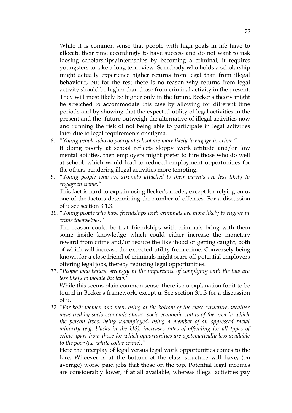While it is common sense that people with high goals in life have to allocate their time accordingly to have success and do not want to risk loosing scholarships/internships by becoming a criminal, it requires youngsters to take a long term view. Somebody who holds a scholarship might actually experience higher returns from legal than from illegal behaviour, but for the rest there is no reason why returns from legal activity should be higher than those from criminal activity in the present. They will most likely be higher only in the future. Becker's theory might be stretched to accommodate this case by allowing for different time periods and by showing that the expected utility of legal activities in the present and the future outweigh the alternative of illegal activities now and running the risk of not being able to participate in legal activities later due to legal requirements or stigma.

- *8. "Young people who do poorly at school are more likely to engage in crime."* If doing poorly at school reflects sloppy work attitude and/or low mental abilities, then employers might prefer to hire those who do well at school, which would lead to reduced employment opportunities for the others, rendering illegal activities more tempting.
- *9. "Young people who are strongly attached to their parents are less likely to engage in crime."*

This fact is hard to explain using Becker's model, except for relying on u, one of the factors determining the number of offences. For a discussion of u see section 3.1.3.

*10. "Young people who have friendships with criminals are more likely to engage in crime themselves."*

The reason could be that friendships with criminals bring with them some inside knowledge which could either increase the monetary reward from crime and/or reduce the likelihood of getting caught, both of which will increase the expected utility from crime. Conversely being known for a close friend of criminals might scare off potential employers offering legal jobs, thereby reducing legal opportunities.

- *11. "People who believe strongly in the importance of complying with the law are less likely to violate the law."* While this seems plain common sense, there is no explanation for it to be found in Becker's framework, except u. See section 3.1.3 for a discussion of u.
- *12. "For both women and men, being at the bottom of the class structure, weather measured by socio-economic status, socio economic status of the area in which the person lives, being unemployed, being a member of an oppressed racial minority (e.g. blacks in the US), increases rates of offending for all types of crime apart from those for which opportunities are systematically less available to the poor (i.e. white collar crime)."*

Here the interplay of legal versus legal work opportunities comes to the fore. Whoever is at the bottom of the class structure will have, (on average) worse paid jobs that those on the top. Potential legal incomes are considerably lower, if at all available, whereas illegal activities pay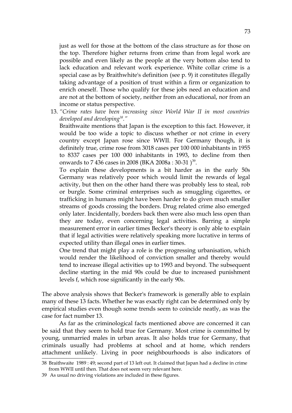just as well for those at the bottom of the class structure as for those on the top. Therefore higher returns from crime than from legal work are possible and even likely as the people at the very bottom also tend to lack education and relevant work experience. White collar crime is a special case as by Braithwhite's definition (see p. 9) it constitutes illegally taking advantage of a position of trust within a firm or organization to enrich oneself. Those who qualify for these jobs need an education and are not at the bottom of society, neither from an educational, nor from an income or status perspective.

13. *"Crime rates have been increasing since World War II in most countries developed and developing[38](#page-72-0)."* 

Braithwaite mentions that Japan is the exception to this fact. However, it would be too wide a topic to discuss whether or not crime in every country except Japan rose since WWII. For Germany though, it is definitely true, crime rose from 3018 cases per 100 000 inhabitants in 1955 to 8337 cases per 100 000 inhabitants in 1993, to decline from then onwards to 7 436 cases in 2008 (BKA 2008a : 30-31 )<sup>[39](#page-72-1)</sup>.

To explain these developments is a bit harder as in the early 50s Germany was relatively poor which would limit the rewards of legal activity, but then on the other hand there was probably less to steal, rob or burgle. Some criminal enterprises such as smuggling cigarettes, or trafficking in humans might have been harder to do given much smaller streams of goods crossing the borders. Drug related crime also emerged only later. Incidentally, borders back then were also much less open than they are today, even concerning legal activities. Barring a simple measurement error in earlier times Becker's theory is only able to explain that if legal activities were relatively speaking more lucrative in terms of expected utility than illegal ones in earlier times.

One trend that might play a role is the progressing urbanisation, which would render the likelihood of conviction smaller and thereby would tend to increase illegal activities up to 1993 and beyond. The subsequent decline starting in the mid 90s could be due to increased punishment levels f, which rose significantly in the early 90s.

The above analysis shows that Becker's framework is generally able to explain many of these 13 facts. Whether he was exactly right can be determined only by empirical studies even though some trends seem to coincide neatly, as was the case for fact number 13.

As far as the criminological facts mentioned above are concerned it can be said that they seem to hold true for Germany. Most crime is committed by young, unmarried males in urban areas. It also holds true for Germany, that criminals usually had problems at school and at home, which renders attachment unlikely. Living in poor neighbourhoods is also indicators of

<span id="page-72-0"></span><sup>38</sup> Braithwaite 1989 : 49; second part of 13 left out. It claimed that Japan had a decline in crime from WWII until then. That does not seem very relevant here.

<span id="page-72-1"></span><sup>39</sup> As usual no driving violations are included in these figures.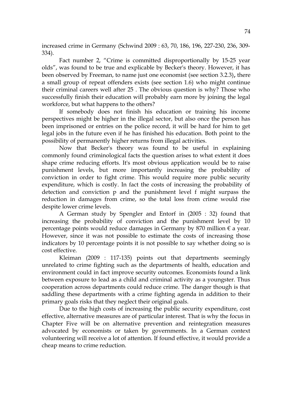increased crime in Germany (Schwind 2009 : 63, 70, 186, 196, 227-230, 236, 309- 334).

Fact number 2, "Crime is committed disproportionally by 15-25 year olds", was found to be true and explicable by Becker's theory. However, it has been observed by Freeman, to name just one economist (see section 3.2.3)**,** there a small group of repeat offenders exists (see section 1.6) who might continue their criminal careers well after 25 . The obvious question is why? Those who successfully finish their education will probably earn more by joining the legal workforce, but what happens to the others?

If somebody does not finish his education or training his income perspectives might be higher in the illegal sector, but also once the person has been imprisoned or entries on the police record, it will be hard for him to get legal jobs in the future even if he has finished his education. Both point to the possibility of permanently higher returns from illegal activities.

Now that Becker's theory was found to be useful in explaining commonly found criminological facts the question arises to what extent it does shape crime reducing efforts. It's most obvious application would be to raise punishment levels, but more importantly increasing the probability of conviction in order to fight crime. This would require more public security expenditure, which is costly. In fact the costs of increasing the probability of detection and conviction p and the punishment level f might surpass the reduction in damages from crime, so the total loss from crime would rise despite lower crime levels.

A German study by Spengler and Entorf in (2005 : 32) found that increasing the probability of conviction and the punishment level by 10 percentage points would reduce damages in Germany by 870 million  $\epsilon$  a year. However, since it was not possible to estimate the costs of increasing those indicators by 10 percentage points it is not possible to say whether doing so is cost effective.

Kleiman (2009 : 117-135) points out that departments seemingly unrelated to crime fighting such as the departments of health, education and environment could in fact improve security outcomes. Economists found a link between exposure to lead as a child and criminal activity as a youngster. Thus cooperation across departments could reduce crime. The danger though is that saddling these departments with a crime fighting agenda in addition to their primary goals risks that they neglect their original goals.

Due to the high costs of increasing the public security expenditure, cost effective, alternative measures are of particular interest. That is why the focus in Chapter Five will be on alternative prevention and reintegration measures advocated by economists or taken by governments. In a German context volunteering will receive a lot of attention. If found effective, it would provide a cheap means to crime reduction.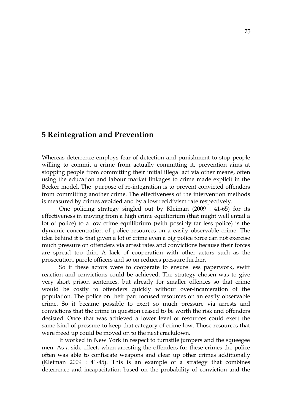# **5 Reintegration and Prevention**

Whereas deterrence employs fear of detection and punishment to stop people willing to commit a crime from actually committing it, prevention aims at stopping people from committing their initial illegal act via other means, often using the education and labour market linkages to crime made explicit in the Becker model. The purpose of re-integration is to prevent convicted offenders from committing another crime. The effectiveness of the intervention methods is measured by crimes avoided and by a low recidivism rate respectively.

One policing strategy singled out by Kleiman (2009 : 41-65) for its effectiveness in moving from a high crime equilibrium (that might well entail a lot of police) to a low crime equilibrium (with possibly far less police) is the dynamic concentration of police resources on a easily observable crime. The idea behind it is that given a lot of crime even a big police force can not exercise much pressure on offenders via arrest rates and convictions because their forces are spread too thin. A lack of cooperation with other actors such as the prosecution, parole officers and so on reduces pressure further.

So if these actors were to cooperate to ensure less paperwork, swift reaction and convictions could be achieved. The strategy chosen was to give very short prison sentences, but already for smaller offences so that crime would be costly to offenders quickly without over-incarceration of the population. The police on their part focused resources on an easily observable crime. So it became possible to exert so much pressure via arrests and convictions that the crime in question ceased to be worth the risk and offenders desisted. Once that was achieved a lower level of resources could exert the same kind of pressure to keep that category of crime low. Those resources that were freed up could be moved on to the next crackdown.

It worked in New York in respect to turnstile jumpers and the squeegee men. As a side effect, when arresting the offenders for these crimes the police often was able to confiscate weapons and clear up other crimes additionally (Kleiman 2009 : 41-45). This is an example of a strategy that combines deterrence and incapacitation based on the probability of conviction and the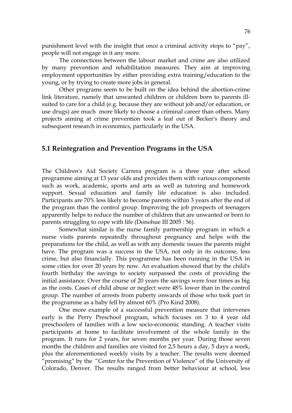punishment level with the insight that once a criminal activity stops to "pay", people will not engage in it any more.

The connections between the labour market and crime are also utilized by many prevention and rehabilitation measures. They aim at improving employment opportunities by either providing extra training/education to the young, or by trying to create more jobs in general.

Other programs seem to be built on the idea behind the abortion-crime link literature, namely that unwanted children or children born to parents illsuited to care for a child (e.g. because they are without job and/or education, or use drugs) are much more likely to choose a criminal career than others. Many projects aiming at crime prevention took a leaf out of Becker's theory and subsequent research in economics, particularly in the USA.

# **5.1 Reintegration and Prevention Programs in the USA**

The Children's Aid Society Carrera program is a three year after school programme aiming at 13 year olds and provides them with various components such as work, academic, sports and arts as well as tutoring and homework support. Sexual education and family life education is also included. Participants are 70% less likely to become parents within 3 years after the end of the program than the control group. Improving the job prospects of teenagers apparently helps to reduce the number of children that are unwanted or born to parents struggling to cope with life (Donohue III 2005 : 56).

Somewhat similar is the nurse family partnership program in which a nurse visits parents repeatedly throughout pregnancy and helps with the preparations for the child, as well as with any domestic issues the parents might have. The program was a success in the USA, not only in its outcome, less crime, but also financially. This programme has been running in the USA in some cities for over 20 years by now. An evaluation showed that by the child's fourth birthday the savings to society surpassed the costs of providing the initial assistance. Over the course of 20 years the savings were four times as big as the costs. Cases of child abuse or neglect were 48% lower than in the control group. The number of arrests from puberty onwards of those who took part in the programme as a baby fell by almost 60% (Pro Kind 2008).

One more example of a successful prevention measure that intervenes early is the Perry Preschool program, which focuses on 3 to 4 year old preschoolers of families with a low socio-economic standing. A teacher visits participants at home to facilitate involvement of the whole family in the program. It runs for 2 years, for seven months per year. During those seven months the children and families are visited for 2,5 hours a day, 5 days a week, plus the aforementioned weekly visits by a teacher. The results were deemed "promising" by the "Center for the Prevention of Violence" of the University of Colorado, Denver. The results ranged from better behaviour at school, less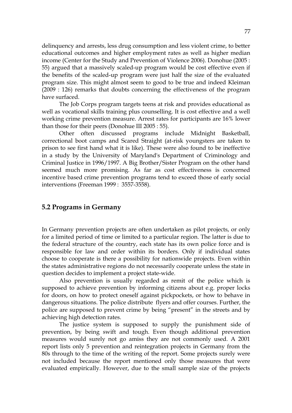delinquency and arrests, less drug consumption and less violent crime, to better educational outcomes and higher employment rates as well as higher median income (Center for the Study and Prevention of Violence 2006). Donohue (2005 : 55) argued that a massively scaled-up program would be cost effective even if the benefits of the scaled-up program were just half the size of the evaluated program size. This might almost seem to good to be true and indeed Kleiman (2009 : 126) remarks that doubts concerning the effectiveness of the program have surfaced.

The Job Corps program targets teens at risk and provides educational as well as vocational skills training plus counselling. It is cost effective and a well working crime prevention measure. Arrest rates for participants are 16% lower than those for their peers (Donohue III 2005 : 55).

Other often discussed programs include Midnight Basketball, correctional boot camps and Scared Straight (at-risk youngsters are taken to prison to see first hand what it is like). These were also found to be ineffective in a study by the University of Maryland's Department of Criminology and Criminal Justice in 1996/1997. A Big Brother/Sister Program on the other hand seemed much more promising. As far as cost effectiveness is concerned incentive based crime prevention programs tend to exceed those of early social interventions (Freeman 1999 : 3557-3558).

# **5.2 Programs in Germany**

In Germany prevention projects are often undertaken as pilot projects, or only for a limited period of time or limited to a particular region. The latter is due to the federal structure of the country, each state has its own police force and is responsible for law and order within its borders. Only if individual states choose to cooperate is there a possibility for nationwide projects. Even within the states administrative regions do not necessarily cooperate unless the state in question decides to implement a project state-wide.

Also prevention is usually regarded as remit of the police which is supposed to achieve prevention by informing citizens about e.g. proper locks for doors, on how to protect oneself against pickpockets, or how to behave in dangerous situations. The police distribute flyers and offer courses. Further, the police are supposed to prevent crime by being "present" in the streets and by achieving high detection rates.

The justice system is supposed to supply the punishment side of prevention, by being swift and tough. Even though additional prevention measures would surely not go amiss they are not commonly used. A 2001 report lists only 5 prevention and reintegration projects in Germany from the 80s through to the time of the writing of the report. Some projects surely were not included because the report mentioned only those measures that were evaluated empirically. However, due to the small sample size of the projects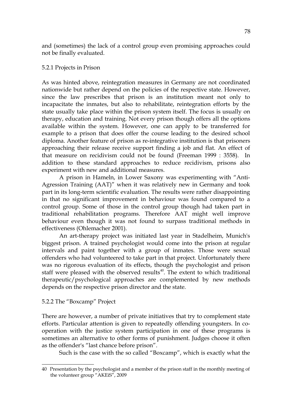and (sometimes) the lack of a control group even promising approaches could not be finally evaluated.

### 5.2.1 Projects in Prison

As was hinted above, reintegration measures in Germany are not coordinated nationwide but rather depend on the policies of the respective state. However, since the law prescribes that prison is an institution meant not only to incapacitate the inmates, but also to rehabilitate, reintegration efforts by the state usually take place within the prison system itself. The focus is usually on therapy, education and training. Not every prison though offers all the options available within the system. However, one can apply to be transferred for example to a prison that does offer the course leading to the desired school diploma. Another feature of prison as re-integrative institution is that prisoners approaching their release receive support finding a job and flat. An effect of that measure on recidivism could not be found (Freeman 1999 : 3558). In addition to these standard approaches to reduce recidivism, prisons also experiment with new and additional measures.

A prison in Hameln, in Lower Saxony was experimenting with "Anti-Agression Training (AAT)" when it was relatively new in Germany and took part in its long-term scientific evaluation. The results were rather disappointing in that no significant improvement in behaviour was found compared to a control group. Some of those in the control group though had taken part in traditional rehabilitation programs. Therefore AAT might well improve behaviour even though it was not found to surpass traditional methods in effectiveness (Ohlemacher 2001).

An art-therapy project was initiated last year in Stadelheim, Munich's biggest prison. A trained psychologist would come into the prison at regular intervals and paint together with a group of inmates. Those were sexual offenders who had volunteered to take part in that project. Unfortunately there was no rigorous evaluation of its effects, though the psychologist and prison staff were pleased with the observed results<sup>[40](#page-77-0)</sup>. The extent to which traditional therapeutic/psychological approaches are complemented by new methods depends on the respective prison director and the state.

## 5.2.2 The "Boxcamp" Project

There are however, a number of private initiatives that try to complement state efforts. Particular attention is given to repeatedly offending youngsters. In cooperation with the justice system participation in one of these programs is sometimes an alternative to other forms of punishment. Judges choose it often as the offender's "last chance before prison".

Such is the case with the so called "Boxcamp", which is exactly what the

<span id="page-77-0"></span><sup>40</sup> Presentation by the psychologist and a member of the prison staff in the monthly meeting of the volunteer group "AKEiS", 2009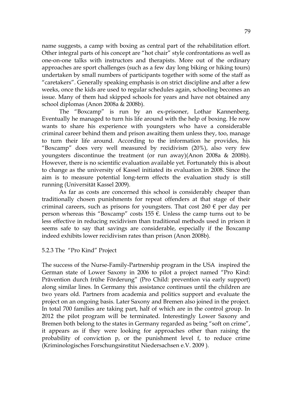name suggests, a camp with boxing as central part of the rehabilitation effort. Other integral parts of his concept are "hot chair" style confrontations as well as one-on-one talks with instructors and therapists. More out of the ordinary approaches are sport challenges (such as a few day long biking or hiking tours) undertaken by small numbers of participants together with some of the staff as "caretakers". Generally speaking emphasis is on strict discipline and after a few weeks, once the kids are used to regular schedules again, schooling becomes an issue. Many of them had skipped schools for years and have not obtained any school diplomas (Anon 2008a & 2008b).

The "Boxcamp" is run by an ex-prisoner, Lothar Kannenberg. Eventually he managed to turn his life around with the help of boxing. He now wants to share his experience with youngsters who have a considerable criminal career behind them and prison awaiting them unless they, too, manage to turn their life around. According to the information he provides, his "Boxcamp" does very well measured by recidivism (20%), also very few youngsters discontinue the treatment (or run away)(Anon 2008a & 2008b). However, there is no scientific evaluation available yet. Fortunately this is about to change as the university of Kassel initiated its evaluation in 2008. Since the aim is to measure potential long-term effects the evaluation study is still running (Universität Kassel 2009).

As far as costs are concerned this school is considerably cheaper than traditionally chosen punishments for repeat offenders at that stage of their criminal careers, such as prisons for youngsters. That cost 260  $\epsilon$  per day per person whereas this "Boxcamp" costs 155  $\epsilon$ . Unless the camp turns out to be less effective in reducing recidivism than traditional methods used in prison it seems safe to say that savings are considerable, especially if the Boxcamp indeed exhibits lower recidivism rates than prison (Anon 2008b).

#### 5.2.3 The "Pro Kind" Project

The success of the Nurse-Family-Partnership program in the USA inspired the German state of Lower Saxony in 2006 to pilot a project named "Pro Kind: Prävention durch frühe Förderung" (Pro Child: prevention via early support) along similar lines. In Germany this assistance continues until the children are two years old. Partners from academia and politics support and evaluate the project on an ongoing basis. Later Saxony and Bremen also joined in the project. In total 700 families are taking part, half of which are in the control group. In 2012 the pilot program will be terminated. Interestingly Lower Saxony and Bremen both belong to the states in Germany regarded as being "soft on crime", it appears as if they were looking for approaches other than raising the probability of conviction p, or the punishment level f, to reduce crime (Kriminologisches Forschungsinstitut Niedersachsen e.V. 2009 ).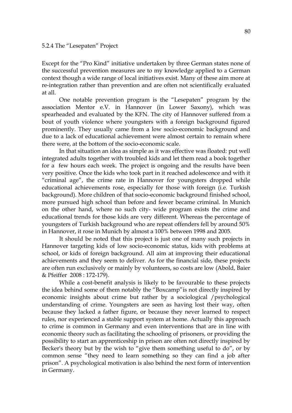#### 5.2.4 The "Lesepaten" Project

Except for the "Pro Kind" initiative undertaken by three German states none of the successful prevention measures are to my knowledge applied to a German context though a wide range of local initiatives exist. Many of these aim more at re-integration rather than prevention and are often not scientifically evaluated at all.

One notable prevention program is the "Lesepaten" program by the association Mentor e.V. in Hannover (in Lower Saxony), which was spearheaded and evaluated by the KFN. The city of Hannover suffered from a bout of youth violence where youngsters with a foreign background figured prominently. They usually came from a low socio-economic background and due to a lack of educational achievement were almost certain to remain where there were, at the bottom of the socio-economic scale.

In that situation an idea as simple as it was effective was floated: put well integrated adults together with troubled kids and let them read a book together for a few hours each week. The project is ongoing and the results have been very positive. Once the kids who took part in it reached adolescence and with it "criminal age", the crime rate in Hannover for youngsters dropped while educational achievements rose, especially for those with foreign (i.e. Turkish background). More children of that socio-economic background finished school, more pursued high school than before and fewer became criminal. In Munich on the other hand, where no such city- wide program exists the crime and educational trends for those kids are very different. Whereas the percentage of youngsters of Turkish background who are repeat offenders fell by around 50% in Hannover, it rose in Munich by almost a 100% between 1998 and 2005.

It should be noted that this project is just one of many such projects in Hannover targeting kids of low socio-economic status, kids with problems at school, or kids of foreign background. All aim at improving their educational achievements and they seem to deliver. As for the financial side, these projects are often run exclusively or mainly by volunteers, so costs are low (Abold, Baier & Pfeiffer 2008 : 172-179).

While a cost-benefit analysis is likely to be favourable to these projects the idea behind some of them notably the "Boxcamp"is not directly inspired by economic insights about crime but rather by a sociological /psychological understanding of crime. Youngsters are seen as having lost their way, often because they lacked a father figure, or because they never learned to respect rules, nor experienced a stable support system at home. Actually this approach to crime is common in Germany and even interventions that are in line with economic theory such as facilitating the schooling of prisoners, or providing the possibility to start an apprenticeship in prison are often not directly inspired by Becker's theory but by the wish to "give them something useful to do", or by common sense "they need to learn something so they can find a job after prison". A psychological motivation is also behind the next form of intervention in Germany.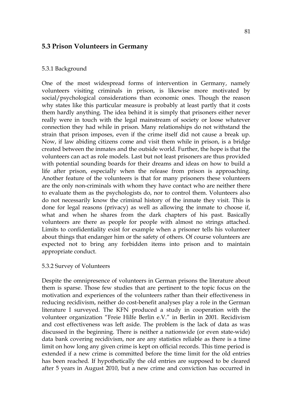# **5.3 Prison Volunteers in Germany**

### 5.3.1 Background

One of the most widespread forms of intervention in Germany, namely volunteers visiting criminals in prison, is likewise more motivated by social/psychological considerations than economic ones. Though the reason why states like this particular measure is probably at least partly that it costs them hardly anything. The idea behind it is simply that prisoners either never really were in touch with the legal mainstream of society or loose whatever connection they had while in prison. Many relationships do not withstand the strain that prison imposes, even if the crime itself did not cause a break up. Now, if law abiding citizens come and visit them while in prison, is a bridge created between the inmates and the outside world. Further, the hope is that the volunteers can act as role models. Last but not least prisoners are thus provided with potential sounding boards for their dreams and ideas on how to build a life after prison, especially when the release from prison is approaching. Another feature of the volunteers is that for many prisoners these volunteers are the only non-criminals with whom they have contact who are neither there to evaluate them as the psychologists do, nor to control them. Volunteers also do not necessarily know the criminal history of the inmate they visit. This is done for legal reasons (privacy) as well as allowing the inmate to choose if, what and when he shares from the dark chapters of his past. Basically volunteers are there as people for people with almost no strings attached. Limits to confidentiality exist for example when a prisoner tells his volunteer about things that endanger him or the safety of others. Of course volunteers are expected not to bring any forbidden items into prison and to maintain appropriate conduct.

#### 5.3.2 Survey of Volunteers

Despite the omnipresence of volunteers in German prisons the literature about them is sparse. Those few studies that are pertinent to the topic focus on the motivation and experiences of the volunteers rather than their effectiveness in reducing recidivism, neither do cost-benefit analyses play a role in the German literature I surveyed. The KFN produced a study in cooperation with the volunteer organization "Freie Hilfe Berlin e.V." in Berlin in 2001. Recidivism and cost effectiveness was left aside. The problem is the lack of data as was discussed in the beginning. There is neither a nationwide (or even state-wide) data bank covering recidivism, nor are any statistics reliable as there is a time limit on how long any given crime is kept on official records. This time period is extended if a new crime is committed before the time limit for the old entries has been reached. If hypothetically the old entries are supposed to be cleared after 5 years in August 2010, but a new crime and conviction has occurred in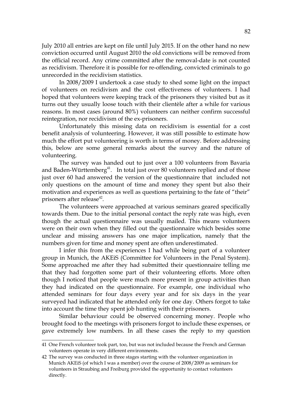July 2010 all entries are kept on file until July 2015. If on the other hand no new conviction occurred until August 2010 the old convictions will be removed from the official record. Any crime committed after the removal-date is not counted as recidivism. Therefore it is possible for re-offending, convicted criminals to go unrecorded in the recidivism statistics.

In 2008/2009 I undertook a case study to shed some light on the impact of volunteers on recidivism and the cost effectiveness of volunteers. I had hoped that volunteers were keeping track of the prisoners they visited but as it turns out they usually loose touch with their clientèle after a while for various reasons. In most cases (around 80%) volunteers can neither confirm successful reintegration, nor recidivism of the ex-prisoners.

Unfortunately this missing data on recidivism is essential for a cost benefit analysis of volunteering. However, it was still possible to estimate how much the effort put volunteering is worth in terms of money. Before addressing this, below are some general remarks about the survey and the nature of volunteering.

The survey was handed out to just over a 100 volunteers from Bavaria and Baden-Württemberg<sup>[41](#page-81-0)</sup>. In total just over 80 volunteers replied and of those just over 60 had answered the version of the questionnaire that included not only questions on the amount of time and money they spent but also their motivation and experiences as well as questions pertaining to the fate of "their" prisoners after release<sup>[42](#page-81-1)</sup>.

The volunteers were approached at various seminars geared specifically towards them. Due to the initial personal contact the reply rate was high, even though the actual questionnaire was usually mailed. This means volunteers were on their own when they filled out the questionnaire which besides some unclear and missing answers has one major implication, namely that the numbers given for time and money spent are often underestimated.

I infer this from the experiences I had while being part of a volunteer group in Munich, the AKEiS (Committee for Volunteers in the Penal System). Some approached me after they had submitted their questionnaire telling me that they had forgotten some part of their volunteering efforts. More often though I noticed that people were much more present in group activities than they had indicated on the questionnaire. For example, one individual who attended seminars for four days every year and for six days in the year surveyed had indicated that he attended only for one day. Others forgot to take into account the time they spent job hunting with their prisoners.

Similar behaviour could be observed concerning money. People who brought food to the meetings with prisoners forgot to include these expenses, or gave extremely low numbers. In all these cases the reply to my question

<span id="page-81-0"></span><sup>41</sup> One French volunteer took part, too, but was not included because the French and German volunteers operate in very different environments.

<span id="page-81-1"></span><sup>42</sup> The survey was conducted in three stages starting with the volunteer organization in Munich AKEiS (of which I was a member) over the course of 2008/2009 as seminars for volunteers in Straubing and Freiburg provided the opportunity to contact volunteers directly.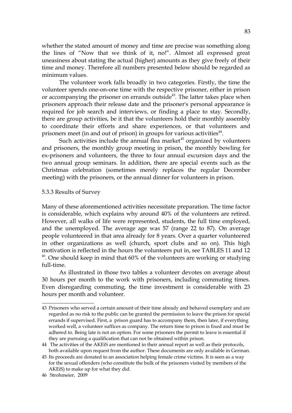whether the stated amount of money and time are precise was something along the lines of "Now that we think of it, no!". Almost all expressed great uneasiness about stating the actual (higher) amounts as they give freely of their time and money. Therefore all numbers presented below should be regarded as minimum values.

The volunteer work falls broadly in two categories. Firstly, the time the volunteer spends one-on-one time with the respective prisoner, either in prison or accompanying the prisoner on errands outside<sup>[43](#page-82-0)</sup>. The latter takes place when prisoners approach their release date and the prisoner's personal appearance is required for job search and interviews, or finding a place to stay. Secondly, there are group activities, be it that the volunteers hold their monthly assembly to coordinate their efforts and share experiences, or that volunteers and prisoners meet (in and out of prison) in groups for various activities<sup>[44](#page-82-1)</sup>.

Such activities include the annual flea market<sup>[45](#page-82-2)</sup> organized by volunteers and prisoners, the monthly group meeting in prison, the monthly bowling for ex-prisoners and volunteers, the three to four annual excursion days and the two annual group seminars. In addition, there are special events such as the Christmas celebration (sometimes merely replaces the regular December meeting) with the prisoners, or the annual dinner for volunteers in prison.

### 5.3.3 Results of Survey

Many of these aforementioned activities necessitate preparation. The time factor is considerable, which explains why around 40% of the volunteers are retired. However, all walks of life were represented, students, the full time employed, and the unemployed. The average age was 57 (range 22 to 87). On average people volunteered in that area already for 8 years. Over a quarter volunteered in other organizations as well (church, sport clubs and so on). This high motivation is reflected in the hours the volunteers put in, see TABLES 11 and 12 <sup>[46](#page-82-3)</sup>. One should keep in mind that 60% of the volunteers are working or studying full-time.

As illustrated in those two tables a volunteer devotes on average about 30 hours per month to the work with prisoners, including commuting times. Even disregarding commuting, the time investment is considerable with 23 hours per month and volunteer.

<span id="page-82-0"></span><sup>43</sup> Prisoners who served a certain amount of their time already and behaved exemplary and are regarded as no risk to the public can be granted the permission to leave the prison for special errands if supervised. First, a prison guard has to accompany them, then later, if everything worked well, a volunteer suffices as company. The return time to prison is fixed and must be adhered to. Being late is not an option. For some prisoners the permit to leave is essential if they are pursuing a qualification that can not be obtained within prison.

<span id="page-82-1"></span><sup>44</sup> The activities of the AKEiS are mentioned in their annual report as well as their protocols, both available upon request from the author. These documents are only available in German.

<span id="page-82-2"></span><sup>45</sup> Its proceeds are donated to an association helping female crime victims. It is seen as a way for the sexual offenders (who constitute the bulk of the prisoners visited by members of the AKEiS) to make up for what they did.

<span id="page-82-3"></span><sup>46</sup> Strohmeier, 2009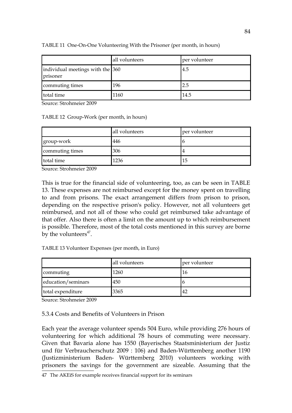|                                              | all volunteers | per volunteer |
|----------------------------------------------|----------------|---------------|
| individual meetings with the 360<br>prisoner |                | 4.5           |
| commuting times                              | 196            | 2.5           |
| total time                                   | 1160           | 14.5          |

TABLE 11 One-On-One Volunteering With the Prisoner (per month, in hours)

Source: Strohmeier 2009

TABLE 12 Group-Work (per month, in hours)

|                 | all volunteers | per volunteer |
|-----------------|----------------|---------------|
| group-work      | 446            | l b           |
| commuting times | 306            | 4             |
| total time      | 1236           | 15            |

Source: Strohmeier 2009

This is true for the financial side of volunteering, too, as can be seen in TABLE 13. These expenses are not reimbursed except for the money spent on travelling to and from prisons. The exact arrangement differs from prison to prison, depending on the respective prison's policy. However, not all volunteers get reimbursed, and not all of those who could get reimbursed take advantage of that offer. Also there is often a limit on the amount up to which reimbursement is possible. Therefore, most of the total costs mentioned in this survey are borne by the volunteers<sup> $47$ </sup>.

| TABLE 13 Volunteer Expenses (per month, in Euro) |  |
|--------------------------------------------------|--|
|--------------------------------------------------|--|

|                    | all volunteers | per volunteer |
|--------------------|----------------|---------------|
| commuting          | 1260           | 16            |
| education/seminars | 450            |               |
| total expenditure  | 3365           | 42            |

Source: Strohmeier 2009

5.3.4 Costs and Benefits of Volunteers in Prison

Each year the average volunteer spends 504 Euro, while providing 276 hours of volunteering for which additional 78 hours of commuting were necessary. Given that Bavaria alone has 1550 (Bayerisches Staatsministerium der Justiz und für Verbraucherschutz 2009 : 106) and Baden-Württemberg another 1190 (Justizministerium Baden- Württemberg 2010) volunteers working with prisoners the savings for the government are sizeable. Assuming that the

<span id="page-83-0"></span><sup>47</sup> The AKEiS for example receives financial support for its seminars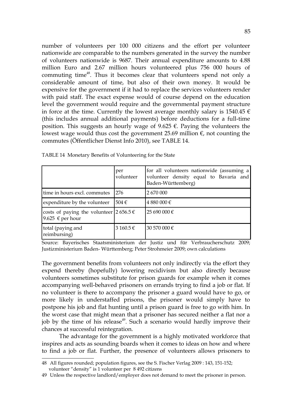number of volunteers per 100 000 citizens and the effort per volunteer nationwide are comparable to the numbers generated in the survey the number of volunteers nationwide is 9687. Their annual expenditure amounts to 4.88 million Euro and 2.67 million hours volunteered plus 756 000 hours of commuting time<sup>[48](#page-84-0)</sup>. Thus it becomes clear that volunteers spend not only a considerable amount of time, but also of their own money. It would be expensive for the government if it had to replace the services volunteers render with paid staff. The exact expense would of course depend on the education level the government would require and the governmental payment structure in force at the time. Currently the lowest average monthly salary is 1540.45  $\epsilon$ (this includes annual additional payments) before deductions for a full-time position. This suggests an hourly wage of 9.625  $\epsilon$ . Paying the volunteers the lowest wage would thus cost the government 25.69 million  $\epsilon$ , not counting the commutes (Öffentlicher Dienst Info 2010), see TABLE 14.

|                                                                              | per<br>volunteer | for all volunteers nationwide (assuming a<br>volunteer density equal to Bavaria and<br>Baden-Württemberg) |
|------------------------------------------------------------------------------|------------------|-----------------------------------------------------------------------------------------------------------|
| time in hours excl. commutes                                                 | 276              | 2 670 000                                                                                                 |
| expenditure by the volunteer                                                 | 504€             | 4 880 000 €                                                                                               |
| costs of paying the volunteer 2656.5 $\epsilon$<br>9.625 $\epsilon$ per hour |                  | $25690000 \in$                                                                                            |
| total (paying and<br>reimbursing)                                            | 3 160.5 €        | 30 570 000 €                                                                                              |

Source: Bayerisches Staatsministerium der Justiz und für Verbraucherschutz 2009; Justizministerium Baden- Württemberg; Peter Strohmeier 2009; own calculations

The government benefits from volunteers not only indirectly via the effort they expend thereby (hopefully) lowering recidivism but also directly because volunteers sometimes substitute for prison guards for example when it comes accompanying well-behaved prisoners on errands trying to find a job or flat. If no volunteer is there to accompany the prisoner a guard would have to go, or more likely in understaffed prisons, the prisoner would simply have to postpone his job and flat hunting until a prison guard is free to go with him. In the worst case that might mean that a prisoner has secured neither a flat nor a job by the time of his release $49$ . Such a scenario would hardly improve their chances at successful reintegration.

The advantage for the government is a highly motivated workforce that inspires and acts as sounding boards when it comes to ideas on how and where to find a job or flat. Further, the presence of volunteers allows prisoners to

<span id="page-84-0"></span><sup>48</sup> All figures rounded; population figures, see the S. Fischer Verlag 2009 : 143, 151-152; volunteer "density" is 1 volunteer per 8 492 citizens

<span id="page-84-1"></span><sup>49</sup> Unless the respective landlord/employer does not demand to meet the prisoner in person.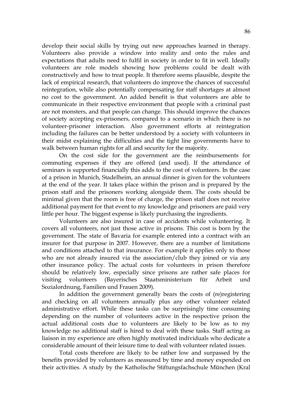develop their social skills by trying out new approaches learned in therapy. Volunteers also provide a window into reality and onto the rules and expectations that adults need to fulfil in society in order to fit in well. Ideally volunteers are role models showing how problems could be dealt with constructively and how to treat people. It therefore seems plausible, despite the lack of empirical research, that volunteers do improve the chances of successful reintegration, while also potentially compensating for staff shortages at almost no cost to the government. An added benefit is that volunteers are able to communicate in their respective environment that people with a criminal past are not monsters, and that people can change. This should improve the chances of society accepting ex-prisoners, compared to a scenario in which there is no volunteer-prisoner interaction. Also government efforts at reintegration including the failures can be better understood by a society with volunteers in their midst explaining the difficulties and the tight line governments have to walk between human rights for all and security for the majority.

On the cost side for the government are the reimbursements for commuting expenses if they are offered (and used). If the attendance of seminars is supported financially this adds to the cost of volunteers. In the case of a prison in Munich, Stadelheim, an annual dinner is given for the volunteers at the end of the year. It takes place within the prison and is prepared by the prison staff and the prisoners working alongside them. The costs should be minimal given that the room is free of charge, the prison staff does not receive additional payment for that event to my knowledge and prisoners are paid very little per hour. The biggest expense is likely purchasing the ingredients.

Volunteers are also insured in case of accidents while volunteering. It covers all volunteers, not just those active in prisons. This cost is born by the government. The state of Bavaria for example entered into a contract with an insurer for that purpose in 2007. However, there are a number of limitations and conditions attached to that insurance. For example it applies only to those who are not already insured via the association/club they joined or via any other insurance policy. The actual costs for volunteers in prison therefore should be relatively low, especially since prisons are rather safe places for visiting volunteers (Bayerisches Staatsministerium für Arbeit und Sozialordnung, Familien und Frauen 2009).

In addition the government generally bears the costs of (re)registering and checking on all volunteers annually plus any other volunteer related administrative effort. While these tasks can be surprisingly time consuming depending on the number of volunteers active in the respective prison the actual additional costs due to volunteers are likely to be low as to my knowledge no additional staff is hired to deal with these tasks. Staff acting as liaison in my experience are often highly motivated individuals who dedicate a considerable amount of their leisure time to deal with volunteer related issues.

Total costs therefore are likely to be rather low and surpassed by the benefits provided by volunteers as measured by time and money expended on their activities. A study by the Katholische Stiftungsfachschule München (Kral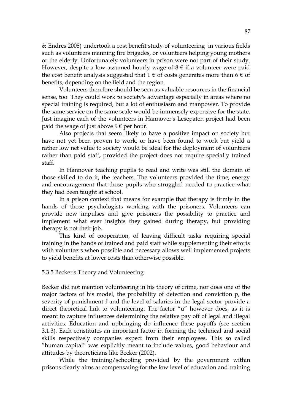& Endres 2008) undertook a cost benefit study of volunteering in various fields such as volunteers manning fire brigades, or volunteers helping young mothers or the elderly. Unfortunately volunteers in prison were not part of their study. However, despite a low assumed hourly wage of  $8 \in \mathbb{R}$  a volunteer were paid the cost benefit analysis suggested that  $1 \in \mathfrak{c}$  of costs generates more than  $6 \in \mathfrak{c}$ benefits, depending on the field and the region.

Volunteers therefore should be seen as valuable resources in the financial sense, too. They could work to society's advantage especially in areas where no special training is required, but a lot of enthusiasm and manpower. To provide the same service on the same scale would be immensely expensive for the state. Just imagine each of the volunteers in Hannover's Lesepaten project had been paid the wage of just above  $9 \in \text{per hour}$ .

Also projects that seem likely to have a positive impact on society but have not yet been proven to work, or have been found to work but yield a rather low net value to society would be ideal for the deployment of volunteers rather than paid staff, provided the project does not require specially trained staff.

In Hannover teaching pupils to read and write was still the domain of those skilled to do it, the teachers. The volunteers provided the time, energy and encouragement that those pupils who struggled needed to practice what they had been taught at school.

In a prison context that means for example that therapy is firmly in the hands of those psychologists working with the prisoners. Volunteers can provide new impulses and give prisoners the possibility to practice and implement what ever insights they gained during therapy, but providing therapy is not their job.

This kind of cooperation, of leaving difficult tasks requiring special training in the hands of trained and paid staff while supplementing their efforts with volunteers when possible and necessary allows well implemented projects to yield benefits at lower costs than otherwise possible.

## 5.3.5 Becker's Theory and Volunteering

Becker did not mention volunteering in his theory of crime, nor does one of the major factors of his model, the probability of detection and conviction p, the severity of punishment f and the level of salaries in the legal sector provide a direct theoretical link to volunteering. The factor "u" however does, as it is meant to capture influences determining the relative pay off of legal and illegal activities. Education and upbringing do influence these payoffs (see section 3.1.3). Each constitutes an important factor in forming the technical and social skills respectively companies expect from their employees. This so called "human capital" was explicitly meant to include values, good behaviour and attitudes by theoreticians like Becker (2002).

While the training/schooling provided by the government within prisons clearly aims at compensating for the low level of education and training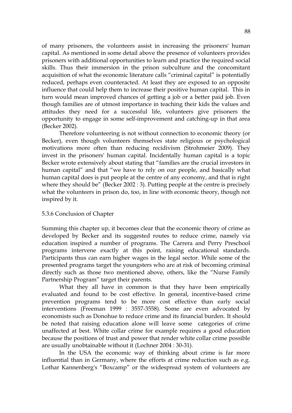of many prisoners, the volunteers assist in increasing the prisoners' human capital. As mentioned in some detail above the presence of volunteers provides prisoners with additional opportunities to learn and practice the required social skills. Thus their immersion in the prison subculture and the concomitant acquisition of what the economic literature calls "criminal capital" is potentially reduced, perhaps even counteracted. At least they are exposed to an opposite influence that could help them to increase their positive human capital. This in turn would mean improved chances of getting a job or a better paid job. Even though families are of utmost importance in teaching their kids the values and attitudes they need for a successful life, volunteers give prisoners the opportunity to engage in some self-improvement and catching-up in that area (Becker 2002).

Therefore volunteering is not without connection to economic theory (or Becker), even though volunteers themselves state religious or psychological motivations more often than reducing recidivism (Strohmeier 2009). They invest in the prisoners' human capital. Incidentally human capital is a topic Becker wrote extensively about stating that "families are the crucial investors in human capital" and that "we have to rely on our people, and basically what human capital does is put people at the centre of any economy, and that is right where they should be" (Becker 2002 : 3). Putting people at the centre is precisely what the volunteers in prison do, too, in line with economic theory, though not inspired by it.

## 5.3.6 Conclusion of Chapter

Summing this chapter up, it becomes clear that the economic theory of crime as developed by Becker and its suggested routes to reduce crime, namely via education inspired a number of programs. The Carrera and Perry Preschool programs intervene exactly at this point, raising educational standards. Participants thus can earn higher wages in the legal sector. While some of the presented programs target the youngsters who are at risk of becoming criminal directly such as those two mentioned above, others, like the "Nurse Family Partnership Program" target their parents.

What they all have in common is that they have been empirically evaluated and found to be cost effective. In general, incentive-based crime prevention programs tend to be more cost effective than early social interventions (Freeman 1999 : 3557-3558). Some are even advocated by economists such as Donohue to reduce crime and its financial burden. It should be noted that raising education alone will leave some categories of crime unaffected at best. White collar crime for example requires a good education because the positions of trust and power that render white collar crime possible are usually unobtainable without it (Lochner 2004 : 30-31).

In the USA the economic way of thinking about crime is far more influential than in Germany, where the efforts at crime reduction such as e.g. Lothar Kannenberg's "Boxcamp" or the widespread system of volunteers are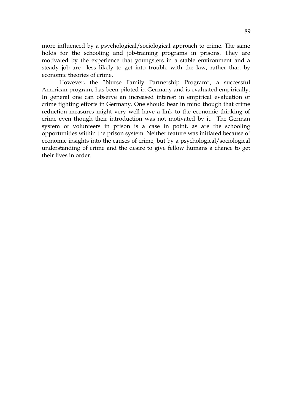more influenced by a psychological/sociological approach to crime. The same holds for the schooling and job-training programs in prisons. They are motivated by the experience that youngsters in a stable environment and a steady job are less likely to get into trouble with the law, rather than by economic theories of crime.

However, the "Nurse Family Partnership Program", a successful American program, has been piloted in Germany and is evaluated empirically. In general one can observe an increased interest in empirical evaluation of crime fighting efforts in Germany. One should bear in mind though that crime reduction measures might very well have a link to the economic thinking of crime even though their introduction was not motivated by it. The German system of volunteers in prison is a case in point, as are the schooling opportunities within the prison system. Neither feature was initiated because of economic insights into the causes of crime, but by a psychological/sociological understanding of crime and the desire to give fellow humans a chance to get their lives in order.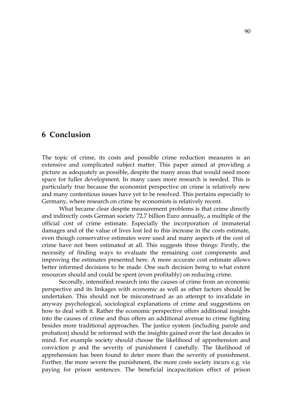# **6 Conclusion**

The topic of crime, its costs and possible crime reduction measures is an extensive and complicated subject matter. This paper aimed at providing a picture as adequately as possible, despite the many areas that would need more space for fuller development. In many cases more research is needed. This is particularly true because the economist perspective on crime is relatively new and many contentious issues have yet to be resolved. This pertains especially to Germany, where research on crime by economists is relatively recent.

What became clear despite measurement problems is that crime directly and indirectly costs German society 72.7 billion Euro annually**,** a multiple of the official cost of crime estimate. Especially the incorporation of immaterial damages and of the value of lives lost led to this increase in the costs estimate, even though conservative estimates were used and many aspects of the cost of crime have not been estimated at all. This suggests three things: Firstly, the necessity of finding ways to evaluate the remaining cost components and improving the estimates presented here. A more accurate cost estimate allows better informed decisions to be made. One such decision being to what extent resources should and could be spent (even profitably) on reducing crime.

Secondly, intensified research into the causes of crime from an economic perspective and its linkages with economic as well as other factors should be undertaken. This should not be misconstrued as an attempt to invalidate in anyway psychological, sociological explanations of crime and suggestions on how to deal with it. Rather the economic perspective offers additional insights into the causes of crime and thus offers an additional avenue to crime fighting besides more traditional approaches. The justice system (including parole and probation) should be reformed with the insights gained over the last decades in mind. For example society should choose the likelihood of apprehension and conviction p and the severity of punishment f carefully. The likelihood of apprehension has been found to deter more than the severity of punishment. Further, the more severe the punishment, the more costs society incurs e.g. via paying for prison sentences. The beneficial incapacitation effect of prison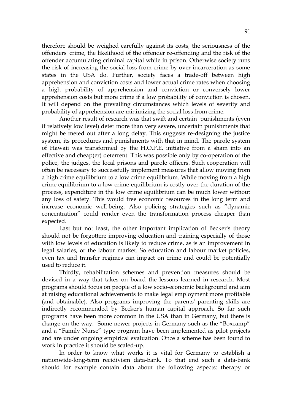therefore should be weighed carefully against its costs, the seriousness of the offenders' crime, the likelihood of the offender re-offending and the risk of the offender accumulating criminal capital while in prison. Otherwise society runs the risk of increasing the social loss from crime by over-incarceration as some states in the USA do. Further, society faces a trade-off between high apprehension and conviction costs and lower actual crime rates when choosing a high probability of apprehension and conviction or conversely lower apprehension costs but more crime if a low probability of conviction is chosen. It will depend on the prevailing circumstances which levels of severity and probability of apprehension are minimizing the social loss from crime.

Another result of research was that swift and certain punishments (even if relatively low level) deter more than very severe, uncertain punishments that might be meted out after a long delay. This suggests re-designing the justice system, its procedures and punishments with that in mind. The parole system of Hawaii was transformed by the H.O.P.E. initiative from a sham into an effective and cheap(er) deterrent. This was possible only by co-operation of the police, the judges, the local prisons and parole officers. Such cooperation will often be necessary to successfully implement measures that allow moving from a high crime equilibrium to a low crime equilibrium. While moving from a high crime equilibrium to a low crime equilibrium is costly over the duration of the process, expenditure in the low crime equilibrium can be much lower without any loss of safety. This would free economic resources in the long term and increase economic well-being. Also policing strategies such as "dynamic concentration" could render even the transformation process cheaper than expected.

Last but not least, the other important implication of Becker's theory should not be forgotten: improving education and training especially of those with low levels of education is likely to reduce crime, as is an improvement in legal salaries, or the labour market. So education and labour market policies, even tax and transfer regimes can impact on crime and could be potentially used to reduce it.

Thirdly, rehabilitation schemes and prevention measures should be devised in a way that takes on board the lessons learned in research. Most programs should focus on people of a low socio-economic background and aim at raising educational achievements to make legal employment more profitable (and obtainable). Also programs improving the parents' parenting skills are indirectly recommended by Becker's human capital approach. So far such programs have been more common in the USA than in Germany, but there is change on the way. Some newer projects in Germany such as the "Boxcamp" and a "Family Nurse" type program have been implemented as pilot projects and are under ongoing empirical evaluation. Once a scheme has been found to work in practice it should be scaled-up.

In order to know what works it is vital for Germany to establish a nationwide-long-term recidivism data-bank. To that end such a data-bank should for example contain data about the following aspects: therapy or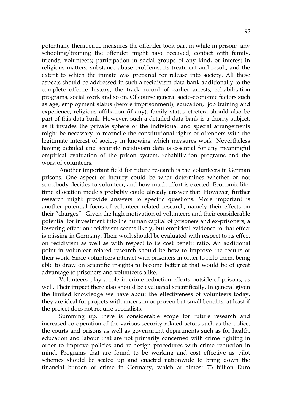potentially therapeutic measures the offender took part in while in prison; any schooling/training the offender might have received; contact with family, friends, volunteers; participation in social groups of any kind, or interest in religious matters; substance abuse problems, its treatment and result; and the extent to which the inmate was prepared for release into society. All these aspects should be addressed in such a recidivism-data-bank additionally to the complete offence history, the track record of earlier arrests, rehabilitation programs, social work and so on. Of course general socio-economic factors such as age, employment status (before imprisonment), education, job training and experience, religious affiliation (if any), family status etcetera should also be part of this data-bank. However, such a detailed data-bank is a thorny subject, as it invades the private sphere of the individual and special arrangements might be necessary to reconcile the constitutional rights of offenders with the legitimate interest of society in knowing which measures work. Nevertheless having detailed and accurate recidivism data is essential for any meaningful empirical evaluation of the prison system, rehabilitation programs and the work of volunteers.

Another important field for future research is the volunteers in German prisons. One aspect of inquiry could be what determines whether or not somebody decides to volunteer, and how much effort is exerted. Economic lifetime allocation models probably could already answer that. However, further research might provide answers to specific questions. More important is another potential focus of volunteer related research, namely their effects on their "charges". Given the high motivation of volunteers and their considerable potential for investment into the human capital of prisoners and ex-prisoners, a lowering effect on recidivism seems likely, but empirical evidence to that effect is missing in Germany. Their work should be evaluated with respect to its effect on recidivism as well as with respect to its cost benefit ratio. An additional point in volunteer related research should be how to improve the results of their work. Since volunteers interact with prisoners in order to help them, being able to draw on scientific insights to become better at that would be of great advantage to prisoners and volunteers alike.

Volunteers play a role in crime reduction efforts outside of prisons, as well. Their impact there also should be evaluated scientifically. In general given the limited knowledge we have about the effectiveness of volunteers today, they are ideal for projects with uncertain or proven but small benefits, at least if the project does not require specialists.

Summing up, there is considerable scope for future research and increased co-operation of the various security related actors such as the police, the courts and prisons as well as government departments such as for health, education and labour that are not primarily concerned with crime fighting in order to improve policies and re-design procedures with crime reduction in mind. Programs that are found to be working and cost effective as pilot schemes should be scaled up and enacted nationwide to bring down the financial burden of crime in Germany, which at almost 73 billion Euro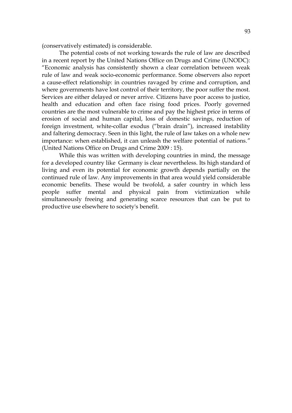(conservatively estimated) is considerable.

The potential costs of not working towards the rule of law are described in a recent report by the United Nations Office on Drugs and Crime (UNODC): "Economic analysis has consistently shown a clear correlation between weak rule of law and weak socio-economic performance. Some observers also report a cause-effect relationship: in countries ravaged by crime and corruption, and where governments have lost control of their territory, the poor suffer the most. Services are either delayed or never arrive. Citizens have poor access to justice, health and education and often face rising food prices. Poorly governed countries are the most vulnerable to crime and pay the highest price in terms of erosion of social and human capital, loss of domestic savings, reduction of foreign investment, white-collar exodus ("brain drain"), increased instability and faltering democracy. Seen in this light, the rule of law takes on a whole new importance: when established, it can unleash the welfare potential of nations." (United Nations Office on Drugs and Crime 2009 : 15).

While this was written with developing countries in mind, the message for a developed country like Germany is clear nevertheless. Its high standard of living and even its potential for economic growth depends partially on the continued rule of law. Any improvements in that area would yield considerable economic benefits. These would be twofold, a safer country in which less people suffer mental and physical pain from victimization while simultaneously freeing and generating scarce resources that can be put to productive use elsewhere to society's benefit.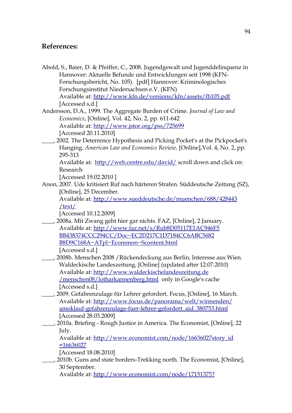# **References:**

- Abold, S., Baier, D. & Pfeiffer, C., 2008. Jugendgewalt und Jugenddelinquenz in Hannover: Aktuelle Befunde und Entwicklungen seit 1998 (KFN-Forschungsbericht, No. 105). [pdf] Hannover: Kriminologisches Forschungsinstitut Niedersachsen e.V. (KFN) Available at:<http://www.kfn.de/versions/kfn/assets/fb105.pdf> [Accessed s.d.]
- Andersson, D.A., 1999. The Aggregate Burden of Crime. *Journal of Law and Economics*, [Online], Vol. 42, No. 2, pp. 611-642 Available at:<http://www.jstor.org/pss/725699> [Accessed 20.11.2010]
- \_\_\_\_, 2002. The Deterrence Hypothesis and Picking Pocket's at the Pickpocket's Hanging. *American Law and Economics Review,* [Online],Vol. 4, No. 2, pp. 295-313
	- Available at: <http://web.centre.edu/david/>scroll down and click on: Research

[Accessed 19.02.2010 ]

Anon, 2007. Ude kritisiert Ruf nach härteren Strafen. Süddeutsche Zeitung (SZ), [Online], 25 December.

Available at:<http://www.sueddeutsche.de/muenchen/688/428443> [/text/](http://www.sueddeutsche.de/muenchen/688/428443/text/)

[Accessed 10.12.2009]

- \_\_\_\_, 2008a. Mit Zwang geht hier gar nichts. FAZ, [Online], 2 January. Available at:<http://www.faz.net/s/Rub8D05117E1AC946F5> BB438374CCC294CC/Doc~EC2D217C1D7184CC6ABC5682 B8D9C168A~ATpl~Ecommon~Scontent.html [Accessed s.d.]
- \_\_\_\_, 2008b. Menschen 2008 /Rückendeckung aus Berlin, Interesse aus Wien. Waldeckische Landeszeitung, [Online] (updated after 12.07.2010) Available at: [http://www.waldeckischelandeszeitung.de](http://www.waldeckischelandeszeitung.de/) [/menschen08/lotharkannenberg.html](http://www.waldeckische-landeszeitung.de/menschen08/lotharkannenberg.html) only in Google's cache [Accessed s.d.]
- \_\_\_\_, 2009. Gefahrenzulage für Lehrer gefordert. Focus, [Online], 16 March. Available at:<http://www.focus.de/panorama/welt/winnenden/>  [amoklauf-](http://www.focus.de/panorama/welt/winnenden/amoklauf-) [gefahrenzulage-fuer-](http://www.focus.de/panorama/welt/winnenden/amoklauf-gefahrenzulage-fuer-) [lehrer-gefordert\\_aid\\_380753.html](http://www.focus.de/panorama/welt/winnenden/amoklauf-gefahrenzulage-fuer-lehrer-gefordert_aid_380753.html) [Accessed 28.03.2009]
- \_\_\_\_, 2010a. Briefing Rough Justice in America. The Economist, [Online], 22 July.

Available at: [http://www.economist.com/node/16636027story\\_id](http://www.economist.com/node/16636027story_id) [=16636027](http://www.economist.com/node/16636027?story_id=16636027)

[Accessed 18.08.2010]

\_\_\_\_, 2010b. Guns and state borders-Trekking north. The Economist, [Online], 30 September.

Available at:<http://www.economist.com/node/17151375> [?](http://www.economist.com/node/17151375?story_id=17151375)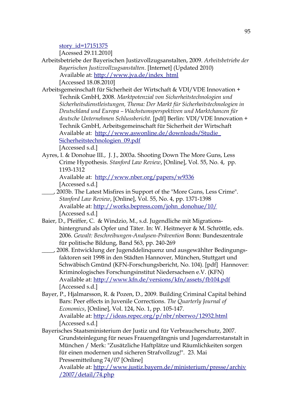story id=17151375

[Acessed 29.11.2010]

Arbeitsbetriebe der Bayerischen Justizvollzugsanstalten, 2009. *Arbeitsbetriebe der Bayerischen Justizvollzugsanstalten*. [Internet] (Updated 2010) Available at: [http://www.jva.de/index\\_html](http://www.jva.de/index_html) [Accessed 18.08.2010]

Arbeitsgemeinschaft für Sicherheit der Wirtschaft & VDI/VDE Innovation + Technik GmbH, 2008. *Marktpotenzial von Sicherheitstechnologien und Sicherheitsdienstleistungen, Thema: Der Markt für Sicherheitstechnologien in Deutschland und Europa – Wachstumsperspektiven und Marktchancen für deutsche Unternehmen Schlussbericht .* [pdf] Berlin: VDI/VDE Innovation + Technik GmbH, Arbeitsgemeinschaft für Sicherheit der Wirtschaft Available at: <http://www.aswonline.de/downloads/Studie> [\\_](http://www.asw-online.de/downloads/Studie_Sicherheitstechnologien_09.pdf) [Sicherheitstechnologien\\_09.pdf](http://www.asw-online.de/downloads/Studie_Sicherheitstechnologien_09.pdf) [Accessed s.d.]

Ayres, I. & Donohue III., J. J., 2003a. Shooting Down The More Guns, Less Crime Hypothesis. *Stanford Law Review*, [Online], Vol. 55, No. 4, pp. 1193-1312

Available at: <http://www.nber.org/papers/w9336> [Accessed s.d.]

- \_\_\_\_, 2003b. The Latest Misfires in Support of the "More Guns, Less Crime". *Stanford Law Review*, [Online], Vol. 55, No. 4, pp. 1371-1398 Available at: [http://works.bepress.com/john\\_donohue/10/](http://works.bepress.com/john_donohue/10/) [Accessed s.d.]
- Baier, D., Pfeiffer, C. & Windzio, M., s.d. Jugendliche mit Migrationshintergrund als Opfer und Täter. In: W. Heitmeyer & M. Schröttle, eds. 2006. *Gewalt: Beschreibungen-Analysen-Prävention* Bonn: Bundeszentrale für politische Bildung, Band 563, pp. 240-269
- \_\_\_\_, 2008. Entwicklung der Jugenddelinquenz und ausgewählter Bedingungsfaktoren seit 1998 in den Städten Hannover, München, Stuttgart und Schwäbisch Gmünd (KFN-Forschungsbericht, No. 104). [pdf] Hannover: Kriminologisches Forschungsinstitut Niedersachsen e.V. (KFN) Available at:<http://www.kfn.de/versions/kfn/assets/fb104.pdf> [Accessed s.d.]
- Bayer, P., Hjalmarsson, R. & Pozen, D., 2009. Building Criminal Capital behind Bars: Peer effects in Juvenile Corrections. *The Quarterly Journal of Economics*, [Online], Vol. 124, No. 1, pp. 105-147. Available at:<http://ideas.repec.org/p/nbr/nberwo/12932.html> [Accessed s.d.]
- Bayerisches Staatsministerium der Justiz und für Verbraucherschutz, 2007. Grundsteinlegung für neues Frauengefängnis und Jugendarrestanstalt in München / Merk: "Zusätzliche Haftplätze und Räumlichkeiten sorgen für einen modernen und sicheren Strafvollzug!". 23. Mai Pressemitteilung 74/07 [Online]

Available at:<http://www.justiz.bayern.de/ministerium/presse/archiv> [/2007/detail/74.php](http://www.justiz.bayern.de/ministerium/presse/archiv/2007/detail/74.php)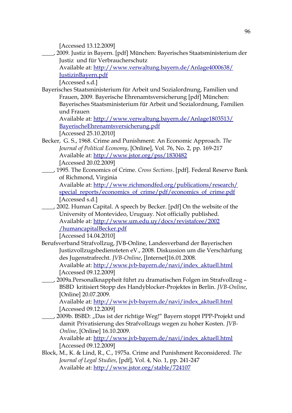[Accessed 13.12.2009]

\_\_\_\_, 2009. Justiz in Bayern. [pdf] München: Bayerisches Staatsministerium der Justiz und für Verbraucherschutz

Available at:<http://www.verwaltung.bayern.de/Anlage4000638/> [JustizinBayern.pdf](http://www.verwaltung.bayern.de/Anlage4000638/JustizinBayern.pdf)

[Accessed s.d.]

Bayerisches Staatsministerium für Arbeit und Sozialordnung, Familien und Frauen, 2009. Bayerische Ehrenamtsversicherung [pdf] München: Bayerisches Staatsministerium für Arbeit und Sozialordnung, Familien und Frauen

Available at:<http://www.verwaltung.bayern.de/Anlage1803513/>  [Bayerische](http://www.verwaltung.bayern.de/Anlage1803513/Bayerische) [Ehrenamtsversicherung.pdf](http://www.verwaltung.bayern.de/Anlage1803513/BayerischeEhrenamtsversicherung.pdf)

[Accessed 25.10.2010]

- Becker, G. S., 1968. Crime and Punishment: An Economic Approach. *The Journal of Political Economy*, [Online], Vol. 76, No. 2, pp. 169-217 Available at:<http://www.jstor.org/pss/1830482> [Accessed 20.02.2009]
- \_\_\_\_, 1995. The Economics of Crime. *Cross Sections*. [pdf]. Federal Reserve Bank of Richmond, Virginia Available at:<http://www.richmondfed.org/publications/research/> special\_reports/economics\_of\_crime/pdf/economics\_of\_crime.pdf

[Accessed s.d.]

\_\_\_\_, 2002. Human Capital. A speech by Becker. [pdf] On the website of the University of Montevideo, Uruguay. Not officially published. Available at:<http://www.um.edu.uy/docs/revistafcee/2002>  [/humancapital](http://www.um.edu.uy/docs/revistafcee/2002/humancapital) [Becker.pdf](http://www.um.edu.uy/docs/revistafcee/2002/humancapitalBecker.pdf)

[Accessed 14.04.2010]

Berufsverband Strafvollzug, JVB-Online, Landesverband der Bayerischen Justizvollzugsbediensteten eV., 2008. Diskussion um die Verschärfung des Jugenstrafrecht. *JVB-Online*, [Internet]16.01.2008.

Available at: [http://www.jvb-bayern.de/navi/index\\_aktuell.html](http://www.jvb-bayern.de/navi/index_aktuell.html) [Accessed 09.12.2009]

\_\_\_\_, 2009a.Personalknappheit führt zu dramatischen Folgen im Strafvollzug – BSBD kritisiert Stopp des Handyblocker-Projektes in Berlin. *JVB-Online*, [Online] 20.07.2009.

Available at: [http://www.jvb-bayern.de/navi/index\\_aktuell.html](http://www.jvb-bayern.de/navi/index_aktuell.html) [Accessed 09.12.2009]

\_\_\_\_, 2009b. BSBD: "Das ist der richtige Weg!" Bayern stoppt PPP-Projekt und damit Privatisierung des Strafvollzugs wegen zu hoher Kosten. *JVB-Online*, [Online] 16.10.2009.

Available at: [http://www.jvb-bayern.de/navi/index\\_aktuell.html](http://www.jvb-bayern.de/navi/index_aktuell.html) [Accessed 09.12.2009]

Block, M., K. & Lind, R., C., 1975a. Crime and Punishment Reconsidered. *The Journal of Legal Studies*, [pdf], Vol. 4, No. 1, pp. 241-247 Available at:<http://www.jstor.org/stable/724107>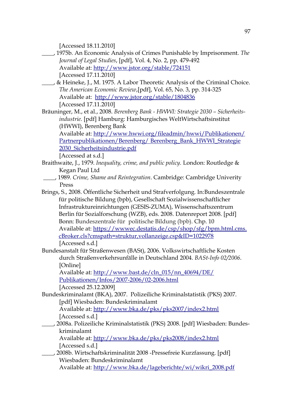[Accessed 18.11.2010]

- \_\_\_\_, 1975b. An Economic Analysis of Crimes Punishable by Imprisonment. *The Journal of Legal Studies*, [pdf], Vol. 4, No. 2, pp. 479-492 Available at: <http://www.jstor.org/stable/724151> [Accessed 17.11.2010]
- \_\_\_\_, & Heineke, J., M. 1975. A Labor Theoretic Analysis of the Criminal Choice. *The American Economic Review*,[pdf], Vol. 65, No. 3, pp. 314-325 Available at: <http://www.jstor.org/stable/1804836> [Accessed 17.11.2010]
- Bräuninger, M., et al., 2008. *Berenberg Bank HWWI: Strategie 2030 Sicherheitsindustrie.* [pdf] Hamburg: Hamburgisches WeltWirtschaftsinstitut (HWWI), Berenberg Bank

Available at:<http://www.hwwi.org/fileadmin/hwwi/Publikationen/> Partnerpublikationen/Berenberg/Berenberg\_Bank\_HWWI\_Strategie 2030\_Sicherheitsindustrie.pdf

[Accessed at s.d.]

- Braithwaite, J., 1979. *Inequality, crime, and public policy.* London: Routledge & Kegan Paul Ltd
- \_\_\_\_, 1989. *Crime, Shame and Reintegration*. Cambridge: Cambridge Univerity Press
- Brings, S., 2008. Öffentliche Sicherheit und Strafverfolgung. In:Bundeszentrale für politische Bildung (bpb), Gesellschaft Sozialwissenschaftlicher Infrastruktureinrichtungen (GESIS-ZUMA), Wissenschaftszentrum Berlin für Sozialforschung (WZB), eds. 2008. Datenreport 2008. [pdf] Bonn: Bundeszentrale für politische Bildung (bpb). Chp. 10 Available at:<https://wwwec.destatis.de/csp/shop/sfg/bpm.html.cms>[.](https://www-ec.destatis.de/csp/shop/sfg/bpm.html.cms.cBroker.cls)  [cBroker.cls](https://www-ec.destatis.de/csp/shop/sfg/bpm.html.cms.cBroker.cls) [? cmspath=struktur,vollanzeige.csp&ID=1022978](https://www-ec.destatis.de/csp/shop/sfg/bpm.html.cms.cBroker.cls?cmspath=struktur,vollanzeige.csp&ID=1022978) [Accessed s.d.]
- Bundesanstalt für Straßenwesen (BASt), 2006. Volkswirtschaftliche Kosten durch Straßenverkehrsunfälle in Deutschland 2004. *BASt-Info 02/2006*. [Online]

Available at: [http://www.bast.de/cln\\_015/nn\\_40694/DE/](http://www.bast.de/cln_015/nn_40694/DE/) Publikationen/Infos/2007-2006/02-2006.html

[Accessed 25.12.2009]

Bundeskriminalamt (BKA), 2007. Polizeiliche Kriminalstatistik (PKS) 2007. [pdf] Wiesbaden: Bundeskriminalamt

Available at:<http://www.bka.de/pks/pks2007/index2.html> [Accessed s.d.]

\_\_\_\_, 2008a. Polizeiliche Kriminalstatistik (PKS) 2008. [pdf] Wiesbaden: Bundeskriminalamt

Available at:<http://www.bka.de/pks/pks2008/index2.html> [Accessed s.d.]

\_\_\_\_, 2008b. Wirtschaftskriminalität 2008 -Pressefreie Kurzfassung. [pdf] Wiesbaden: Bundeskriminalamt Available at: [http://www.bka.de/lageberichte/wi/wikri\\_2008.pdf](http://www.bka.de/lageberichte/wi/wikri_2008.pdf)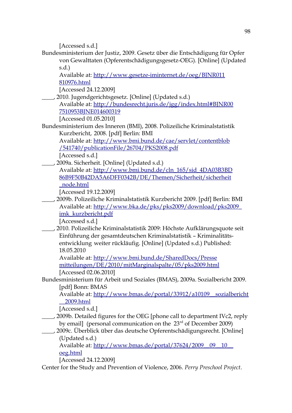[Accessed s.d.]

Bundesministerium der Justiz, 2009. Gesetz über die Entschädigung für Opfer von Gewalttaten (Opferentschädigungsgesetz-OEG). [Online] (Updated s.d.)

Available at:<http://www.gesetze-iminternet.de/oeg/BJNR011> [810976.html](http://www.gesetze-im-internet.de/oeg/BJNR011810976.html)

[Accessed 24.12.2009]

- \_\_\_\_, 2010. Jugendgerichtsgesetz. [Online] (Updated s.d.) Available at:<http://bundesrecht.juris.de/jgg/index.html#BJNR00>  [7510953](http://bundesrecht.juris.de/jgg/index.html#BJNR007510953) [BJNE014600319](http://bundesrecht.juris.de/jgg/index.html#BJNR007510953BJNE014600319) [Accessed 01.05.2010]
- Bundesministerium des Inneren (BMI), 2008. Polizeiliche Kriminalstatistik Kurzbericht, 2008. [pdf] Berlin: BMI

Available at:<http://www.bmi.bund.de/cae/servlet/contentblob>  [/541740/](http://www.bmi.bund.de/cae/servlet/contentblob/541740/) [publicationFile/26704/PKS2008.pdf](http://www.bmi.bund.de/cae/servlet/contentblob/541740/publicationFile/26704/PKS2008.pdf)

[Accessed s.d.]

\_\_\_\_, 2009a. Sicherheit. [Online] (Updated s.d.) Available at: [http://www.bmi.bund.de/cln\\_165/sid\\_4DA03B3BD](http://www.bmi.bund.de/cln_165/sid_4DA03B3BD)  [86B9F50](http://www.bmi.bund.de/cln_165/sid_4DA03B3BD86B9F50) [B42DA5A6](http://www.bmi.bund.de/cln_165/sid_4DA03B3BD86B9F50B42DA5A6) [DFF0342B/](http://www.bmi.bund.de/cln_165/sid_4DA03B3BD86B9F50B42DA5A6DFF0342B/) [DE](http://www.bmi.bund.de/cln_165/sid_4DA03B3BD86B9F50B42DA5A6DFF0342B/DE) [/Themen/Sicherheit/sicherheit](http://www.bmi.bund.de/cln_165/sid_4DA03B3BD86B9F50B42DA5A6DFF0342B/DE/Themen/Sicherheit/sicherheit_node.html)  [\\_ node.html](http://www.bmi.bund.de/cln_165/sid_4DA03B3BD86B9F50B42DA5A6DFF0342B/DE/Themen/Sicherheit/sicherheit_node.html)

[Accessed 19.12.2009]

\_\_\_\_, 2009b. Polizeiliche Kriminalstatistik Kurzbericht 2009. [pdf] Berlin: BMI Available at:<http://www.bka.de/pks/pks2009/download/pks2009> [\\_](http://www.bka.de/pks/pks2009/download/pks2009_imk) imk kurzbericht.pdf

[Accessed s.d.]

\_\_\_\_, 2010. Polizeiliche Kriminalstatistik 2009: Höchste Aufklärungsquote seit Einführung der gesamtdeutschen Kriminalstatistik – Kriminalitätsentwicklung weiter rückläufig. [Online] (Updated s.d.) Published: 18.05.2010

Available at:<http://www.bmi.bund.de/SharedDocs/Presse>  [mitteilungen/DE](http://www.bmi.bund.de/SharedDocs/Pressemitteilungen/DE) [/2010/mitMarginalspalte/05/pks2009.html](http://www.bmi.bund.de/SharedDocs/Pressemitteilungen/DE/2010/mitMarginalspalte/05/pks2009.html) [Accessed 02.06.2010]

Bundesministerium für Arbeit und Soziales (BMAS), 2009a. Sozialbericht 2009. [pdf] Bonn: BMAS

Available at: [http://www.bmas.de/portal/33912/a10109\\_\\_sozialbericht](http://www.bmas.de/portal/33912/a10109__sozialbericht) [\\_\\_2009.html](http://www.bmas.de/portal/33912/a101-09__sozialbericht__2009.html)

[Accessed s.d.]

\_\_\_\_, 2009b. Detailed figures for the OEG [phone call to department IVc2, reply by email] (personal communication on the 23<sup>rd</sup> of December 2009)

# \_\_\_\_, 2009c. Überblick über das deutsche Opferentschädigungsrecht. [Online] (Updated s.d.)

Available at: http://www.bmas.de/portal/37624/2009\_09\_10 [\\_\\_](http://www.bmas.de/portal/37624/2009__09__10__oeg.html) [oeg.html](http://www.bmas.de/portal/37624/2009__09__10__oeg.html)

[Accessed 24.12.2009]

Center for the Study and Prevention of Violence, 2006. *Perry Preschool Project*.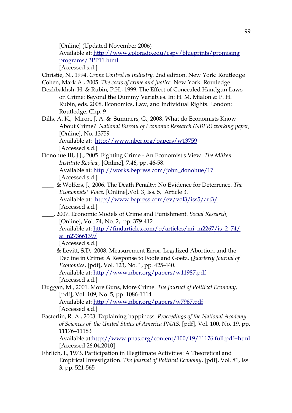[Online] (Updated November 2006)

Available at:<http://www.colorado.edu/cspv/blueprints/promising> [programs/BPP11.html](http://www.colorado.edu/cspv/blueprints/promisingprograms/BPP11.html)

[Accessed s.d.]

Christie, N., 1994. *Crime Control as Industry.* 2nd edition. New York: Routledge Cohen, Mark A., 2005. *The costs of crime and justice*. New York: Routledge

- Dezhbakhsh, H. & Rubin, P.H., 1999. The Effect of Concealed Handgun Laws on Crime: Beyond the Dummy Variables. In: H. M. Mialon & P. H. Rubin, eds. 2008. Economics, Law, and Individual Rights. London: Routledge. Chp. 9
- Dills, A. K., Miron, J. A. & Summers, G., 2008. What do Economists Know About Crime? *National Bureau of Economic Research (NBER) working paper,* [Online], No. 13759 Available at: <http://www.nber.org/papers/w13759>

[Accessed s.d.]

- Donohue III, J.J., 2005. Fighting Crime An Economist's View. *The Milken Institute Review,* [Online], 7.46, pp. 46-58. Available at: [http://works.bepress.com/john\\_donohue/17](http://works.bepress.com/john_donohue/17)  [Accessed s.d.]
- \_\_\_\_ & Wolfers, J., 2006. The Death Penalty: No Evidence for Deterrence. *The Economists' Voice,* [Online],Vol. 3, Iss. 5, Article 3. Available at: <http://www.bepress.com/ev/vol3/iss5/art3/> [Accessed s.d.]
- \_\_\_\_, 2007. Economic Models of Crime and Punishment. *Social Research*, [Online], Vol. 74, No. 2, pp. 379-412 Available at: [http://findarticles.com/p/articles/mi\\_m2267/is\\_2\\_74/](http://findarticles.com/p/articles/mi_m2267/is_2_74/)

[ai\\_n27366139/](http://findarticles.com/p/articles/mi_m2267/is_2_74/ai_n27366139/)

[Accessed s.d.]

- \_\_\_\_ & Levitt, S.D., 2008. Measurement Error, Legalized Abortion, and the Decline in Crime: A Response to Foote and Goetz. *Quarterly Journal of Economics*, [pdf], Vol. 123, No. 1, pp. 425-440. Available at:<http://www.nber.org/papers/w11987.pdf> [Accessed s.d.]
- Duggan, M., 2001. More Guns, More Crime. *The Journal of Political Economy*, [pdf], Vol. 109, No. 5, pp. 1086-1114 Available at:<http://www.nber.org/papers/w7967.pdf> [Accessed s.d.]
- Easterlin, R. A., 2003. Explaining happiness. *Proceedings of the National Academy of Sciences of the United States of America PNAS,* [pdf], Vol. 100, No. 19, pp. 11176–11183

Available at[:http://www.pnas.org/content/100/19/11176.full.pdf+html](http://www.pnas.org/content/100/19/11176.full.pdf+html) [Accessed 26.04.2010]

Ehrlich, I., 1973. Participation in Illegitimate Activities: A Theoretical and Empirical Investigation. *The Journal of Political Economy*, [pdf], Vol. 81, Iss. 3, pp. 521-565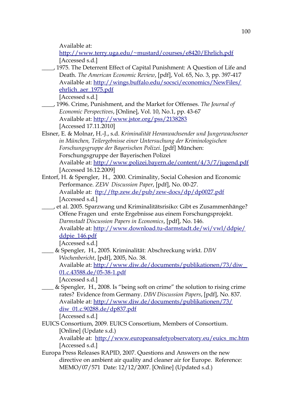Available at:

<http://www.terry.uga.edu/~mustard/courses/e8420/Ehrlich.pdf> [Accessed s.d.]

\_\_\_\_, 1975. The Deterrent Effect of Capital Punishment: A Question of Life and Death. *The American Economic Review*, [pdf], Vol. 65, No. 3, pp. 397-417 Available at:<http://wings.buffalo.edu/socsci/economics/NewFiles/> [ehrlich\\_aer\\_1975.pdf](http://wings.buffalo.edu/soc-sci/economics/NewFiles/ehrlich_aer_1975.pdf)

[Accessed s.d.]

- \_\_\_\_, 1996. Crime, Punishment, and the Market for Offenses. *The Journal of Economic Perspectives*, [Online], Vol. 10, No.1, pp. 43-67 Available at:<http://www.jstor.org/pss/2138283> [Accessed 17.11.2010]
- Elsner, E. & Molnar, H.-J., s.d. *Kriminalität Heranwachsender und Jungerwachsener in München, Teilergebnisse einer Untersuchung der Kriminologischen Forschungsgruppe der Bayerischen Polizei*. [pdf] München: Forschungsgruppe der Bayerischen Polizei Available at:<http://www.polizei.bayern.de/content/4/3/7/jugend.pdf> [Accessed 16.12.2009]
- Entorf, H. & Spengler, H., 2000. Criminality, Social Cohesion and Economic Performance. *ZEW Discussion Paper*, [pdf], No. 00-27. Available at: <ftp://ftp.zew.de/pub/zew-docs/dp/dp0027.pdf> [Accessed s.d.]
- \_\_\_\_, et al. 2005. Sparzwang und Kriminalitätsrisiko: Gibt es Zusammenhänge? Offene Fragen und erste Ergebnisse aus einem Forschungsprojekt. *Darmstadt Discussion Papers in Economics*, [pdf], No. 146. Available at:<http://www.download.tu-darmstadt.de/wi/vwl/ddpie/> [ddpie\\_146.pdf](http://www.download.tu-darmstadt.de/wi/vwl/ddpie/ddpie_146.pdf)

[Accessed s.d.]

\_\_\_\_ & Spengler, H., 2005. Kriminalität: Abschreckung wirkt. *DIW Wochenbericht*, [pdf], 2005, No. 38. Available at:<http://www.diw.de/documents/publikationen/73/diw> [\\_](http://www.diw.de/documents/publikationen/73/diw_01.c.43588.de/05-) 01.c.43588.de/05-38-1.pdf

[Accessed s.d.]

- \_\_\_\_ & Spengler, H., 2008. Is "being soft on crime" the solution to rising crime rates? Evidence from Germany. *DIW Discussion Papers*, [pdf], No. 837. Available at:<http://www.diw.de/documents/publikationen/73/> [diw\\_01.c.90288.de/dp837.pdf](http://www.diw.de/documents/publikationen/73/diw_01.c.90288.de/dp837.pdf)
	- [Accessed s.d.]
- EUICS Consortium, 2009. EUICS Consortium, Members of Consortium. [Online] (Update s.d.)

Available at: [http://www.europeansafetyobservatory.eu/euics\\_mc.htm](http://www.europeansafetyobservatory.eu/euics_mc.htm) [Accessed s.d.]

Europa Press Releases RAPID, 2007. Questions and Answers on the new directive on ambient air quality and cleaner air for Europe. Reference: MEMO/07/571 Date: 12/12/2007. [Online] (Updated s.d.)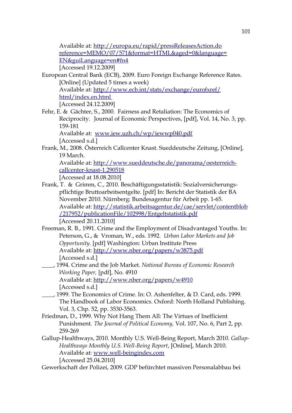Available at:<http://europa.eu/rapid/pressReleasesAction.do> reference=MEMO/07/571&format=HTML&aged=0&language= [EN&guiLanguage=en#fn4](http://europa.eu/rapid/pressReleasesAction.do?reference=MEMO/07/571&format=HTML&aged=0&language=EN&guiLanguage=en#fn4) [Accessed 19.12.2009]

European Central Bank (ECB), 2009. Euro Foreign Exchange Reference Rates. [Online] (Updated 5 times a week) Available at:<http://www.ecb.int/stats/exchange/eurofxref/>  [html/index.en.html](http://www.ecb.int/stats/exchange/eurofxref/html/index.en.html) [Accessed 24.12.2009]

Fehr, E. & Gächter, S., 2000. Fairness and Retaliation: The Economics of Reciprocity. Journal of Economic Perspectives, [pdf], Vol. 14, No. 3, pp. 159-181

Available at: [www.iew.uzh.ch/wp/iewwp040.pdf](http://www.iew.uzh.ch/wp/iewwp040.pdf) [Accessed s.d.]

Frank, M., 2008. Österreich Callcenter Knast. Sueddeutsche Zeitung, [Online], 19 March.

Available at: [http://www.sueddeutsche.de/panorama/oesterreich](http://www.sueddeutsche.de/panorama/oesterreich-) callcenter-knast-1.290518

- [Accessed at 18.08.2010]
- Frank, T. & Grimm, C., 2010. Beschäftigungsstatistik: Sozialversicherungspflichtige Bruttoarbeitsentgelte. [pdf] In: Bericht der Statistik der BA November 2010. Nürnberg: Bundesagentur für Arbeit pp. 1-65. Available at:<http://statistik.arbeitsagentur.de/cae/servlet/contentblob>  [/217952](http://statistik.arbeitsagentur.de/cae/servlet/contentblob/217952) [/publicationFile/102998/Entgeltstatistik.pdf](http://statistik.arbeitsagentur.de/cae/servlet/contentblob/217952/publicationFile/102998/Entgeltstatistik.pdf) [Accessed 20.11.2010]
- Freeman, R. B., 1991. Crime and the Employment of Disadvantaged Youths. In: Peterson, G., & Vroman, W., eds. 1992. *Urban Labor Markets and Job Opportunity*. [pdf] Washington: Urban Institute Press Available at:<http://www.nber.org/papers/w3875.pdf> [Accessed s.d.]
- \_\_\_\_, 1994. Crime and the Job Market. *National Bureau of Economic Research Working Paper,* [pdf], No. 4910 Available at:<http://www.nber.org/papers/w4910> [Accessed s.d.]
- \_\_\_\_, 1999. The Economics of Crime. In: O. Ashenfelter, & D. Card, eds. 1999. The Handbook of Labor Economics. Oxford: North Holland Publishing. Vol. 3, Chp. 52, pp. 3530-3563.
- Friedman, D., 1999. Why Not Hang Them All: The Virtues of Inefficient Punishment. *The Journal of Political Economy,* Vol. 107, No. 6, Part 2, pp. 259-269
- Gallup-Healthways, 2010. Monthly U.S. Well-Being Report, March 2010. *Gallup-Healthways Monthly U.S. Well-Being Report*, [Online], March 2010. Available at: [www.well-beingindex.com](http://www.well-beingindex.com/)  [Accessed 25.04.2010]
- Gewerkschaft der Polizei, 2009. GDP befürchtet massiven Personalabbau bei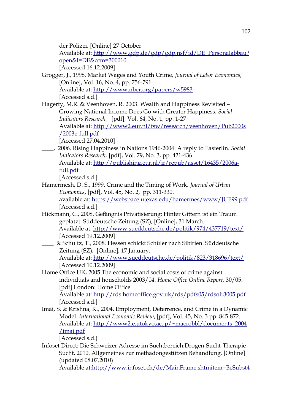der Polizei. [Online] 27 October

Available at: [http://www.gdp.de/gdp/gdp.nsf/id/DE\\_Personalabbau](http://www.gdp.de/gdp/gdp.nsf/id/DE_Personalabbau)? [open&l=DE&ccm=300010](http://www.gdp.de/gdp/gdp.nsf/id/DE_Personalabbau?open&l=DE&ccm=300010)

[Accessed 16.12.2009]

- Grogger, J., 1998. Market Wages and Youth Crime, *Journal of Labor Economics*, [Online], Vol. 16, No. 4, pp. 756-791. Available at:<http://www.nber.org/papers/w5983> [Accessed s.d.]
- Hagerty, M.R. & Veenhoven, R. 2003. Wealth and Happiness Revisited Growing National Income Does Go with Greater Happiness. *Social Indicators Research,* [pdf], Vol. 64, No. 1, pp. 1-27 Available at:<http://www2.eur.nl/fsw/research/veenhoven/Pub2000s>  [/2003e-](http://www2.eur.nl/fsw/research/veenhoven/Pub2000s/2003e-) [full.pdf](http://www2.eur.nl/fsw/research/veenhoven/Pub2000s/2003e-full.pdf)

[Accessed 27.04.2010]

- \_\_\_\_, 2006. Rising Happiness in Nations 1946-2004: A reply to Easterlin. *Social Indicators Research,* [pdf], Vol. 79, No. 3, pp. 421-436
	- Available at: [http://publishing.eur.nl/ir/repub/asset/16435/2006a](http://publishing.eur.nl/ir/repub/asset/16435/2006a-)[full.pdf](http://publishing.eur.nl/ir/repub/asset/16435/2006a-full.pdf)

[Accessed s.d.]

- Hamermesh, D. S., 1999. Crime and the Timing of Work. *Journal of Urban Economics*, [pdf], Vol. 45, No. 2, pp. 311-330. available at:<https://webspace.utexas.edu/hamermes/www/JUE99.pdf> [Accessed s.d.]
- Hickmann, C., 2008. Gefängnis Privatisierung: Hinter Gittern ist ein Traum geplatzt. Süddeutsche Zeitung (SZ), [Online], 31 March. Available at:<http://www.sueddeutsche.de/politik/974/437719/text/> [Accessed 19.12.2009]
	- \_\_\_\_ & Schultz, T., 2008. Hessen schickt Schüler nach Sibirien. Süddeutsche Zeitung (SZ), [Online], 17 January.

Available at:<http://www.sueddeutsche.de/politik/823/318696/text/> [Accessed 10.12.2009]

- Home Office UK, 2005.The economic and social costs of crime against individuals and households 2003/04. *Home Office Online Report,* 30/05. [pdf] London: Home Office Available at:<http://rds.homeoffice.gov.uk/rds/pdfs05/rdsolr3005.pdf> [Accessed s.d.]
- Imai, S. & Krishna, K., 2004. Employment, Deterrence, and Crime in a Dynamic Model. *International Economic Review*, [pdf], Vol. 45, No. 3 pp. 845-872. Available at: [http://www2.e.utokyo.ac.jp/~macrobbl/documents\\_2004](http://www2.e.utokyo.ac.jp/~macrobbl/documents_2004) [/imai.pdf](http://www2.e.u-tokyo.ac.jp/~macrobbl/documents_2004/imai.pdf)

[Accessed s.d.]

Infoset Direct: Die Schweizer Adresse im Suchtbereich:Drogen-Sucht-Therapie-Sucht, 2010. Allgemeines zur methadongestützen Behandlung. [Online] (updated 08.07.2010)

Available at[:http://www.infoset.ch/de/MainFrame.shtmitem=BeSubst4](http://www.infoset.ch/de/MainFrame.shtm?item=BeSubst4)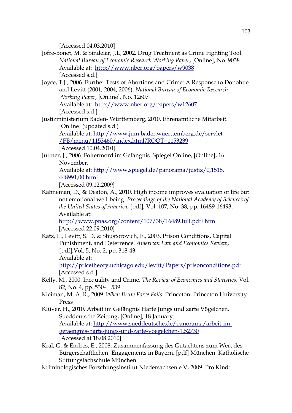[Accessed 04.03.2010]

- Jofre-Bonet, M. & Sindelar, J.L, 2002. Drug Treatment as Crime Fighting Tool. *National Bureau of Economic Research Working Paper*, [Online], No. 9038 Available at: <http://www.nber.org/papers/w9038> [Accessed s.d.]
- Joyce, T.J., 2006. Further Tests of Abortions and Crime: A Response to Donohue and Levitt (2001, 2004, 2006). *National Bureau of Economic Research Working Paper*, [Online], No. 12607 Available at: <http://www.nber.org/papers/w12607> [Accessed s.d.]
- Justizministerium Baden- Württemberg, 2010. Ehrenamtliche Mitarbeit. [Online] (updated s.d.) Available at:<http://www.jum.badenwuerttemberg.de/servlet>  [/PB/menu /1153460/index.html](http://www.jum.baden-wuerttemberg.de/servlet/PB/menu/1153460/index.html) [? ROOT=1153239](http://www.jum.baden-wuerttemberg.de/servlet/PB/menu/1153460/index.html?ROOT=1153239)

[Accessed 10.04.2010]

Jüttner, J., 2006. Foltermord im Gefängnis. Spiegel Online, [Online], 16 November.

Available at:<http://www.spiegel.de/panorama/justiz/0,1518>[,](http://www.spiegel.de/panorama/justiz/0,1518,448991,00.html) [448991,00.html](http://www.spiegel.de/panorama/justiz/0,1518,448991,00.html)

[Accessed 09.12.2009]

Kahneman, D., & Deaton, A., 2010. High income improves evaluation of life but not emotional well-being. *Proceedings of the National Academy of Sciences of the United States of America*, [pdf], Vol. 107, No. 38, pp. 16489-16493. Available at:

<http://www.pnas.org/content/107/38/16489.full.pdf+html> [Accessed 22.09.2010]

Katz, L., Levitt, S. D. & Shustorovich, E., 2003. Prison Conditions, Capital Punishment, and Deterrence. *American Law and Economics Review*, [pdf],Vol. 5, No. 2, pp. 318-43. Available at:

<http://pricetheory.uchicago.edu/levitt/Papers/prisonconditions.pdf> [Accessed s.d.]

- Kelly, M., 2000. Inequality and Crime, *The Review of Economics and Statistics*, Vol. 82, No. 4, pp. 530- 539
- Kleiman, M. A. R., 2009. *When Brute Force Fails*. Princeton: Princeton University Press
- Klüver, H., 2010. Arbeit im Gefängnis Harte Jungs und zarte Vögelchen. Sueddeutsche Zeitung, [Online], 18 January. Available at: [http://www.sueddeutsche.de/panorama/arbeit-im](http://www.sueddeutsche.de/panorama/arbeit-im-)  [gefaengnis-harte-jungs-](http://www.sueddeutsche.de/panorama/arbeit-im-gefaengnis-harte-jungs-) [und-](http://www.sueddeutsche.de/panorama/arbeit-im-gefaengnis-harte-jungs-und-) [zarte-voegelchen-1.52730](http://www.sueddeutsche.de/panorama/arbeit-im-gefaengnis-harte-jungs-und-zarte-voegelchen-1.52730) [Accessed at 18.08.2010]
- Kral, G. & Endres, E., 2008. Zusammenfassung des Gutachtens zum Wert des Bürgerschaftlichen Engagements in Bayern. [pdf] München: Katholische Stiftungsfachschule München
- Kriminologisches Forschungsinstitut Niedersachsen e.V, 2009. Pro Kind: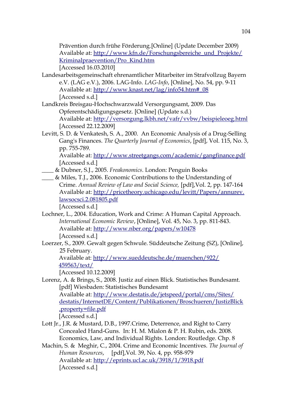Prävention durch frühe Förderung.[Online] (Update December 2009) Available at: [http://www.kfn.de/Forschungsbereiche\\_und\\_Projekte/](http://www.kfn.de/Forschungsbereiche_und_Projekte/) [Kriminalpraevention/Pro\\_Kind.htm](http://www.kfn.de/Forschungsbereiche_und_Projekte/Kriminalpraevention/Pro_Kind.htm) [Accessed 16.03.2010]

- Landesarbeitsgemeinschaft ehrenamtlicher Mitarbeiter im Strafvollzug Bayern e.V. (LAG e.V.), 2006. LAG-Info. *LAG-Info*, [Online], No. 54, pp. 9-11 Available at: [http://www.knast.net/lag/info54.htm#\\_08](http://www.knast.net/lag/info54.htm#_08) [Accessed s.d.]
- Landkreis Breisgau-Hochschwarzwald Versorgungsamt, 2009. Das Opferentschädigungsgesetz. [Online] (Update s.d.) Available at:<http://versorgung.lkbh.net/vafr/vvbw/beispieleoeg.html> [Accessed 22.12.2009]
- Levitt, S. D. & Venkatesh, S. A., 2000. An Economic Analysis of a Drug-Selling Gang's Finances. *The Quarterly Journal of Economics*, [pdf], Vol. 115, No. 3, pp. 755-789.

Available at:<http://www.streetgangs.com/academic/gangfinance.pdf> [Accessed s.d.]

- \_\_\_\_ & Dubner, S.J., 2005. *Freakonomics*. London: Penguin Books
- \_\_\_\_ & Miles, T.J., 2006. Economic Contributions to the Understanding of Crime. *Annual Review of Law and Social Science,* [pdf],Vol. 2, pp. 147-164 Available at:<http://pricetheory.uchicago.edu/levitt/Papers/annurev>[.](http://pricetheory.uchicago.edu/levitt/Papers/annurev.lawsocsci.2.081805.pdf) [lawsocsci.2.081805.pdf](http://pricetheory.uchicago.edu/levitt/Papers/annurev.lawsocsci.2.081805.pdf)

[Accessed s.d.]

- Lochner, L., 2004. Education, Work and Crime: A Human Capital Approach. *International Economic Review*, [Online], Vol. 45, No. 3, pp. 811-843. Available at:<http://www.nber.org/papers/w10478> [Accessed s.d.]
- Loerzer, S., 2009. Gewalt gegen Schwule. Süddeutsche Zeitung (SZ), [Online], 25 February.

Available at:<http://www.sueddeutsche.de/muenchen/922/> [459563/text/](http://www.sueddeutsche.de/muenchen/922/459563/text/)

[Accessed 10.12.2009]

Lorenz, A. & Brings, S., 2008. Justiz auf einen Blick. Statistisches Bundesamt. [pdf] Wiesbaden: Statistisches Bundesamt Available at:<http://www.destatis.de/jetspeed/portal/cms/Sites/> destatis/InternetDE/Content/Publikationen/Broschueren/JustizBlick

[, property=file.pdf](http://www.destatis.de/jetspeed/portal/cms/Sites/destatis/Internet/DE/Content/Publikationen/Broschueren/JustizBlick,property=file.pdf) 

[Accessed s.d.]

- Lott Jr., J.R. & Mustard, D.B., 1997.Crime, Deterrence, and Right to Carry Concealed Hand-Guns. In: H. M. Mialon & P. H. Rubin, eds. 2008. Economics, Law, and Individual Rights. London: Routledge. Chp. 8
- Machin, S. & Meghir, C., 2004. Crime and Economic Incentives. *The Journal of Human Resources*, [pdf],Vol. 39, No. 4, pp. 958-979 Available at:<http://eprints.ucl.ac.uk/3918/1/3918.pdf> [Accessed s.d.]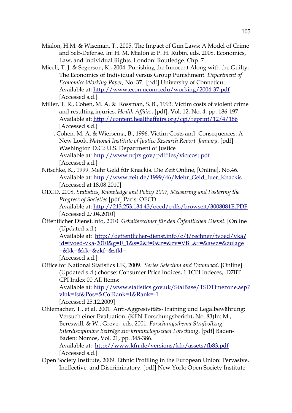- Mialon, H.M. & Wiseman, T., 2005. The Impact of Gun Laws: A Model of Crime and Self-Defense. In: H. M. Mialon & P. H. Rubin, eds. 2008. Economics, Law, and Individual Rights. London: Routledge. Chp. 7
- Miceli, T. J. & Segerson, K., 2004. Punishing the Innocent Along with the Guilty: The Economics of Individual versus Group Punishment. *Department of Economics Working Paper,* No. 37. [pdf] University of Conneticut Available at:<http://www.econ.uconn.edu/working/2004-37.pdf> [Accessed s.d.]
- Miller, T. R., Cohen, M. A. & Rossman, S. B., 1993. Victim costs of violent crime and resulting injuries. *Health Affairs*, [pdf], Vol. 12, No. 4, pp. 186-197 Available at:<http://content.healthaffairs.org/cgi/reprint/12/4/186> [Accessed s.d.]
- \_\_\_\_, Cohen, M. A. & Wiersema, B., 1996. Victim Costs and Consequences: A New Look. *National Institute of Justice Research Report January*. [pdf] Washington D.C.: U.S. Department of Justice Available at:<http://www.ncjrs.gov/pdffiles/victcost.pdf> [Accessed s.d.]
- Nitschke, K., 1999. Mehr Geld für Knackis. Die Zeit Online, [Online], No.46. Available at: [http://www.zeit.de/1999/46/Mehr\\_Geld\\_fuer\\_Knackis](http://www.zeit.de/1999/46/Mehr_Geld_fuer_Knackis) [Accessed at 18.08.2010]
- OECD, 2008. *Statistics, Knowledge and Policy 2007, Measuring and Fostering the Progress of Societies*.[pdf] Paris: OECD.

Available at:<http://213.253.134.43/oecd/pdfs/browseit/3008081E.PDF> [Accessed 27.04.2010]

Öffentlicher Dienst.Info, 2010. *Gehaltsrechner für den Öffentlichen Dienst*. [Online (Updated s.d.)

Available at: <http://oeffentlicher-dienst.info/c/t/rechner/tvoed/vka>? [id=tvoed-vka-](http://oeffentlicher-dienst.info/c/t/rechner/tvoed/vka?id=tvoed-vka-)[2010&g=E\\_1&s=2&f=0&z=&zv=VBL&r=&awz=&zulage](http://oeffentlicher-dienst.info/c/t/rechner/tvoed/vka?id=tvoed-vka-2010&g=E_1&s=2&f=0&z=&zv=VBL&r=&awz=&zulage=&kk=&kk=&zkf=&stkl)  $=\&kk=\&k=kzkf=\&sth$ =

[Accessed s.d.]

Office for National Statistics UK, 2009. *Series Selection and Download*. [Online] (Updated s.d.) choose: Consumer Price Indices, 1.1CPI Indeces, D7BT CPI Index 00 All Items:

Available at:<http://www.statistics.gov.uk/StatBase/TSDTimezone.asp>? [vlnk=fsf&Pos=&ColRank=1&Rank=-1](http://www.statistics.gov.uk/StatBase/TSDTimezone.asp?vlnk=fsf&Pos=&ColRank=1&Rank=-1)

[Accessed 25.12.2009]

- Ohlemacher, T., et al. 2001. Anti-Aggresivitäts-Training und Legalbewährung: Versuch einer Evaluation. (KFN-Forschungsbericht, No. 83)In: M., Bereswill, & W., Greve, eds. 2001. *Forschungsthema Strafvollzug. Interdisziplinäre Beiträge zur kriminologischen Forschung*. [pdf] Baden-Baden: Nomos, Vol. 21, pp. 345-386. Available at: <http://www.kfn.de/versions/kfn/assets/fb83.pdf> [Accessed s.d.]
- Open Society Institute, 2009. Ethnic Profiling in the European Union: Pervasive, Ineffective, and Discriminatory. [pdf] New York: Open Society Institute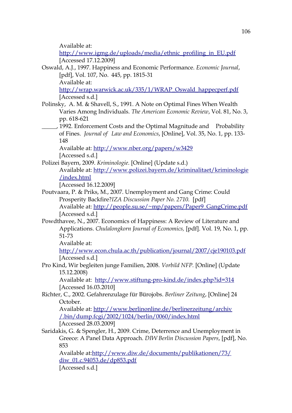Available at:

[http://www.igmg.de/uploads/media/ethnic\\_profiling\\_in\\_EU.pdf](http://www.igmg.de/uploads/media/ethnic_profiling_in_EU.pdf) [Accessed 17.12.2009]

Oswald, A.J., 1997. Happiness and Economic Performance. *Economic Journal*, [pdf], Vol. 107, No. 445, pp. 1815-31 Available at:

[http://wrap.warwick.ac.uk/335/1/WRAP\\_Oswald\\_happecperf.pdf](http://wrap.warwick.ac.uk/335/1/WRAP_Oswald_happecperf.pdf) [Accessed s.d.]

- Polinsky, A. M. & Shavell, S., 1991. A Note on Optimal Fines When Wealth Varies Among Individuals. *The American Economic Review*, Vol. 81, No. 3, pp. 618-621
	- \_\_\_\_\_, 1992. Enforcement Costs and the Optimal Magnitude and Probability of Fines. *Journal of Law and Economics*, [Online], Vol. 35, No. 1, pp. 133- 148

Available at:<http://www.nber.org/papers/w3429> [Accessed s.d.]

Polizei Bayern, 2009. *Kriminologie*. [Online] (Update s.d.) Available at:<http://www.polizei.bayern.de/kriminalitaet/kriminologie> [/index.html](http://www.polizei.bayern.de/kriminalitaet/kriminologie/index.html)

[Accessed 16.12.2009]

- Poutvaara, P. & Priks, M., 2007. Unemployment and Gang Crime: Could Prosperity Backfire?*IZA Discussion Paper No. 2710.* [pdf] Available at: [http://people.su.se/~mp/papers/Paper9\\_GangCrime.pdf](http://people.su.se/~mp/papers/Paper9_GangCrime.pdf) [Accessed s.d.]
- Powdthavee, N., 2007. Economics of Happiness: A Review of Literature and Applications. *Chulalongkorn Journal of Economics,* [pdf]. Vol. 19, No. 1, pp. 51-73

Available at:

<http://www.econ.chula.ac.th/publication/journal/2007/cje190103.pdf> [Accessed s.d.]

Pro Kind, Wir begleiten junge Familien, 2008. *Vorbild NFP.* [Online] (Update 15.12.2008)

Available at: <http://www.stiftung-pro-kind.de/index.php?id=314> [Accessed 16.03.2010]

Richter, C., 2002. Gefahrenzulage für Bürojobs. *Berliner Zeitung*, [Online] 24 October.

Available at:<http://www.berlinonline.de/berlinerzeitung/archiv> [/.bin/dump.fcgi/2002/1024/berlin/0060/index.html](http://www.berlinonline.de/berliner-zeitung/archiv/.bin/dump.fcgi/2002/1024/berlin/0060/index.html) [Accessed 28.03.2009]

Saridakis, G. & Spengler, H., 2009. Crime, Deterrence and Unemployment in Greece: A Panel Data Approach. *DIW Berlin Discussion Papers*, [pdf], No. 853

Available at[:http://www.diw.de/documents/publikationen/73/](http://www.diw.de/documents/publikationen/73/) [diw\\_01.c.94053.de/dp853.pdf](http://www.diw.de/documents/publikationen/73/diw_01.c.94053.de/dp853.pdf) [Accessed s.d.]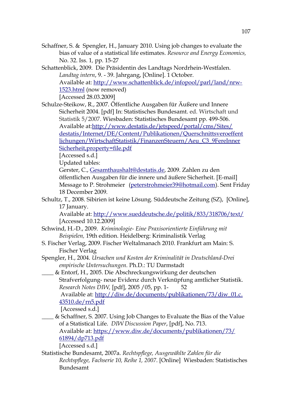- Schaffner, S. & Spengler, H., January 2010. Using job changes to evaluate the bias of value of a statistical life estimates. *Resource and Energy Economics,*  No. 32. Iss. 1*,* pp. 15-27
- Schattenblick, 2009. Die Präsidentin des Landtags Nordrhein-Westfalen. *Landtag intern*, 9. - 39. Jahrgang, [Online]. 1 October. Available at:<http://www.schattenblick.de/infopool/parl/land/nrw->[1523.html](http://www.schattenblick.de/infopool/parl/land/nrw-1523.html) (now removed) [Accessed 28.03.2009]

Schulze-Steikow, R., 2007. Öffentliche Ausgaben für Äußere und Innere Sicherheit 2004. [pdf] In: Statistisches Bundesamt. ed. Wirtschaft und Statistik 5/2007. Wiesbaden: Statistisches Bundesamt pp. 499-506. Available at[:http://www.destatis.de/jetspeed/portal/cms/Sites/](http://www.destatis.de/jetspeed/portal/cms/Sites/)  [destatis](http://www.destatis.de/jetspeed/portal/cms/Sites/destatis) [/Internet/DE/Content/](http://www.destatis.de/jetspeed/portal/cms/Sites/destatis/Internet/DE/Content/) [Publikationen/Querschnittsveroeffent](http://www.destatis.de/jetspeed/portal/cms/Sites/destatis/Internet/DE/Content/Publikationen/Querschnittsveroeffentlichungen/WirtschaftStatistik/FinanzenSteuern/Aeu_C3_9FereInnerSicherheit,property=file.pdf) lichungen/WirtschaftStatistik/FinanzenSteuern/Aeu C3 9FereInner [Sicherheit,property=file.pdf](http://www.destatis.de/jetspeed/portal/cms/Sites/destatis/Internet/DE/Content/Publikationen/Querschnittsveroeffentlichungen/WirtschaftStatistik/FinanzenSteuern/Aeu_C3_9FereInnerSicherheit,property=file.pdf)

[Accessed s.d.]

Updated tables:

Gerster, C., [Gesamthaushalt@destatis.de,](mailto:Gesamthaushalt@destatis.de) 2009. Zahlen zu den öffentlichen Ausgaben für die innere und äußere Sicherheit. [E-mail] Message to P. Strohmeier [\(peterstrohmeier39@hotmail.com\)](mailto:peterstrohmeier39@hotmail.com). Sent Friday 18 December 2009.

Schultz, T., 2008. Sibirien ist keine Lösung. Süddeutsche Zeitung (SZ), [Online], 17 January.

Available at:<http://www.sueddeutsche.de/politik/833/318706/text/> [Accessed 10.12.2009]

- Schwind, H.-D., 2009. *Kriminologie- Eine Praxisorientierte Einführung mit Beispielen,* 19th edition. Heidelberg: Kriminalistik Verlag
- S. Fischer Verlag, 2009. Fischer Weltalmanach 2010. Frankfurt am Main: S. Fischer Verlag
- Spengler, H., 2004. *Ursachen und Kosten der Kriminalität in Deutschland-Drei empirische Untersuchungen.* Ph.D.: TU Darmstadt
- \_\_\_\_ & Entorf, H., 2005. Die Abschreckungswirkung der deutschen Strafverfolgung- neue Evidenz durch Verknüpfung amtlicher Statistik. *Research Notes DIW,* [pdf], 2005 /05, pp. 1- 52 Available at: [http://diw.de/documents/publikationen/73/diw\\_01.c](http://diw.de/documents/publikationen/73/diw_01.c)[.](http://diw.de/documents/publikationen/73/diw_01.c.43510.de)  [43510.de](http://diw.de/documents/publikationen/73/diw_01.c.43510.de) [/rn5.pdf](http://diw.de/documents/publikationen/73/diw_01.c.43510.de/rn5.pdf)

[Accessed s.d.]

\_\_\_\_ & Schaffner, S. 2007. Using Job Changes to Evaluate the Bias of the Value of a Statistical Life. *DIW Discussion Paper*, [pdf], No. 713. Available at:<https://www.diw.de/documents/publikationen/73/>  [61894/](https://www.diw.de/documents/publikationen/73/61894/) [dp713.pdf](https://www.diw.de/documents/publikationen/73/61894/dp713.pdf)

[Accessed s.d.]

Statistische Bundesamt, 2007a. *Rechtspflege, Ausgewählte Zahlen für die Rechtspflege, Fachserie 10, Reihe 1, 2007*. [Online] Wiesbaden: Statistisches Bundesamt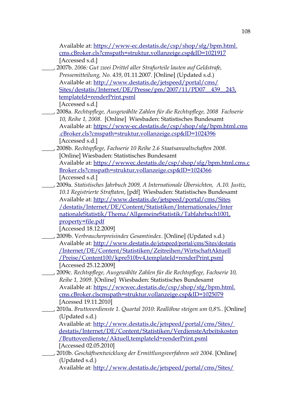Available at:<https://www-ec.destatis.de/csp/shop/sfg/bpm.html>[.](https://www-ec.destatis.de/csp/shop/sfg/bpm.html.cms.cBroker.cls)  [cms.cBroker.cls](https://www-ec.destatis.de/csp/shop/sfg/bpm.html.cms.cBroker.cls) [? cmspath=struktur,vollanzeige.csp&ID=1021917](https://www-ec.destatis.de/csp/shop/sfg/bpm.html.cms.cBroker.cls?cmspath=struktur,vollanzeige.csp&ID=1021917) [Accessed s.d.]

\_\_\_\_, 2007b. *2006: Gut zwei Drittel aller Strafurteile lauten auf Geldstrafe, Pressemitteilung, No. 439*, 01.11.2007. [Online] (Updated s.d.) Available at:<http://www.destatis.de/jetspeed/portal/cms/> Sites/destatis/Internet/DE/Presse/pm/2007/11/PD07\_439\_243, [templateId=renderPrint.psml](http://www.destatis.de/jetspeed/portal/cms/Sites/destatis/Internet/DE/Presse/pm/2007/11/PD07__439__243,templateId=renderPrint.psml)

[Accessed s.d.]

- \_\_\_\_, 2008a. *Rechtspflege, Ausgewählte Zahlen für die Rechtspflege, 2008 Fachserie 10, Reihe 1, 2008*. [Online] Wiesbaden: Statistisches Bundesamt Available at:<https://www-ec.destatis.de/csp/shop/sfg/bpm.html.cms>  [.cBroker.cls](https://www-ec.destatis.de/csp/shop/sfg/bpm.html.cms.cBroker.cls) [? cmspath=struktur,vollanzeige.csp&ID=1024396](https://www-ec.destatis.de/csp/shop/sfg/bpm.html.cms.cBroker.cls?cmspath=struktur,vollanzeige.csp&ID=1024396) [Accessed s.d.]
- \_\_\_\_, 2008b. *Rechtspflege, Fachserie 10 Reihe 2.6 Staatsanwaltschaften 2008*. [Online] Wiesbaden: Statistisches Bundesamt
	- Available at: [https://wwwec.destatis.de/csp/shop/sfg/bpm.html.cms.c](https://www-ec.destatis.de/csp/shop/sfg/bpm.html.cms.c)  [Broker.cls](https://www-ec.destatis.de/csp/shop/sfg/bpm.html.cms.cBroker.cls) [? cmspath=struktur,vollanzeige.csp&ID=1024366](https://www-ec.destatis.de/csp/shop/sfg/bpm.html.cms.cBroker.cls?cmspath=struktur,vollanzeige.csp&ID=1024366) [Accessed s.d.]
- \_\_\_\_, 2009a. *Statistisches Jahrbuch 2009, A Internationale Übersichten, A.10. Justiz, 10.1 Registrierte Straftaten*, [pdf] Wiesbaden: Statistisches Bundesamt Available at: <http://www.destatis.de/jetspeed/portal/cms/Sites>  [/destatis/Internet/](http://www.destatis.de/jetspeed/portal/cms/Sites/destatis/Internet/) [DE/Content/Statistiken/Internationa les/Inter](http://www.destatis.de/jetspeed/portal/cms/Sites/destatis/Internet/DE/Content/Statistiken/Internationales/InternationaleStatistik/Thema/AllgemeineStatistik/TabJahrbuch1001,property=file.pdf)  [nationaleStatistik/ Thema/AllgemeineStatistik/TabJahrbuch1001,](http://www.destatis.de/jetspeed/portal/cms/Sites/destatis/Internet/DE/Content/Statistiken/Internationales/InternationaleStatistik/Thema/AllgemeineStatistik/TabJahrbuch1001,property=file.pdf) [property=file.pdf](http://www.destatis.de/jetspeed/portal/cms/Sites/destatis/Internet/DE/Content/Statistiken/Internationales/InternationaleStatistik/Thema/AllgemeineStatistik/TabJahrbuch1001,property=file.pdf)

[Accessed 18.12.2009]

- \_\_\_\_, 2009b. V*erbraucherpreisindex Gesamtindex*. [Online] (Updated s.d.) Available at: [http://www.destatis](http://www.destatis/) [.de](http://www.destatis.de/) [/jetspeed/portal/cms/Sites/destatis](http://www.destatis.de/jetspeed/portal/cms/Sites/destatis/Internet/DE/Content/Statistiken/Zeitreihen/WirtschaftAktuell/Preise/Content100/kpre510bv4,templateId=renderPrint.psml)  [/Internet/DE/Content/Statistiken/ Zeitreihen /WirtschaftAktuell](http://www.destatis.de/jetspeed/portal/cms/Sites/destatis/Internet/DE/Content/Statistiken/Zeitreihen/WirtschaftAktuell/Preise/Content100/kpre510bv4,templateId=renderPrint.psml)  [/Preise/ Content100/ kpre510bv4,templateId=renderPrint.psml](http://www.destatis.de/jetspeed/portal/cms/Sites/destatis/Internet/DE/Content/Statistiken/Zeitreihen/WirtschaftAktuell/Preise/Content100/kpre510bv4,templateId=renderPrint.psml) [Accessed 25.12.2009]
- \_\_\_\_, 2009c. *Rechtspflege, Ausgewählte Zahlen für die Rechtspflege, Fachserie 10, Reihe 1, 2009*. [Online] Wiesbaden: Statistisches Bundesamt Available at:<https://wwwec.destatis.de/csp/shop/sfg/bpm.html>[.](https://www-ec.destatis.de/csp/shop/sfg/bpm.html.cms.cBroker.clscmspath)  [cms.cBroker.clscmspath](https://www-ec.destatis.de/csp/shop/sfg/bpm.html.cms.cBroker.clscmspath) [=struktur,vollanzeige.csp&ID=1025079](https://www-ec.destatis.de/csp/shop/sfg/bpm.html.cms.cBroker.clscmspath=struktur,vollanzeige.csp&ID=1025079) [Acessed 19.11.2010]
- \_\_\_\_, 2010a. *Bruttoverdienste 1. Quartal 2010: Reallöhne steigen um 0,8%*. [Online] (Updated s.d.)

Available at:<http://www.destatis.de/jetspeed/portal/cms/Sites/>  [destatis/](http://www.destatis.de/jetspeed/portal/cms/Sites/destatis/) [Internet/DE/](http://www.destatis.de/jetspeed/portal/cms/Sites/destatis/Internet/DE/) [Content/Statistiken/Verdienste Arbeitskosten](http://www.destatis.de/jetspeed/portal/cms/Sites/destatis/Internet/DE/Content/Statistiken/VerdiensteArbeitskosten/Bruttoverdienste/Aktuell,templateId=renderPrint.psml)  [/Brutto verdienste/Aktuell, templateId=renderPrint.psml](http://www.destatis.de/jetspeed/portal/cms/Sites/destatis/Internet/DE/Content/Statistiken/VerdiensteArbeitskosten/Bruttoverdienste/Aktuell,templateId=renderPrint.psml) [Accessed 02.05.2010]

\_\_\_\_, 2010b. *Geschäftsentwicklung der Ermittlungsverfahren seit 2004*. [Online] (Updated s.d.)

Available at:<http://www.destatis.de/jetspeed/portal/cms/Sites/>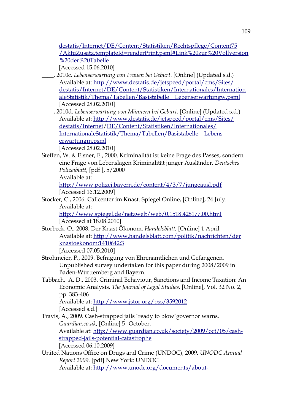destatis/Internet/DE/Content/Statistiken/Rechtspflege/Content75  [/AktuZusatz,templateId= renderPrint.psml#Link%20zur %20Vollversion](http://www.destatis.de/jetspeed/portal/cms/Sites/destatis/Internet/DE/Content/Statistiken/Rechtspflege/Content75/AktuZusatz,templateId=renderPrint.psml#Link%20zur%20Vollversion%20der%20Tabelle) [%20der%20Tabelle](http://www.destatis.de/jetspeed/portal/cms/Sites/destatis/Internet/DE/Content/Statistiken/Rechtspflege/Content75/AktuZusatz,templateId=renderPrint.psml#Link%20zur%20Vollversion%20der%20Tabelle) 

[Accessed 15.06.2010]

- \_\_\_\_, 2010c. *Lebenserwartung von Frauen bei Geburt*. [Online] (Updated s.d.) Available at:<http://www.destatis.de/jetspeed/portal/cms/Sites/> destatis/Internet/DE/Content/Statistiken/Internationales/Internation  [ale Statistik/ Thema/Tabellen /Basistabelle\\_\\_Lebenserwartungw.psml](http://www.destatis.de/jetspeed/portal/cms/Sites/destatis/Internet/DE/Content/Statistiken/Internationales/InternationaleStatistik/Thema/Tabellen/Basistabelle__Lebenserwartungw.psml) [Accessed 28.02.2010]
- \_\_\_\_, 2010d. *Lebenserwartung von Männern bei Geburt*. [Online] (Updated s.d.) Available at:<http://www.destatis.de/jetspeed/portal/cms/Sites/> destatis/Internet/DE/Content/Statistiken/Internationales/ InternationaleStatistik/Thema/Tabellen/Basistabelle Lebens [erwartungm.psml](http://www.destatis.de/jetspeed/portal/cms/Sites/destatis/Internet/DE/Content/Statistiken/Internationales/InternationaleStatistik/Thema/Tabellen/Basistabelle__Lebenserwartungm.psml)

[Accessed 28.02.2010]

Steffen, W. & Elsner, E., 2000. Kriminalität ist keine Frage des Passes, sondern eine Frage von Lebenslagen Kriminalität junger Ausländer. *Deutsches Polizeiblatt*, [pdf ], 5/2000

Available at:

http://www.polizei.bayern.de/content/4/3/7/jungeausl.pdf [Accessed 16.12.2009]

Stöcker, C., 2006. Callcenter im Knast. Spiegel Online, [Online], 24 July. Available at:

<http://www.spiegel.de/netzwelt/web/0,1518,428177,00.html> [Accessed at 18.08.2010]

Storbeck, O., 2008. Der Knast Ökonom. *Handelsblatt*, [Online] 1 April Available at:<http://www.handelsblatt.com/politik/nachrichten/der> knastoekonom;1410642;3

[Accessed 07.05.2010]

- Strohmeier, P., 2009. Befragung von Ehrenamtlichen und Gefangenen. Unpublished survey undertaken for this paper during 2008/2009 in Baden-Württemberg and Bayern.
- Tabbach, A. D., 2003. Criminal Behaviour, Sanctions and Income Taxation: An Economic Analysis. *The Journal of Legal Studies,* [Online], Vol. 32 No. 2, pp. 383-406

Available at:<http://www.jstor.org/pss/3592012> [Accessed s.d.]

- Travis, A., 2009. Cash-strapped jails `ready to blow`governor warns. *Guardian.co.uk*, [Online] 5 October. Available at: [http://www.guardian.co.uk/society/2009/oct/05/cash](http://www.guardian.co.uk/society/2009/oct/05/cash-)  [strapped-jails-](http://www.guardian.co.uk/society/2009/oct/05/cash-strapped-jails-) [potential-](http://www.guardian.co.uk/society/2009/oct/05/cash-strapped-jails-potential-) [catastrophe](http://www.guardian.co.uk/society/2009/oct/05/cash-strapped-jails-potential-catastrophe) [Accessed 06.10.2009]
- United Nations Office on Drugs and Crime (UNDOC), 2009. *UNODC Annual Report 200*9. [pdf] New York: UNDOC Available at:<http://www.unodc.org/documents/about->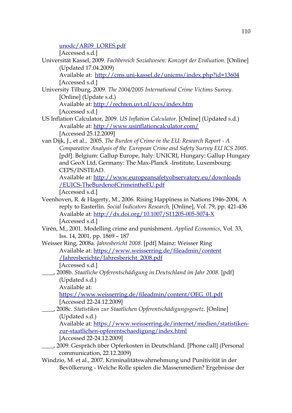[unodc/AR09\\_LORES.pdf](http://www.unodc.org/documents/about-unodc/AR09_LORES.pdf)

[Accessed s.d.]

Universität Kassel, 2009. *Fachbereich Sozialwesen: Konzept der Evaluation*. [Online] (Updated 17.04.2009)

Available at: <http://cms.uni-kassel.de/unicms/index.php?id=13604> [Accessed s.d.]

University Tilburg, 2009. *The 2004/2005 International Crime Victims Survey*. [Online] (Update s.d.)

Available at:<http://rechten.uvt.nl/icvs/index.htm> [Accessed s.d.]

- US Inflation Calculator, 2009. *US Inflation Calculator*. [Online] (Updated s.d.) Available at:<http://www.usinflationcalculator.com/> [Accessed 25.12.2009]
- van Dijk, J., et al., 2005. *The Burden of Crime in the EU: Research Report A Comparative Analysis of the European Crime and Safety Survey EU ICS 2005*. [pdf]. Belgium: Gallup Europe, Italy: UNICRI, Hungary: Gallup Hungary and GeoX Ltd, Germany: The Max-Planck -Institute, Luxembourg: CEPS/INSTEAD.

Available at:<http://www.europeansafetyobservatory.eu/downloads>  [/EUICS-](http://www.europeansafetyobservatory.eu/downloads/EUICS-) [TheBurdenofCrimeintheEU.pdf](http://www.europeansafetyobservatory.eu/downloads/EUICS-TheBurdenofCrimeintheEU.pdf)

[Accessed s.d.]

- Veenhoven, R. & Hagerty, M., 2006. Rising Happiness in Nations 1946-2004, A reply to Easterlin. *Social Indicators Research,* [Online], Vol. 79, pp. 421-436 Available at:<http://dx.doi.org/10.1007/S11205-005-5074-X> [Accessed s.d.]
- Virén, M., 2001. Modelling crime and punishment. *Applied Economics*, Vol. 33, Iss. 14, 2001, pp. 1869 – 187

Weisser Ring, 2008a. *Jahresbericht 2008*. [pdf] Mainz: Weisser Ring Available at:<https://www.weisserring.de/fileadmin/content>  [/](https://www.weisserring.de/fileadmin/content/) [Jahresberichte/ Jahresbericht\\_2008.pdf](https://www.weisser-ring.de/fileadmin/content/Jahresberichte/Jahresbericht_2008.pdf)

[Accessed s.d.]

\_\_\_\_, 2008b. *Staatliche Opferentschädigung in Deutschland im Jahr 2008*. [pdf] (Updated s.d.)

Available at:

[https://www.weisserring.de/fileadmin/content/OEG\\_01.pdf](https://www.weisser-ring.de/fileadmin/content/OEG_01.pdf) [Accessed 22-24.12.2009]

\_\_\_\_, 2008c. *Statistiken zur Staatlichen Opferentschädigungsgesetz*. [Online] (Updated s.d.)

Available at: [https://www.weisserring.de/internet/medien/statistiken](https://www.weisser-ring.de/internet/medien/statistiken-)  [zur-staatlichen-](https://www.weisser-ring.de/internet/medien/statistiken-zur-staatlichen-) [opferentschaedigung/index.html](https://www.weisser-ring.de/internet/medien/statistiken-zur-staatlichen-opferentschaedigung/index.html)

[Accessed 22-24.12.2009]

- \_\_\_\_, 2009. Gespräch über Opferkosten in Deutschland. [Phone call] (Personal communication, 22.12.2009)
- Windzio, M. et al., 2007. Kriminalitätswahrnehmung und Punitivität in der Bevölkerung - Welche Rolle spielen die Massenmedien? Ergebnisse der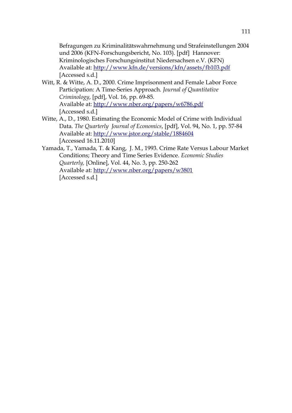Befragungen zu Kriminalitätswahrnehmung und Strafeinstellungen 2004 und 2006 (KFN-Forschungsbericht, No. 103). [pdf] Hannover: Kriminologisches Forschungsinstitut Niedersachsen e.V. (KFN) Available at:<http://www.kfn.de/versions/kfn/assets/fb103.pdf> [Accessed s.d.]

- Witt, R. & Witte, A. D., 2000. Crime Imprisonment and Female Labor Force Participation: A Time-Series Approach. *Journal of Quantitative Criminology*, [pdf], Vol. 16, pp. 69-85. Available at:<http://www.nber.org/papers/w6786.pdf> [Accessed s.d.]
- Witte, A., D., 1980. Estimating the Economic Model of Crime with Individual Data. *The Quarterly Journal of Economics*, [pdf], Vol. 94, No. 1, pp. 57-84 Available at: <http://www.jstor.org/stable/1884604> [Accessed 16.11.2010]
- Yamada, T., Yamada, T. & Kang, J. M., 1993. Crime Rate Versus Labour Market Conditions; Theory and Time Series Evidence. *Economic Studies Quarterly,* [Online], Vol. 44, No. 3, pp. 250-262 Available at:<http://www.nber.org/papers/w3801> [Accessed s.d.]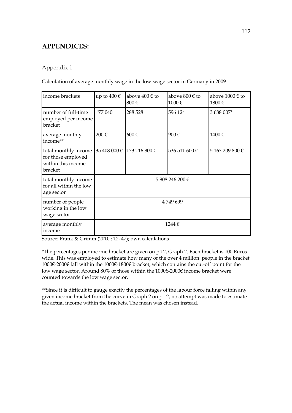## **APPENDICES:**

## Appendix 1

Calculation of average monthly wage in the low-wage sector in Germany in 2009

| income brackets                                                             | up to $400 \in$ | above 400 € to<br>800€     | above 800 € to<br>1000€ | above $1000 \in$ to<br>1800€ |
|-----------------------------------------------------------------------------|-----------------|----------------------------|-------------------------|------------------------------|
| number of full-time<br>employed per income<br>bracket                       | 177 040         | 288 528                    | 596 124                 | 3 688 007*                   |
| average monthly<br>income**                                                 | 200€            | 600€                       | 900€                    | 1400€                        |
| total monthly income<br>for those employed<br>within this income<br>bracket |                 | 35 408 000 € 173 116 800 € | 536 511 600 €           | 5 163 209 800 €              |
| total monthly income<br>for all within the low<br>age sector                | 5 908 246 200 € |                            |                         |                              |
| number of people<br>working in the low<br>wage sector                       | 4749699         |                            |                         |                              |
| average monthly<br>income                                                   | 1244€           |                            |                         |                              |

Source: Frank & Grimm (2010 : 12, 47); own calculations

\* the percentages per income bracket are given on p.12, Graph 2. Each bracket is 100 Euros wide. This was employed to estimate how many of the over 4 million people in the bracket 1000€-2000€ fall within the 1000€-1800€ bracket, which contains the cut-off point for the low wage sector. Around 80% of those within the 1000€-2000€ income bracket were counted towards the low wage sector.

\*\*Since it is difficult to gauge exactly the percentages of the labour force falling within any given income bracket from the curve in Graph 2 on p.12, no attempt was made to estimate the actual income within the brackets. The mean was chosen instead.